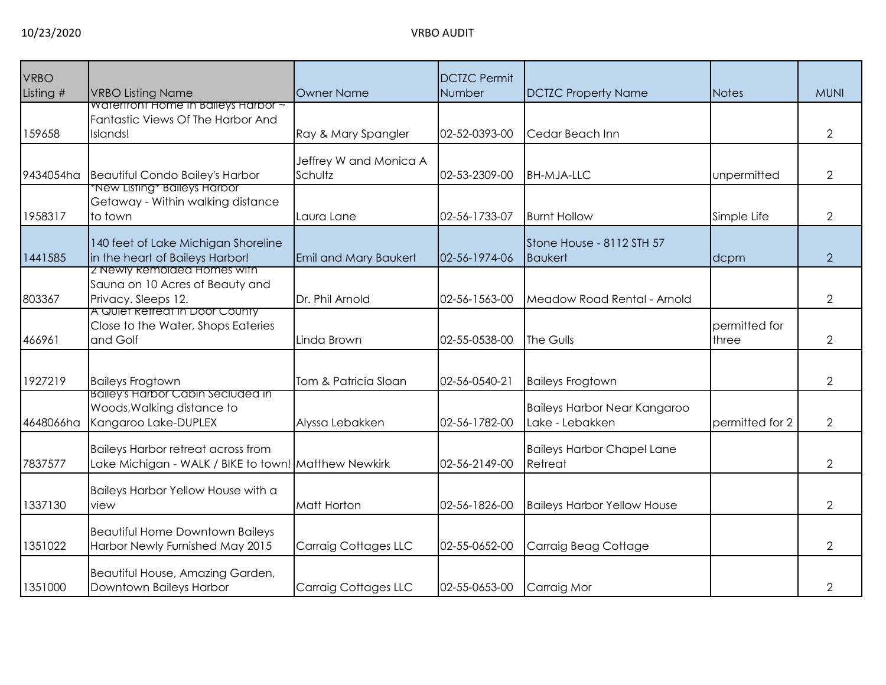| <b>VRBO</b> |                                                                                                   |                                   | <b>DCTZC Permit</b> |                                                 |                        |                |
|-------------|---------------------------------------------------------------------------------------------------|-----------------------------------|---------------------|-------------------------------------------------|------------------------|----------------|
| Listing #   | <b>VRBO Listing Name</b>                                                                          | <b>Owner Name</b>                 | Number              | <b>DCTZC Property Name</b>                      | <b>Notes</b>           | <b>MUNI</b>    |
| 159658      | waterfront Home in Balleys Harbor ~<br>Fantastic Views Of The Harbor And<br>Islands!              | Ray & Mary Spangler               | 02-52-0393-00       | Cedar Beach Inn                                 |                        | 2              |
| 9434054ha   | <b>Beautiful Condo Bailey's Harbor</b>                                                            | Jeffrey W and Monica A<br>Schultz | 02-53-2309-00       | <b>BH-MJA-LLC</b>                               | unpermitted            | 2              |
| 1958317     | <u>New Listing* Baileys Harbor*</u><br>Getaway - Within walking distance<br>to town               | Laura Lane                        | 02-56-1733-07       | <b>Burnt Hollow</b>                             | Simple Life            | $\overline{2}$ |
| 1441585     | 140 feet of Lake Michigan Shoreline<br>in the heart of Baileys Harbor!                            | <b>Emil and Mary Baukert</b>      | 02-56-1974-06       | Stone House - 8112 STH 57<br><b>Baukert</b>     | dcpm                   | $\overline{2}$ |
| 803367      | Z Newly Remolded Homes with<br>Sauna on 10 Acres of Beauty and<br>Privacy. Sleeps 12.             | Dr. Phil Arnold                   | 02-56-1563-00       | Meadow Road Rental - Arnold                     |                        | $\overline{2}$ |
| 466961      | A Quiet Retreat in Door County<br>Close to the Water, Shops Eateries<br>and Golf                  | Linda Brown                       | 02-55-0538-00       | The Gulls                                       | permitted for<br>three | $\overline{2}$ |
| 1927219     | <b>Baileys Frogtown</b>                                                                           | Tom & Patricia Sloan              | 02-56-0540-21       | <b>Baileys Frogtown</b>                         |                        | $\overline{2}$ |
| 4648066ha   | <b>Balley's Harbor Cabin Seciuded in</b><br>Woods, Walking distance to<br>Kangaroo Lake-DUPLEX    | Alyssa Lebakken                   | 02-56-1782-00       | Baileys Harbor Near Kangaroo<br>Lake - Lebakken | permitted for 2        | $\overline{2}$ |
| 7837577     | <b>Baileys Harbor retreat across from</b><br>Lake Michigan - WALK / BIKE to town! Matthew Newkirk |                                   | 02-56-2149-00       | <b>Baileys Harbor Chapel Lane</b><br>Retreat    |                        | $\overline{2}$ |
| 1337130     | Baileys Harbor Yellow House with a<br>view                                                        | Matt Horton                       | 02-56-1826-00       | <b>Baileys Harbor Yellow House</b>              |                        | $\overline{2}$ |
| 1351022     | <b>Beautiful Home Downtown Baileys</b><br>Harbor Newly Furnished May 2015                         | Carraig Cottages LLC              | 02-55-0652-00       | Carraig Beag Cottage                            |                        | 2              |
| 1351000     | Beautiful House, Amazing Garden,<br>Downtown Baileys Harbor                                       | <b>Carraig Cottages LLC</b>       | 02-55-0653-00       | Carraig Mor                                     |                        | 2              |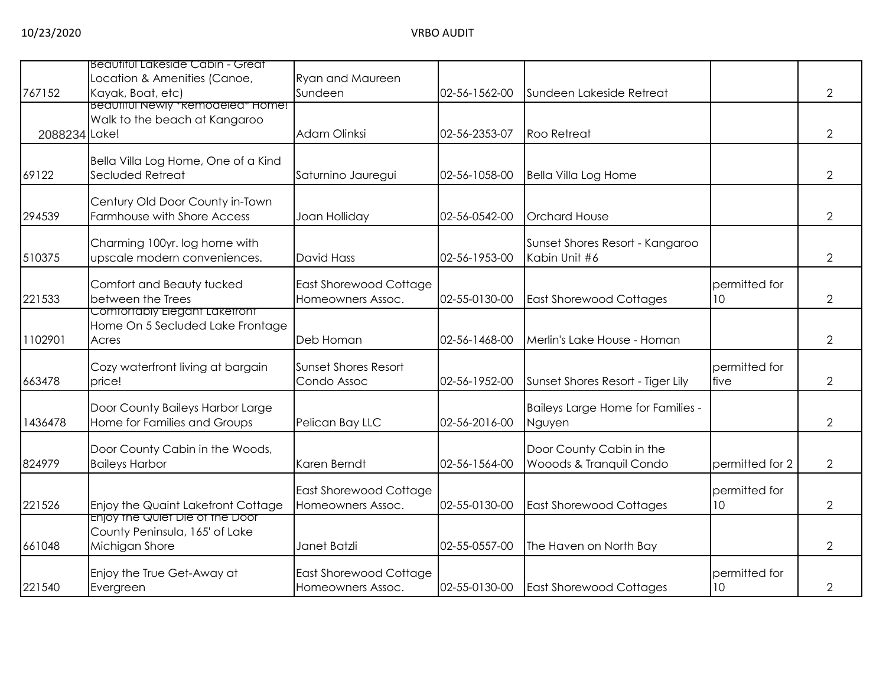|               | Beautiful Lakeside Cabin - Great                        |                                                    |               |                                   |                 |                |
|---------------|---------------------------------------------------------|----------------------------------------------------|---------------|-----------------------------------|-----------------|----------------|
|               | Location & Amenities (Canoe,                            | Ryan and Maureen                                   |               |                                   |                 |                |
| 767152        | Kayak, Boat, etc)<br>Beautiful Newly * Remodeled* Home! | Sundeen                                            | 02-56-1562-00 | Sundeen Lakeside Retreat          |                 | $\overline{2}$ |
|               | Walk to the beach at Kangaroo                           |                                                    |               |                                   |                 |                |
| 2088234 Lake! |                                                         | Adam Olinksi                                       | 02-56-2353-07 | <b>Roo Retreat</b>                |                 | $\overline{2}$ |
|               | Bella Villa Log Home, One of a Kind                     |                                                    |               |                                   |                 |                |
| 69122         | Secluded Retreat                                        | Saturnino Jauregui                                 | 02-56-1058-00 | Bella Villa Log Home              |                 | $\overline{2}$ |
|               | Century Old Door County in-Town                         |                                                    |               |                                   |                 |                |
| 294539        | Farmhouse with Shore Access                             | Joan Holliday                                      | 02-56-0542-00 | <b>Orchard House</b>              |                 | $\overline{2}$ |
|               | Charming 100yr. log home with                           |                                                    |               | Sunset Shores Resort - Kangaroo   |                 |                |
| 510375        | upscale modern conveniences.                            | <b>David Hass</b>                                  | 02-56-1953-00 | Kabin Unit #6                     |                 | 2              |
|               | Comfort and Beauty tucked                               | East Shorewood Cottage                             |               |                                   | permitted for   |                |
| 221533        | between the Trees                                       | Homeowners Assoc.                                  | 02-55-0130-00 | <b>East Shorewood Cottages</b>    | 10 <sup>°</sup> | $\overline{2}$ |
|               | Comfortably Elegant Lakefront                           |                                                    |               |                                   |                 |                |
| 1102901       | Home On 5 Secluded Lake Frontage<br>Acres               | Deb Homan                                          | 02-56-1468-00 | Merlin's Lake House - Homan       |                 | 2              |
|               |                                                         |                                                    |               |                                   |                 |                |
|               | Cozy waterfront living at bargain                       | <b>Sunset Shores Resort</b>                        |               |                                   | permitted for   |                |
| 663478        | price!                                                  | Condo Assoc                                        | 02-56-1952-00 | Sunset Shores Resort - Tiger Lily | five            | $\overline{2}$ |
|               | Door County Baileys Harbor Large                        |                                                    |               | Baileys Large Home for Families - |                 |                |
| 1436478       | Home for Families and Groups                            | Pelican Bay LLC                                    | 02-56-2016-00 | Nguyen                            |                 | $\overline{2}$ |
|               | Door County Cabin in the Woods,                         |                                                    |               | Door County Cabin in the          |                 |                |
| 824979        | <b>Baileys Harbor</b>                                   | Karen Berndt                                       | 02-56-1564-00 | Wooods & Tranquil Condo           | permitted for 2 | 2              |
|               |                                                         |                                                    |               |                                   | permitted for   |                |
| 221526        | Enjoy the Quaint Lakefront Cottage                      | <b>East Shorewood Cottage</b><br>Homeowners Assoc. | 02-55-0130-00 | <b>East Shorewood Cottages</b>    | 10 <sup>°</sup> | $\overline{2}$ |
|               | Enjoy the Quiet Die of the Door                         |                                                    |               |                                   |                 |                |
|               | County Peninsula, 165' of Lake                          |                                                    |               |                                   |                 |                |
| 661048        | Michigan Shore                                          | Janet Batzli                                       | 02-55-0557-00 | The Haven on North Bay            |                 | 2              |
|               | Enjoy the True Get-Away at                              | East Shorewood Cottage                             |               |                                   | permitted for   |                |
| 221540        | Evergreen                                               | Homeowners Assoc.                                  | 02-55-0130-00 | <b>East Shorewood Cottages</b>    | 10 <sup>°</sup> | 2              |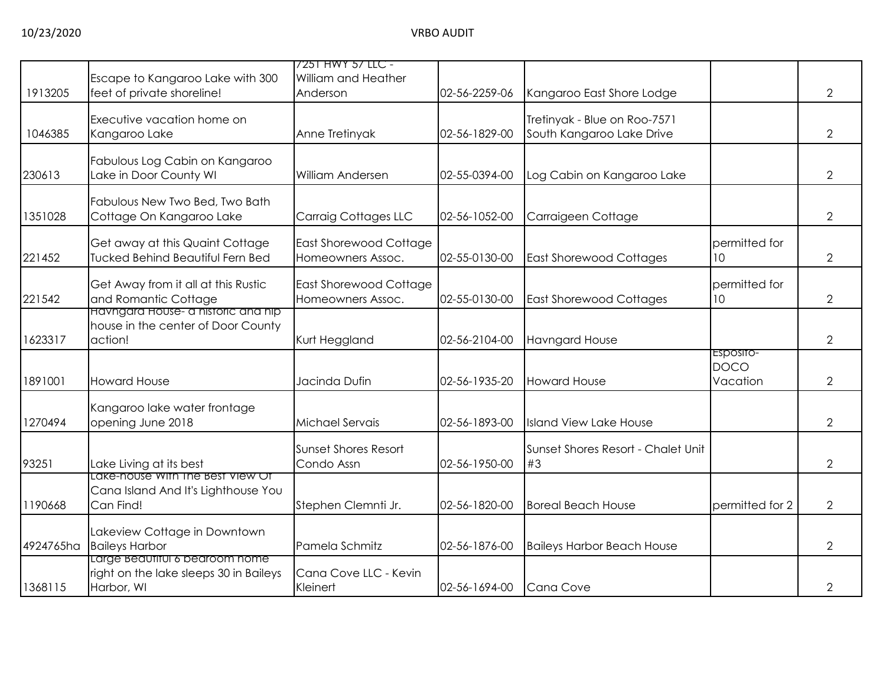|           |                                                                          | 7251 HWY 57 LLC -               |               |                                    |                         |                |
|-----------|--------------------------------------------------------------------------|---------------------------------|---------------|------------------------------------|-------------------------|----------------|
| 1913205   | Escape to Kangaroo Lake with 300<br>feet of private shoreline!           | William and Heather<br>Anderson | 02-56-2259-06 | Kangaroo East Shore Lodge          |                         | $\overline{2}$ |
|           |                                                                          |                                 |               |                                    |                         |                |
|           | Executive vacation home on                                               |                                 |               | Tretinyak - Blue on Roo-7571       |                         |                |
| 1046385   | Kangaroo Lake                                                            | Anne Tretinyak                  | 02-56-1829-00 | South Kangaroo Lake Drive          |                         | 2              |
|           | Fabulous Log Cabin on Kangaroo                                           |                                 |               |                                    |                         |                |
| 230613    | Lake in Door County WI                                                   | William Andersen                | 02-55-0394-00 | Log Cabin on Kangaroo Lake         |                         | 2              |
|           | Fabulous New Two Bed, Two Bath                                           |                                 |               |                                    |                         |                |
| 1351028   | Cottage On Kangaroo Lake                                                 | <b>Carraig Cottages LLC</b>     | 02-56-1052-00 | Carraigeen Cottage                 |                         | $\overline{2}$ |
|           | Get away at this Quaint Cottage                                          | <b>East Shorewood Cottage</b>   |               |                                    | permitted for           |                |
| 221452    | <b>Tucked Behind Beautiful Fern Bed</b>                                  | Homeowners Assoc.               | 02-55-0130-00 | <b>East Shorewood Cottages</b>     | 10                      | 2              |
|           | Get Away from it all at this Rustic                                      | East Shorewood Cottage          |               |                                    | permitted for           |                |
| 221542    | and Romantic Cottage                                                     | Homeowners Assoc.               | 02-55-0130-00 | <b>East Shorewood Cottages</b>     | 10 <sup>°</sup>         | 2              |
|           | Havngard House- a historic and hip<br>house in the center of Door County |                                 |               |                                    |                         |                |
| 1623317   | action!                                                                  | Kurt Heggland                   | 02-56-2104-00 | <b>Havngard House</b>              |                         | $\overline{2}$ |
|           |                                                                          |                                 |               |                                    | ESposito-               |                |
| 1891001   | <b>Howard House</b>                                                      | Jacinda Dufin                   | 02-56-1935-20 | <b>Howard House</b>                | <b>DOCO</b><br>Vacation | $\overline{2}$ |
|           |                                                                          |                                 |               |                                    |                         |                |
| 1270494   | Kangaroo lake water frontage<br>opening June 2018                        | Michael Servais                 | 02-56-1893-00 | <b>Island View Lake House</b>      |                         | $\overline{2}$ |
|           |                                                                          |                                 |               |                                    |                         |                |
|           |                                                                          | <b>Sunset Shores Resort</b>     |               | Sunset Shores Resort - Chalet Unit |                         |                |
| 93251     | Lake Living at its best<br>Lake-house With The Best View Of              | Condo Assn                      | 02-56-1950-00 | #3                                 |                         | $\overline{2}$ |
|           | Cana Island And It's Lighthouse You                                      |                                 |               |                                    |                         |                |
| 1190668   | Can Find!                                                                | Stephen Clemnti Jr.             | 02-56-1820-00 | <b>Boreal Beach House</b>          | permitted for 2         | 2              |
|           | Lakeview Cottage in Downtown                                             |                                 |               |                                    |                         |                |
| 4924765ha | <b>Baileys Harbor</b>                                                    | Pamela Schmitz                  | 02-56-1876-00 | <b>Baileys Harbor Beach House</b>  |                         | 2              |
|           | Large Beautiful 6 bearoom nome<br>right on the lake sleeps 30 in Baileys | Cana Cove LLC - Kevin           |               |                                    |                         |                |
| 1368115   | Harbor, WI                                                               | Kleinert                        | 02-56-1694-00 | Cana Cove                          |                         | 2              |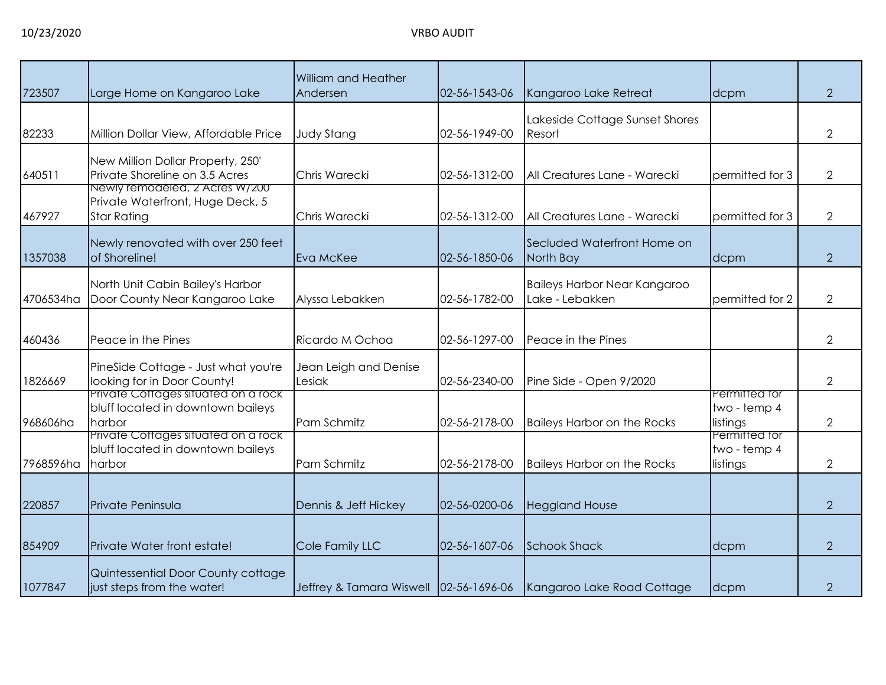| 723507    | Large Home on Kangaroo Lake                                                        | William and Heather<br>Andersen        | 02-56-1543-06 | Kangaroo Lake Retreat                           | dcpm                                      | $\overline{2}$ |
|-----------|------------------------------------------------------------------------------------|----------------------------------------|---------------|-------------------------------------------------|-------------------------------------------|----------------|
| 82233     | Million Dollar View, Affordable Price                                              | <b>Judy Stang</b>                      | 02-56-1949-00 | Lakeside Cottage Sunset Shores<br>Resort        |                                           | $\overline{2}$ |
| 640511    | New Million Dollar Property, 250'<br>Private Shoreline on 3.5 Acres                | Chris Warecki                          | 02-56-1312-00 | All Creatures Lane - Warecki                    | permitted for 3                           | $\overline{2}$ |
| 467927    | Newly remodeled, 2 Acres W/200<br>Private Waterfront, Huge Deck, 5<br>Star Rating  | Chris Warecki                          | 02-56-1312-00 | All Creatures Lane - Warecki                    | permitted for 3                           | $\overline{2}$ |
| 1357038   | Newly renovated with over 250 feet<br>of Shoreline!                                | Eva McKee                              | 02-56-1850-06 | Secluded Waterfront Home on<br>North Bay        | dcpm                                      | $\overline{2}$ |
| 4706534ha | North Unit Cabin Bailey's Harbor<br>Door County Near Kangaroo Lake                 | Alyssa Lebakken                        | 02-56-1782-00 | Baileys Harbor Near Kangaroo<br>Lake - Lebakken | permitted for 2                           | $\overline{2}$ |
| 460436    | Peace in the Pines                                                                 | Ricardo M Ochoa                        | 02-56-1297-00 | Peace in the Pines                              |                                           | $\overline{2}$ |
| 1826669   | PineSide Cottage - Just what you're<br>looking for in Door County!                 | Jean Leigh and Denise<br>Lesiak        | 02-56-2340-00 | Pine Side - Open 9/2020                         |                                           | $\overline{2}$ |
| 968606ha  | Private Cottages situated on a rock<br>bluff located in downtown baileys<br>harbor | Pam Schmitz                            | 02-56-2178-00 | <b>Baileys Harbor on the Rocks</b>              | Permitted for<br>two - temp 4<br>listings | $\overline{2}$ |
| 7968596ha | Private Cottages situated on a rock<br>bluff located in downtown baileys<br>harbor | Pam Schmitz                            | 02-56-2178-00 | <b>Baileys Harbor on the Rocks</b>              | Permitted for<br>two - temp 4<br>listings | $\overline{2}$ |
| 220857    | Private Peninsula                                                                  | Dennis & Jeff Hickey                   | 02-56-0200-06 | <b>Heggland House</b>                           |                                           | $\overline{2}$ |
| 854909    | Private Water front estate!                                                        | Cole Family LLC                        | 02-56-1607-06 | <b>Schook Shack</b>                             | dcpm                                      | $\overline{2}$ |
| 1077847   | Quintessential Door County cottage<br>just steps from the water!                   | Jeffrey & Tamara Wiswell 02-56-1696-06 |               | Kangaroo Lake Road Cottage                      | dcpm                                      | $\overline{2}$ |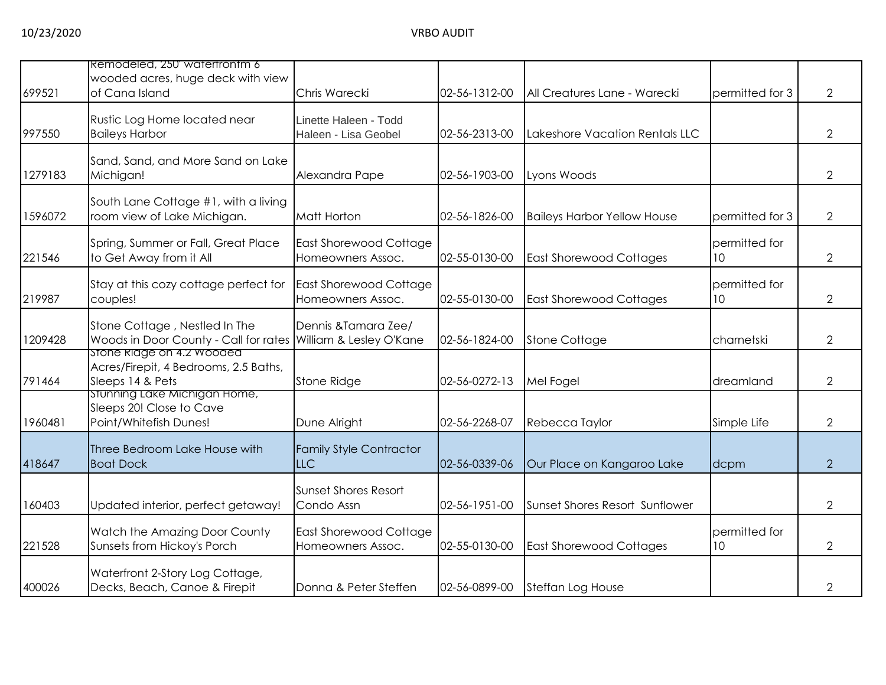|         | Remodeled, 250 watertrontm 6                                                                   |                                                    |               |                                    |                     |                |
|---------|------------------------------------------------------------------------------------------------|----------------------------------------------------|---------------|------------------------------------|---------------------|----------------|
| 699521  | wooded acres, huge deck with view<br>of Cana Island                                            | Chris Warecki                                      | 02-56-1312-00 | All Creatures Lane - Warecki       | permitted for 3     | 2              |
| 997550  | Rustic Log Home located near<br><b>Baileys Harbor</b>                                          | Linette Haleen - Todd<br>Haleen - Lisa Geobel      | 02-56-2313-00 | Lakeshore Vacation Rentals LLC     |                     | $\overline{2}$ |
| 1279183 | Sand, Sand, and More Sand on Lake<br>Michigan!                                                 | Alexandra Pape                                     | 02-56-1903-00 | Lyons Woods                        |                     | $\overline{2}$ |
| 1596072 | South Lane Cottage #1, with a living<br>room view of Lake Michigan.                            | Matt Horton                                        | 02-56-1826-00 | <b>Baileys Harbor Yellow House</b> | permitted for 3     | 2              |
| 221546  | Spring, Summer or Fall, Great Place<br>to Get Away from it All                                 | <b>East Shorewood Cottage</b><br>Homeowners Assoc. | 02-55-0130-00 | <b>East Shorewood Cottages</b>     | permitted for<br>10 | $\overline{2}$ |
| 219987  | Stay at this cozy cottage perfect for<br>couples!                                              | <b>East Shorewood Cottage</b><br>Homeowners Assoc. | 02-55-0130-00 | <b>East Shorewood Cottages</b>     | permitted for<br>10 | $\overline{2}$ |
| 1209428 | Stone Cottage, Nestled In The<br>Woods in Door County - Call for rates William & Lesley O'Kane | Dennis & Tamara Zee/                               | 02-56-1824-00 | <b>Stone Cottage</b>               | charnetski          | $\overline{2}$ |
| 791464  | stone Ridge on 4.2 Wooded<br>Acres/Firepit, 4 Bedrooms, 2.5 Baths,<br>Sleeps 14 & Pets         | Stone Ridge                                        | 02-56-0272-13 | Mel Fogel                          | dreamland           | $\overline{2}$ |
| 1960481 | stunning Lake Michigan Home,<br>Sleeps 20! Close to Cave<br>Point/Whitefish Dunes!             | Dune Alright                                       | 02-56-2268-07 | Rebecca Taylor                     | Simple Life         | $\overline{2}$ |
| 418647  | Three Bedroom Lake House with<br><b>Boat Dock</b>                                              | <b>Family Style Contractor</b><br><b>LLC</b>       | 02-56-0339-06 | Our Place on Kangaroo Lake         | dcpm                | $\overline{2}$ |
| 160403  | Updated interior, perfect getaway!                                                             | <b>Sunset Shores Resort</b><br>Condo Assn          | 02-56-1951-00 | Sunset Shores Resort Sunflower     |                     | $\overline{2}$ |
| 221528  | Watch the Amazing Door County<br>Sunsets from Hickoy's Porch                                   | East Shorewood Cottage<br>Homeowners Assoc.        | 02-55-0130-00 | <b>East Shorewood Cottages</b>     | permitted for<br>10 | $\overline{2}$ |
| 400026  | Waterfront 2-Story Log Cottage,<br>Decks, Beach, Canoe & Firepit                               | Donna & Peter Steffen                              | 02-56-0899-00 | Steffan Log House                  |                     | 2              |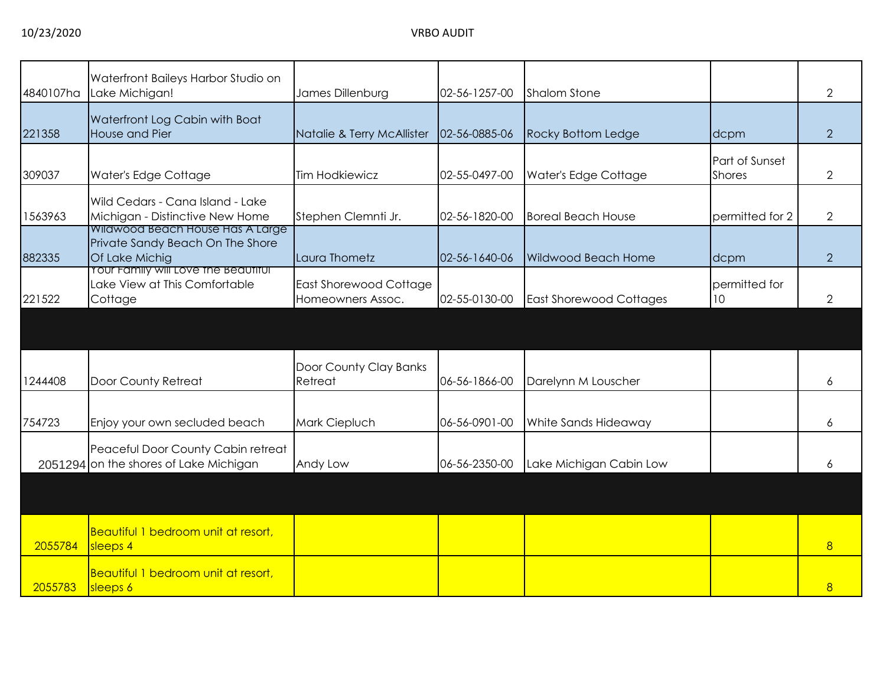| 4840107ha | Waterfront Baileys Harbor Studio on<br>Lake Michigan!                                  | James Dillenburg                                   | 02-56-1257-00 | <b>Shalom Stone</b>            |                                 | 2              |
|-----------|----------------------------------------------------------------------------------------|----------------------------------------------------|---------------|--------------------------------|---------------------------------|----------------|
| 221358    | Waterfront Log Cabin with Boat<br>House and Pier                                       | Natalie & Terry McAllister                         | 02-56-0885-06 | <b>Rocky Bottom Ledge</b>      | dcpm                            | $\overline{2}$ |
| 309037    | Water's Edge Cottage                                                                   | <b>Tim Hodkiewicz</b>                              | 02-55-0497-00 | Water's Edge Cottage           | Part of Sunset<br><b>Shores</b> | 2              |
| 1563963   | Wild Cedars - Cana Island - Lake<br>Michigan - Distinctive New Home                    | Stephen Clemnti Jr.                                | 02-56-1820-00 | <b>Boreal Beach House</b>      | permitted for 2                 | $\overline{2}$ |
| 882335    | Wildwood Beach House Has A Large<br>Private Sandy Beach On The Shore<br>Of Lake Michig | Laura Thometz                                      | 02-56-1640-06 | Wildwood Beach Home            | dcpm                            | $\overline{2}$ |
| 221522    | Your Family will Love the Beautiful<br>Lake View at This Comfortable<br>Cottage        | <b>East Shorewood Cottage</b><br>Homeowners Assoc. | 02-55-0130-00 | <b>East Shorewood Cottages</b> | permitted for<br>10             | $\overline{2}$ |
|           |                                                                                        |                                                    |               |                                |                                 |                |
| 1244408   | Door County Retreat                                                                    | Door County Clay Banks<br>Retreat                  | 06-56-1866-00 | Darelynn M Louscher            |                                 | 6              |
| 754723    | Enjoy your own secluded beach                                                          | Mark Ciepluch                                      | 06-56-0901-00 | White Sands Hideaway           |                                 | 6              |
|           | Peaceful Door County Cabin retreat<br>2051294 on the shores of Lake Michigan           | Andy Low                                           | 06-56-2350-00 | Lake Michigan Cabin Low        |                                 | 6              |
|           |                                                                                        |                                                    |               |                                |                                 |                |
| 2055784   | Beautiful 1 bedroom unit at resort,<br>sleeps 4                                        |                                                    |               |                                |                                 | 8              |
| 2055783   | Beautiful 1 bedroom unit at resort,<br>sleeps 6                                        |                                                    |               |                                |                                 | 8              |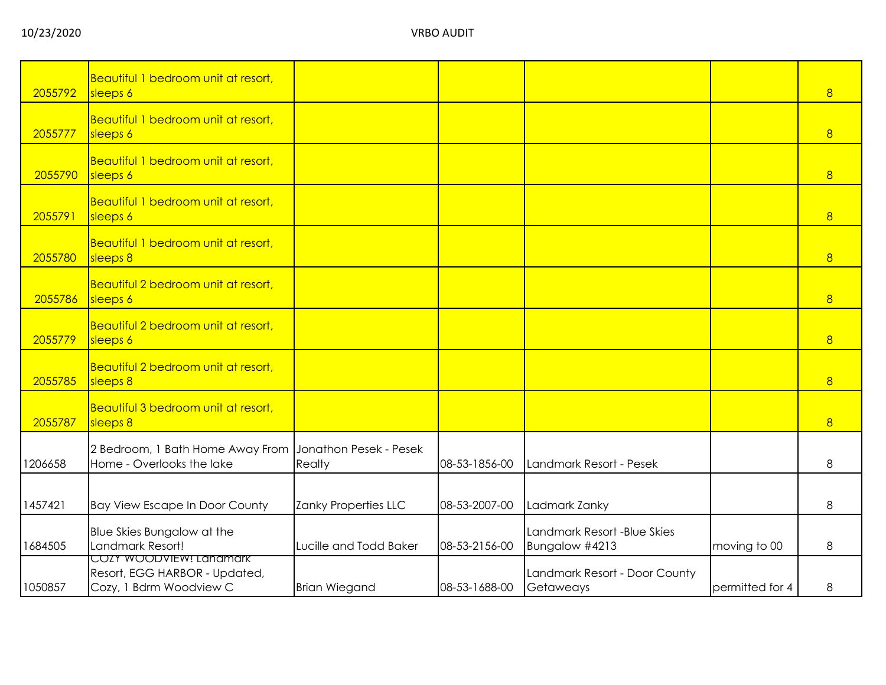| 2055792 | Beautiful 1 bedroom unit at resort,<br>sleeps 6                                     |                                  |               |                                               |                 | 8 |
|---------|-------------------------------------------------------------------------------------|----------------------------------|---------------|-----------------------------------------------|-----------------|---|
| 2055777 | Beautiful 1 bedroom unit at resort,<br>sleeps 6                                     |                                  |               |                                               |                 | 8 |
| 2055790 | Beautiful 1 bedroom unit at resort,<br>sleeps 6                                     |                                  |               |                                               |                 | 8 |
| 2055791 | Beautiful 1 bedroom unit at resort,<br>sleeps 6                                     |                                  |               |                                               |                 | 8 |
| 2055780 | Beautiful 1 bedroom unit at resort,<br>sleeps 8                                     |                                  |               |                                               |                 | 8 |
| 2055786 | Beautiful 2 bedroom unit at resort,<br>sleeps 6                                     |                                  |               |                                               |                 | 8 |
| 2055779 | Beautiful 2 bedroom unit at resort,<br>sleeps 6                                     |                                  |               |                                               |                 | 8 |
| 2055785 | Beautiful 2 bedroom unit at resort,<br>sleeps 8                                     |                                  |               |                                               |                 | 8 |
| 2055787 | Beautiful 3 bedroom unit at resort,<br>sleeps 8                                     |                                  |               |                                               |                 | 8 |
| 1206658 | 2 Bedroom, 1 Bath Home Away From<br>Home - Overlooks the lake                       | Jonathon Pesek - Pesek<br>Realty | 08-53-1856-00 | Landmark Resort - Pesek                       |                 | 8 |
| 1457421 | <b>Bay View Escape In Door County</b>                                               | Zanky Properties LLC             | 08-53-2007-00 | Ladmark Zanky                                 |                 | 8 |
| 1684505 | Blue Skies Bungalow at the<br>Landmark Resort!                                      | Lucille and Todd Baker           | 08-53-2156-00 | Landmark Resort -Blue Skies<br>Bungalow #4213 | moving to 00    | 8 |
| 1050857 | COZY WOODVIEW! Lanamark<br>Resort, EGG HARBOR - Updated,<br>Cozy, 1 Bdrm Woodview C | <b>Brian Wiegand</b>             | 08-53-1688-00 | Landmark Resort - Door County<br>Getaweays    | permitted for 4 | 8 |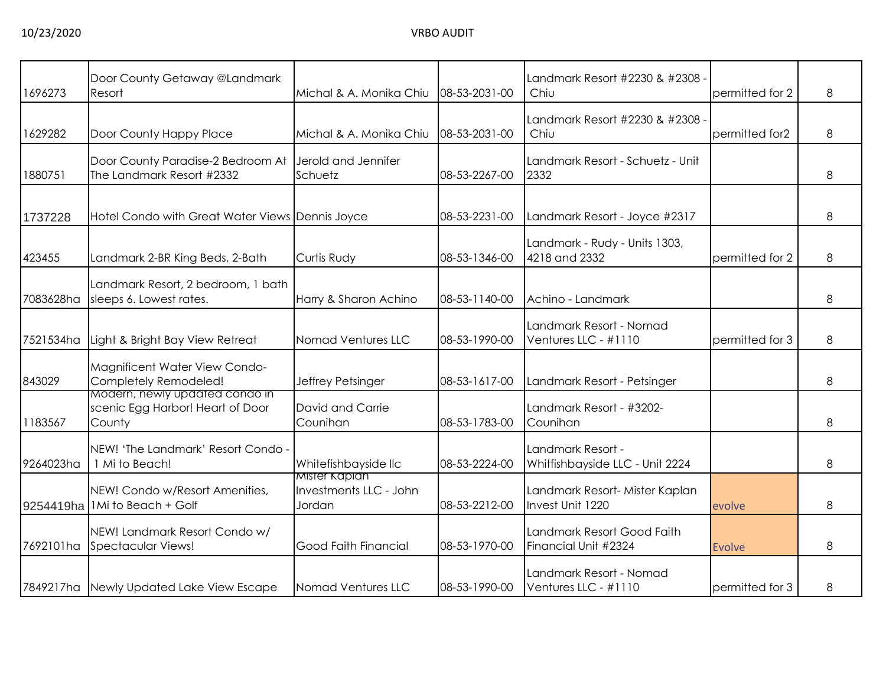| 1696273   | Door County Getaway @Landmark<br>Resort                                      | Michal & A. Monika Chiu                           | 08-53-2031-00 | Landmark Resort #2230 & #2308<br>Chiu                | permitted for 2 | 8 |
|-----------|------------------------------------------------------------------------------|---------------------------------------------------|---------------|------------------------------------------------------|-----------------|---|
| 1629282   | Door County Happy Place                                                      | Michal & A. Monika Chiu                           | 08-53-2031-00 | Landmark Resort #2230 & #2308 ·<br>Chiu              | permitted for2  | 8 |
| 1880751   | Door County Paradise-2 Bedroom At<br>The Landmark Resort #2332               | Jerold and Jennifer<br>Schuetz                    | 08-53-2267-00 | Landmark Resort - Schuetz - Unit<br>2332             |                 | 8 |
| 1737228   | Hotel Condo with Great Water Views Dennis Joyce                              |                                                   | 08-53-2231-00 | Landmark Resort - Joyce #2317                        |                 | 8 |
| 423455    | Landmark 2-BR King Beds, 2-Bath                                              | <b>Curtis Rudy</b>                                | 08-53-1346-00 | Landmark - Rudy - Units 1303,<br>4218 and 2332       | permitted for 2 | 8 |
| 7083628ha | Landmark Resort, 2 bedroom, 1 bath<br>sleeps 6. Lowest rates.                | Harry & Sharon Achino                             | 08-53-1140-00 | Achino - Landmark                                    |                 | 8 |
| 7521534ha | Light & Bright Bay View Retreat                                              | Nomad Ventures LLC                                | 08-53-1990-00 | Landmark Resort - Nomad<br>Ventures LLC - #1110      | permitted for 3 | 8 |
| 843029    | Magnificent Water View Condo-<br>Completely Remodeled!                       | Jeffrey Petsinger                                 | 08-53-1617-00 | Landmark Resort - Petsinger                          |                 | 8 |
| 1183567   | Modern, newly updated condo in<br>scenic Egg Harbor! Heart of Door<br>County | David and Carrie<br>Counihan                      | 08-53-1783-00 | Landmark Resort - #3202-<br>Counihan                 |                 | 8 |
| 9264023ha | NEW! 'The Landmark' Resort Condo -<br>1 Mi to Beach!                         | Whitefishbayside llc                              | 08-53-2224-00 | Landmark Resort -<br>Whitfishbayside LLC - Unit 2224 |                 | 8 |
| 9254419ha | NEW! Condo w/Resort Amenities,<br>1Mi to Beach + Golf                        | Mister Kaplan<br>Investments LLC - John<br>Jordan | 08-53-2212-00 | Landmark Resort- Mister Kaplan<br>Invest Unit 1220   | evolve          | 8 |
| 7692101ha | NEW! Landmark Resort Condo w/<br><b>Spectacular Views!</b>                   | <b>Good Faith Financial</b>                       | 08-53-1970-00 | Landmark Resort Good Faith<br>Financial Unit #2324   | <b>Evolve</b>   | 8 |
|           | 7849217ha Newly Updated Lake View Escape                                     | Nomad Ventures LLC                                | 08-53-1990-00 | Landmark Resort - Nomad<br>Ventures LLC - #1110      | permitted for 3 | 8 |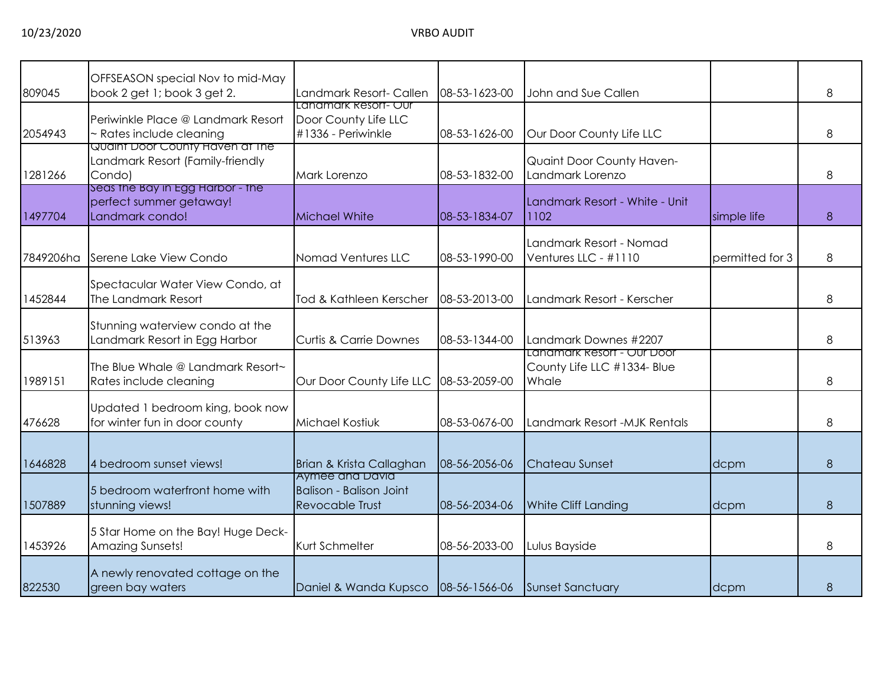| 809045    | OFFSEASON special Nov to mid-May<br>book 2 get 1; book 3 get 2.                | Landmark Resort- Callen                                                    | 08-53-1623-00 | John and Sue Callen                                                |                 | 8 |
|-----------|--------------------------------------------------------------------------------|----------------------------------------------------------------------------|---------------|--------------------------------------------------------------------|-----------------|---|
| 2054943   | Periwinkle Place @ Landmark Resort<br>~ Rates include cleaning                 | <u> Landmark Resort- Our</u><br>Door County Life LLC<br>#1336 - Periwinkle | 08-53-1626-00 | Our Door County Life LLC                                           |                 | 8 |
| 1281266   | Quaint Door County Haven at The<br>Landmark Resort (Family-friendly<br>Condo)  | Mark Lorenzo                                                               | 08-53-1832-00 | Quaint Door County Haven-<br>Landmark Lorenzo                      |                 | 8 |
| 1497704   | Seas the Bay in Egg Harbor - the<br>perfect summer getaway!<br>Landmark condo! | <b>Michael White</b>                                                       | 08-53-1834-07 | Landmark Resort - White - Unit<br>1102                             | simple life     | 8 |
| 7849206ha | Serene Lake View Condo                                                         | Nomad Ventures LLC                                                         | 08-53-1990-00 | Landmark Resort - Nomad<br>Ventures LLC - #1110                    | permitted for 3 | 8 |
| 1452844   | Spectacular Water View Condo, at<br>The Landmark Resort                        | Tod & Kathleen Kerscher                                                    | 08-53-2013-00 | Landmark Resort - Kerscher                                         |                 | 8 |
| 513963    | Stunning waterview condo at the<br>Landmark Resort in Egg Harbor               | <b>Curtis &amp; Carrie Downes</b>                                          | 08-53-1344-00 | Landmark Downes #2207                                              |                 | 8 |
| 1989151   | The Blue Whale @ Landmark Resort~<br>Rates include cleaning                    | Our Door County Life LLC                                                   | 08-53-2059-00 | Landmark Resort - Our Door<br>County Life LLC #1334- Blue<br>Whale |                 | 8 |
| 476628    | Updated 1 bedroom king, book now<br>for winter fun in door county              | Michael Kostiuk                                                            | 08-53-0676-00 | Landmark Resort - MJK Rentals                                      |                 | 8 |
| 1646828   | 4 bedroom sunset views!                                                        | Brian & Krista Callaghan                                                   | 08-56-2056-06 | <b>Chateau Sunset</b>                                              | dcpm            | 8 |
| 1507889   | 5 bedroom waterfront home with<br>stunning views!                              | Aymee and David<br><b>Balison - Balison Joint</b><br>Revocable Trust       | 08-56-2034-06 | <b>White Cliff Landing</b>                                         | dcpm            | 8 |
| 1453926   | 5 Star Home on the Bay! Huge Deck-<br>Amazing Sunsets!                         | Kurt Schmelter                                                             | 08-56-2033-00 | Lulus Bayside                                                      |                 | 8 |
| 822530    | A newly renovated cottage on the<br>green bay waters                           | Daniel & Wanda Kupsco                                                      | 08-56-1566-06 | Sunset Sanctuary                                                   | dcpm            | 8 |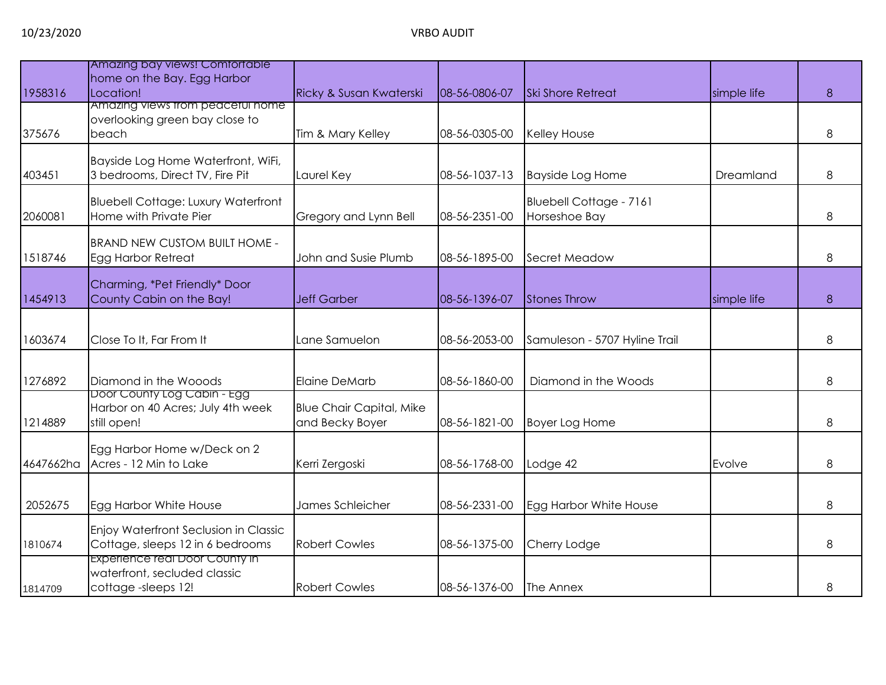|           | Amazing bay views! Comfortable                   |                                                    |               |                               |             |   |
|-----------|--------------------------------------------------|----------------------------------------------------|---------------|-------------------------------|-------------|---|
|           | home on the Bay. Egg Harbor                      |                                                    |               |                               |             |   |
| 1958316   | Location!<br>Amazing views trom peacetul nome    | <b>Ricky &amp; Susan Kwaterski</b>                 | 08-56-0806-07 | <b>Ski Shore Retreat</b>      | simple life | 8 |
|           | overlooking green bay close to                   |                                                    |               |                               |             |   |
| 375676    | beach                                            | Tim & Mary Kelley                                  | 08-56-0305-00 | <b>Kelley House</b>           |             | 8 |
|           |                                                  |                                                    |               |                               |             |   |
|           | Bayside Log Home Waterfront, WiFi,               |                                                    |               |                               |             |   |
| 403451    | 3 bedrooms, Direct TV, Fire Pit                  | Laurel Key                                         | 08-56-1037-13 | <b>Bayside Log Home</b>       | Dreamland   | 8 |
|           | <b>Bluebell Cottage: Luxury Waterfront</b>       |                                                    |               | Bluebell Cottage - 7161       |             |   |
| 2060081   | Home with Private Pier                           | Gregory and Lynn Bell                              | 08-56-2351-00 | Horseshoe Bay                 |             | 8 |
|           |                                                  |                                                    |               |                               |             |   |
|           | <b>BRAND NEW CUSTOM BUILT HOME -</b>             |                                                    |               |                               |             |   |
| 1518746   | <b>Egg Harbor Retreat</b>                        | John and Susie Plumb                               | 08-56-1895-00 | Secret Meadow                 |             | 8 |
|           |                                                  |                                                    |               |                               |             |   |
|           | Charming, *Pet Friendly* Door                    |                                                    |               |                               |             |   |
| 1454913   | County Cabin on the Bay!                         | <b>Jeff Garber</b>                                 | 08-56-1396-07 | Stones Throw                  | simple life | 8 |
|           |                                                  |                                                    |               |                               |             |   |
| 1603674   | Close To It, Far From It                         | Lane Samuelon                                      | 08-56-2053-00 | Samuleson - 5707 Hyline Trail |             | 8 |
|           |                                                  |                                                    |               |                               |             |   |
|           |                                                  |                                                    |               |                               |             |   |
| 1276892   | Diamond in the Wooods                            | <b>Elaine DeMarb</b>                               | 08-56-1860-00 | Diamond in the Woods          |             | 8 |
|           | Door County Log Cabin - Egg                      |                                                    |               |                               |             |   |
| 1214889   | Harbor on 40 Acres; July 4th week<br>still open! | <b>Blue Chair Capital, Mike</b><br>and Becky Boyer | 08-56-1821-00 | <b>Boyer Log Home</b>         |             | 8 |
|           |                                                  |                                                    |               |                               |             |   |
|           | Egg Harbor Home w/Deck on 2                      |                                                    |               |                               |             |   |
| 4647662ha | Acres - 12 Min to Lake                           | Kerri Zergoski                                     | 08-56-1768-00 | Lodge 42                      | Evolve      | 8 |
|           |                                                  |                                                    |               |                               |             |   |
|           |                                                  |                                                    |               |                               |             |   |
| 2052675   | Egg Harbor White House                           | James Schleicher                                   | 08-56-2331-00 | Egg Harbor White House        |             | 8 |
|           | Enjoy Waterfront Seclusion in Classic            |                                                    |               |                               |             |   |
| 1810674   | Cottage, sleeps 12 in 6 bedrooms                 | <b>Robert Cowles</b>                               | 08-56-1375-00 | Cherry Lodge                  |             | 8 |
|           | Experience real Door County in                   |                                                    |               |                               |             |   |
|           | waterfront, secluded classic                     |                                                    |               |                               |             |   |
| 1814709   | cottage-sleeps 12!                               | <b>Robert Cowles</b>                               | 08-56-1376-00 | The Annex                     |             | 8 |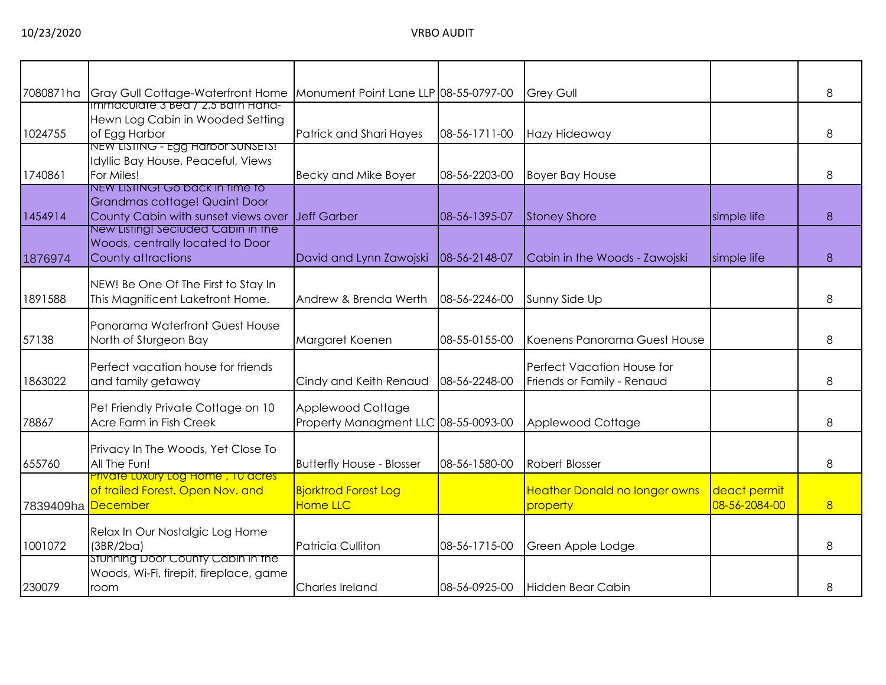| 7080871ha | Gray Gull Cottage-Waterfront Home                                                                                        | Monument Point Lane LLP 08-55-0797-00                     |               | <b>Grey Gull</b>                                         |                               | 8 |
|-----------|--------------------------------------------------------------------------------------------------------------------------|-----------------------------------------------------------|---------------|----------------------------------------------------------|-------------------------------|---|
| 1024755   | Immaculate 3 Bea / 2.5 Bath Hand-<br>Hewn Log Cabin in Wooded Setting<br>of Egg Harbor                                   | Patrick and Shari Hayes                                   | 08-56-1711-00 | Hazy Hideaway                                            |                               | 8 |
| 1740861   | NEW LISTING - EGG HARDOR SUNSETS!<br>Idyllic Bay House, Peaceful, Views<br>For Miles!<br>NEW LISTING! GO DACK IN TIME TO | <b>Becky and Mike Boyer</b>                               | 08-56-2203-00 | <b>Boyer Bay House</b>                                   |                               | 8 |
| 1454914   | Grandmas cottage! Quaint Door<br>County Cabin with sunset views over<br>New Listing! Seciuded Cabin in the               | Jeff Garber                                               | 08-56-1395-07 | <b>Stoney Shore</b>                                      | simple life                   | 8 |
| 1876974   | Woods, centrally located to Door<br>County attractions                                                                   | David and Lynn Zawojski                                   | 08-56-2148-07 | Cabin in the Woods - Zawojski                            | simple life                   | 8 |
| 1891588   | NEW! Be One Of The First to Stay In<br>This Magnificent Lakefront Home.                                                  | Andrew & Brenda Werth                                     | 08-56-2246-00 | Sunny Side Up                                            |                               | 8 |
| 57138     | Panorama Waterfront Guest House<br>North of Sturgeon Bay                                                                 | Margaret Koenen                                           | 08-55-0155-00 | Koenens Panorama Guest House                             |                               | 8 |
| 1863022   | Perfect vacation house for friends<br>and family getaway                                                                 | Cindy and Keith Renaud                                    | 08-56-2248-00 | Perfect Vacation House for<br>Friends or Family - Renaud |                               | 8 |
| 78867     | Pet Friendly Private Cottage on 10<br>Acre Farm in Fish Creek                                                            | Applewood Cottage<br>Property Managment LLC 08-55-0093-00 |               | Applewood Cottage                                        |                               | 8 |
| 655760    | Privacy In The Woods, Yet Close To<br>All The Fun!                                                                       | <b>Butterfly House - Blosser</b>                          | 08-56-1580-00 | <b>Robert Blosser</b>                                    |                               | 8 |
| 7839409ha | <b>Private Luxury Log Home, 10 acres</b><br>of trailed Forest. Open Nov. and<br><b>December</b>                          | <b>Bjorktrod Forest Log</b><br><b>Home LLC</b>            |               | <b>Heather Donald no longer owns</b><br>property         | deact permit<br>08-56-2084-00 | 8 |
| 1001072   | Relax In Our Nostalgic Log Home<br>(3BR/2ba)                                                                             | Patricia Culliton                                         | 08-56-1715-00 | Green Apple Lodge                                        |                               | 8 |
| 230079    | Stunning Door County Cabin in the<br>Woods, Wi-Fi, firepit, fireplace, game<br>room                                      | Charles Ireland                                           | 08-56-0925-00 | Hidden Bear Cabin                                        |                               | 8 |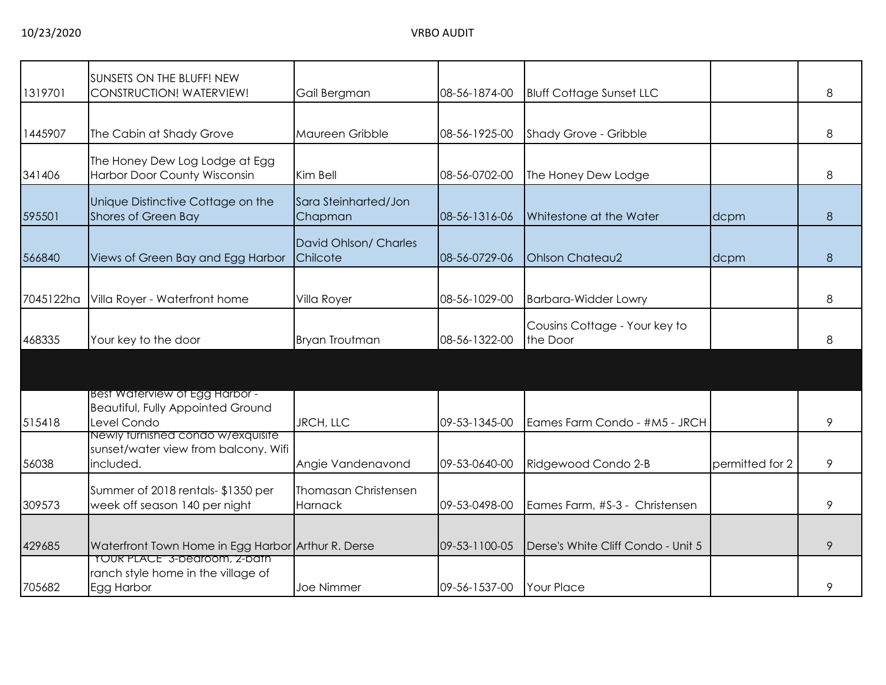| 1319701   | SUNSETS ON THE BLUFF! NEW<br><b>CONSTRUCTION! WATERVIEW!</b> | Gail Bergman          | 08-56-1874-00 | <b>Bluff Cottage Sunset LLC</b>    |                 | 8 |
|-----------|--------------------------------------------------------------|-----------------------|---------------|------------------------------------|-----------------|---|
|           |                                                              |                       |               |                                    |                 |   |
|           |                                                              |                       |               |                                    |                 |   |
| 1445907   | The Cabin at Shady Grove                                     | Maureen Gribble       | 08-56-1925-00 | Shady Grove - Gribble              |                 | 8 |
|           | The Honey Dew Log Lodge at Egg                               |                       |               |                                    |                 |   |
| 341406    | Harbor Door County Wisconsin                                 | Kim Bell              | 08-56-0702-00 | The Honey Dew Lodge                |                 | 8 |
|           |                                                              |                       |               |                                    |                 |   |
|           | Unique Distinctive Cottage on the                            | Sara Steinharted/Jon  |               |                                    |                 |   |
| 595501    | <b>Shores of Green Bay</b>                                   | Chapman               | 08-56-1316-06 | Whitestone at the Water            | dcpm            | 8 |
|           |                                                              | David Ohlson/ Charles |               |                                    |                 |   |
| 566840    | Views of Green Bay and Egg Harbor                            | Chilcote              | 08-56-0729-06 | <b>Ohlson Chateau2</b>             | dcpm            | 8 |
|           |                                                              |                       |               |                                    |                 |   |
|           |                                                              |                       |               |                                    |                 |   |
| 7045122ha | Villa Royer - Waterfront home                                | Villa Royer           | 08-56-1029-00 | <b>Barbara-Widder Lowry</b>        |                 | 8 |
|           |                                                              |                       |               |                                    |                 |   |
|           |                                                              |                       |               | Cousins Cottage - Your key to      |                 |   |
| 468335    | Your key to the door                                         | <b>Bryan Troutman</b> | 08-56-1322-00 | the Door                           |                 | 8 |
|           |                                                              |                       |               |                                    |                 |   |
|           |                                                              |                       |               |                                    |                 |   |
|           |                                                              |                       |               |                                    |                 |   |
|           | Best Waterview of Egg Harbor -                               |                       |               |                                    |                 |   |
|           | <b>Beautiful, Fully Appointed Ground</b>                     |                       |               |                                    |                 |   |
| 515418    | Level Condo                                                  | JRCH, LLC             | 09-53-1345-00 | Eames Farm Condo - #M5 - JRCH      |                 | 9 |
|           | Newly furnished condo w/exquisite                            |                       |               |                                    |                 |   |
|           | sunset/water view from balcony. Wifi                         |                       |               |                                    |                 |   |
| 56038     | included.                                                    | Angie Vandenavond     | 09-53-0640-00 | Ridgewood Condo 2-B                | permitted for 2 | 9 |
|           |                                                              |                       |               |                                    |                 |   |
|           | Summer of 2018 rentals- \$1350 per                           | Thomasan Christensen  |               |                                    |                 |   |
| 309573    | week off season 140 per night                                | <b>Harnack</b>        | 09-53-0498-00 | Eames Farm, #S-3 - Christensen     |                 | 9 |
|           |                                                              |                       |               |                                    |                 |   |
| 429685    | Waterfront Town Home in Egg Harbor Arthur R. Derse           |                       | 09-53-1100-05 | Derse's White Cliff Condo - Unit 5 |                 | 9 |
|           | TOUR PLACE" 3-bearoom, 2-bain                                |                       |               |                                    |                 |   |
|           | ranch style home in the village of                           |                       |               |                                    |                 |   |
| 705682    | Egg Harbor                                                   | Joe Nimmer            | 09-56-1537-00 | Your Place                         |                 | 9 |
|           |                                                              |                       |               |                                    |                 |   |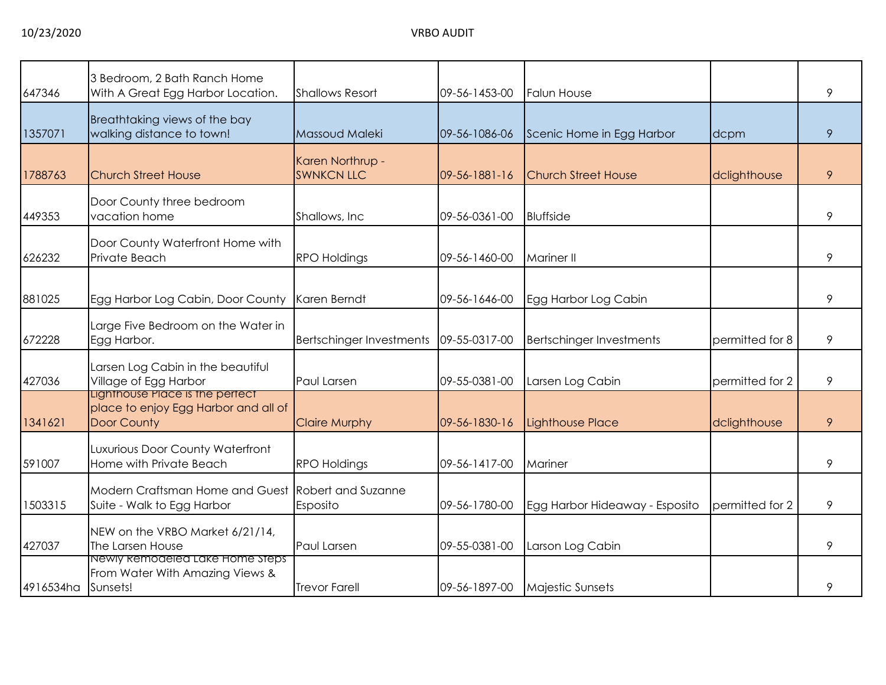| 647346             | 3 Bedroom, 2 Bath Ranch Home<br>With A Great Egg Harbor Location.                      | <b>Shallows Resort</b>                | 09-56-1453-00 | <b>Falun House</b>              |                 | 9 |
|--------------------|----------------------------------------------------------------------------------------|---------------------------------------|---------------|---------------------------------|-----------------|---|
| 1357071            | Breathtaking views of the bay<br>walking distance to town!                             | Massoud Maleki                        | 09-56-1086-06 | Scenic Home in Egg Harbor       | dcpm            | 9 |
| 1788763            | <b>Church Street House</b>                                                             | Karen Northrup -<br><b>SWNKCN LLC</b> | 09-56-1881-16 | <b>Church Street House</b>      | dclighthouse    | 9 |
| 449353             | Door County three bedroom<br>vacation home                                             | Shallows, Inc.                        | 09-56-0361-00 | <b>Bluffside</b>                |                 | 9 |
| 626232             | Door County Waterfront Home with<br>Private Beach                                      | <b>RPO Holdings</b>                   | 09-56-1460-00 | <b>Mariner II</b>               |                 | 9 |
| 881025             | Egg Harbor Log Cabin, Door County                                                      | Karen Berndt                          | 09-56-1646-00 | Egg Harbor Log Cabin            |                 | 9 |
| 672228             | Large Five Bedroom on the Water in<br>Egg Harbor.                                      | Bertschinger Investments              | 09-55-0317-00 | <b>Bertschinger Investments</b> | permitted for 8 | 9 |
| 427036             | Larsen Log Cabin in the beautiful<br>Village of Egg Harbor                             | Paul Larsen                           | 09-55-0381-00 | Larsen Log Cabin                | permitted for 2 | 9 |
| 1341621            | Lignthouse Place is the pertect<br>place to enjoy Egg Harbor and all of<br>Door County | <b>Claire Murphy</b>                  | 09-56-1830-16 | Lighthouse Place                | dclighthouse    | 9 |
| 591007             | Luxurious Door County Waterfront<br>Home with Private Beach                            | <b>RPO Holdings</b>                   | 09-56-1417-00 | Mariner                         |                 | 9 |
| 1503315            | Modern Craftsman Home and Guest<br>Suite - Walk to Egg Harbor                          | Robert and Suzanne<br>Esposito        | 09-56-1780-00 | Egg Harbor Hideaway - Esposito  | permitted for 2 | 9 |
| 427037             | NEW on the VRBO Market 6/21/14,<br>The Larsen House                                    | Paul Larsen                           | 09-55-0381-00 | Larson Log Cabin                |                 | 9 |
| 4916534ha Sunsets! | Newly Remodeled Lake Home Steps<br>From Water With Amazing Views &                     | <b>Trevor Farell</b>                  | 09-56-1897-00 | <b>Majestic Sunsets</b>         |                 | 9 |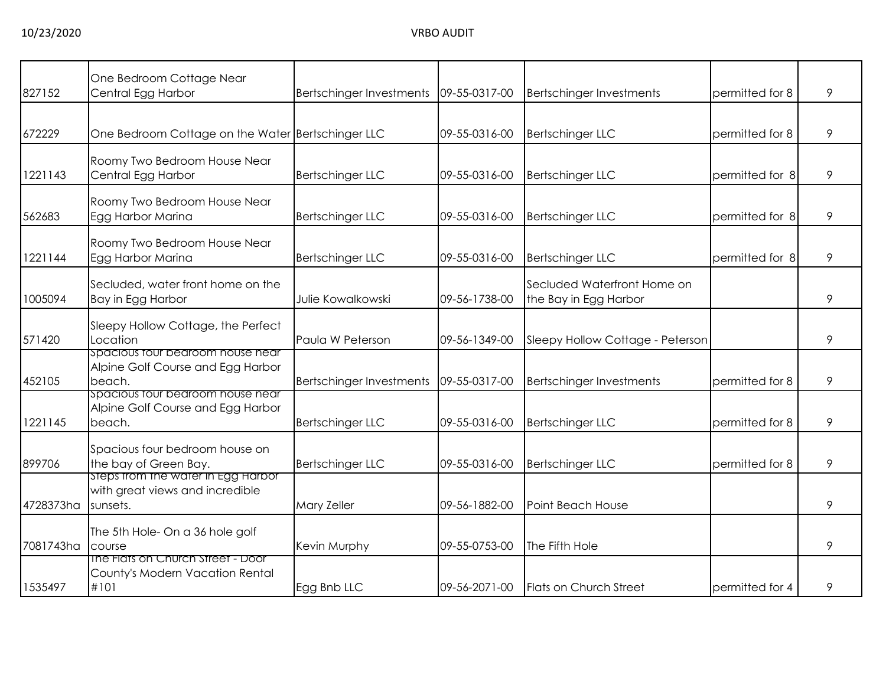| 827152    | One Bedroom Cottage Near<br>Central Egg Harbor                                    | Bertschinger Investments | 09-55-0317-00 | <b>Bertschinger Investments</b>                      | permitted for 8 | 9 |
|-----------|-----------------------------------------------------------------------------------|--------------------------|---------------|------------------------------------------------------|-----------------|---|
|           |                                                                                   |                          |               |                                                      |                 |   |
| 672229    | One Bedroom Cottage on the Water Bertschinger LLC                                 |                          | 09-55-0316-00 | <b>Bertschinger LLC</b>                              | permitted for 8 | 9 |
| 1221143   | Roomy Two Bedroom House Near<br>Central Egg Harbor                                | Bertschinger LLC         | 09-55-0316-00 | <b>Bertschinger LLC</b>                              | permitted for 8 | 9 |
| 562683    | Roomy Two Bedroom House Near<br>Egg Harbor Marina                                 | Bertschinger LLC         | 09-55-0316-00 | <b>Bertschinger LLC</b>                              | permitted for 8 | 9 |
| 1221144   | Roomy Two Bedroom House Near<br>Egg Harbor Marina                                 | <b>Bertschinger LLC</b>  | 09-55-0316-00 | <b>Bertschinger LLC</b>                              | permitted for 8 | 9 |
| 1005094   | Secluded, water front home on the<br>Bay in Egg Harbor                            | Julie Kowalkowski        | 09-56-1738-00 | Secluded Waterfront Home on<br>the Bay in Egg Harbor |                 | 9 |
| 571420    | Sleepy Hollow Cottage, the Perfect<br>Location                                    | Paula W Peterson         | 09-56-1349-00 | Sleepy Hollow Cottage - Peterson                     |                 | 9 |
| 452105    | spacious tour bearoom house near<br>Alpine Golf Course and Egg Harbor<br>beach.   | Bertschinger Investments | 09-55-0317-00 | <b>Bertschinger Investments</b>                      | permitted for 8 | 9 |
| 1221145   | spacious tour bearoom house near<br>Alpine Golf Course and Egg Harbor<br>beach.   | Bertschinger LLC         | 09-55-0316-00 | <b>Bertschinger LLC</b>                              | permitted for 8 | 9 |
| 899706    | Spacious four bedroom house on<br>the bay of Green Bay.                           | <b>Bertschinger LLC</b>  | 09-55-0316-00 | <b>Bertschinger LLC</b>                              | permitted for 8 | 9 |
| 4728373ha | Steps trom the water in Egg Harbor<br>with great views and incredible<br>sunsets. | Mary Zeller              | 09-56-1882-00 | Point Beach House                                    |                 | 9 |
| 7081743ha | The 5th Hole- On a 36 hole golf<br>course                                         | Kevin Murphy             | 09-55-0753-00 | The Fifth Hole                                       |                 | 9 |
| 1535497   | The Flats on Church Street - Door<br>County's Modern Vacation Rental<br>#101      | Egg Bnb LLC              | 09-56-2071-00 | Flats on Church Street                               | permitted for 4 | 9 |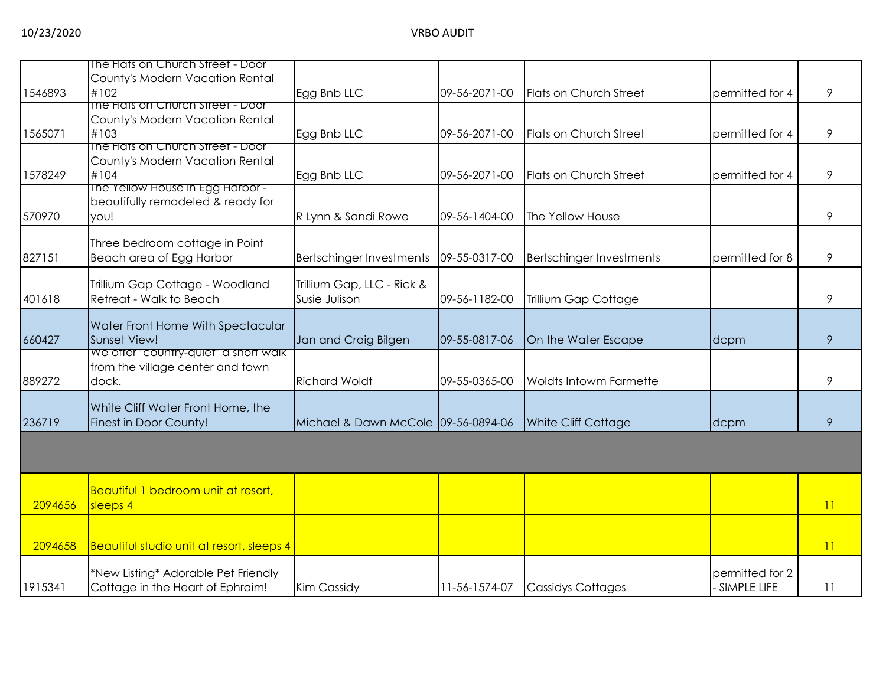|         | The Flats on Church Street - Door                        |                                     |               |                                 |                                |    |
|---------|----------------------------------------------------------|-------------------------------------|---------------|---------------------------------|--------------------------------|----|
|         | County's Modern Vacation Rental                          |                                     |               |                                 |                                |    |
| 1546893 | #102                                                     | Egg Bnb LLC                         | 09-56-2071-00 | Flats on Church Street          | permitted for 4                | 9  |
|         | The Flats on Church Street - Door                        |                                     |               |                                 |                                |    |
|         | County's Modern Vacation Rental                          |                                     |               |                                 |                                |    |
| 1565071 | #103                                                     | Egg Bnb LLC                         | 09-56-2071-00 | Flats on Church Street          | permitted for 4                | 9  |
|         | The Flats on Church Street - Door                        |                                     |               |                                 |                                |    |
|         | County's Modern Vacation Rental                          |                                     |               |                                 |                                |    |
| 1578249 | #104                                                     | Egg Bnb LLC                         | 09-56-2071-00 | Flats on Church Street          | permitted for 4                | 9  |
|         | The Yellow House in Egg Harbor -                         |                                     |               |                                 |                                |    |
|         | beautifully remodeled & ready for                        |                                     |               |                                 |                                |    |
| 570970  | you!                                                     | R Lynn & Sandi Rowe                 | 09-56-1404-00 | The Yellow House                |                                | 9  |
|         | Three bedroom cottage in Point                           |                                     |               |                                 |                                |    |
| 827151  | Beach area of Egg Harbor                                 | <b>Bertschinger Investments</b>     | 09-55-0317-00 | <b>Bertschinger Investments</b> | permitted for 8                | 9  |
|         |                                                          |                                     |               |                                 |                                |    |
|         | Trillium Gap Cottage - Woodland                          | Trillium Gap, LLC - Rick &          |               |                                 |                                |    |
| 401618  | Retreat - Walk to Beach                                  | Susie Julison                       | 09-56-1182-00 | Trillium Gap Cottage            |                                | 9  |
|         |                                                          |                                     |               |                                 |                                |    |
|         | Water Front Home With Spectacular<br><b>Sunset View!</b> |                                     |               |                                 |                                |    |
| 660427  | We offer "country-quiet" a short walk                    | Jan and Craig Bilgen                | 09-55-0817-06 | On the Water Escape             | dcpm                           | 9  |
|         | from the village center and town                         |                                     |               |                                 |                                |    |
| 889272  | dock.                                                    | <b>Richard Woldt</b>                | 09-55-0365-00 | <b>Woldts Intowm Farmette</b>   |                                | 9  |
|         |                                                          |                                     |               |                                 |                                |    |
|         | White Cliff Water Front Home, the                        |                                     |               |                                 |                                |    |
| 236719  | Finest in Door County!                                   | Michael & Dawn McCole 09-56-0894-06 |               | <b>White Cliff Cottage</b>      | dcpm                           | 9  |
|         |                                                          |                                     |               |                                 |                                |    |
|         |                                                          |                                     |               |                                 |                                |    |
|         |                                                          |                                     |               |                                 |                                |    |
|         | Beautiful 1 bedroom unit at resort,                      |                                     |               |                                 |                                |    |
| 2094656 | sleeps 4                                                 |                                     |               |                                 |                                | 11 |
|         |                                                          |                                     |               |                                 |                                |    |
|         |                                                          |                                     |               |                                 |                                |    |
| 2094658 | Beautiful studio unit at resort, sleeps 4                |                                     |               |                                 |                                | 11 |
|         |                                                          |                                     |               |                                 |                                |    |
|         | *New Listing* Adorable Pet Friendly                      |                                     |               |                                 | permitted for 2<br>SIMPLE LIFE |    |
| 1915341 | Cottage in the Heart of Ephraim!                         | <b>Kim Cassidy</b>                  | 11-56-1574-07 | <b>Cassidys Cottages</b>        |                                | 11 |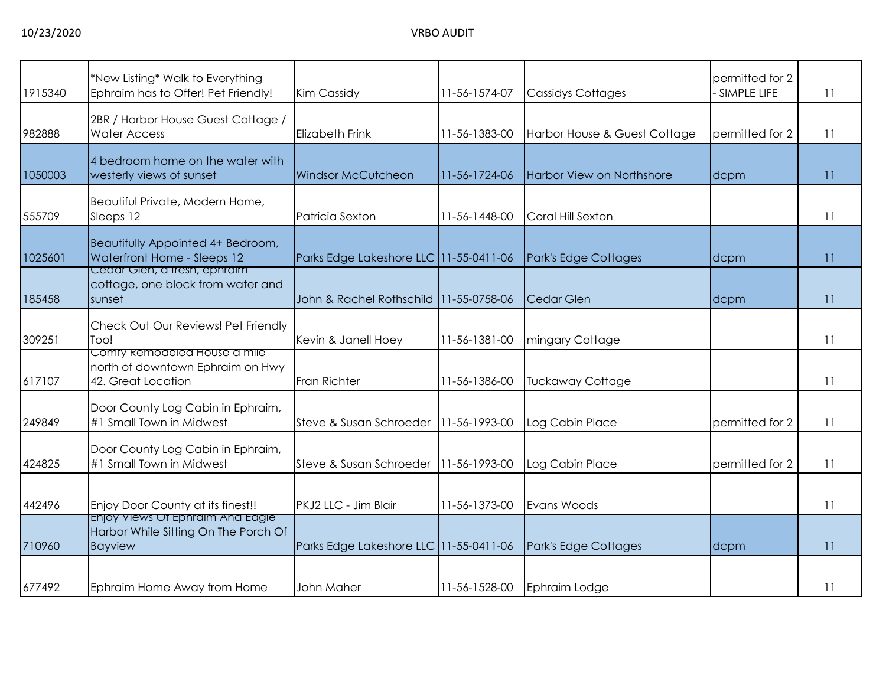| 1915340 | *New Listing* Walk to Everything<br>Ephraim has to Offer! Pet Friendly!                    | <b>Kim Cassidy</b>                     | 11-56-1574-07 | <b>Cassidys Cottages</b>     | permitted for 2<br>SIMPLE LIFE | 11 |
|---------|--------------------------------------------------------------------------------------------|----------------------------------------|---------------|------------------------------|--------------------------------|----|
| 982888  | 2BR / Harbor House Guest Cottage /<br><b>Water Access</b>                                  | Elizabeth Frink                        | 11-56-1383-00 | Harbor House & Guest Cottage | permitted for 2                | 11 |
| 1050003 | 4 bedroom home on the water with<br>westerly views of sunset                               | <b>Windsor McCutcheon</b>              | 11-56-1724-06 | Harbor View on Northshore    | dcpm                           | 11 |
| 555709  | Beautiful Private, Modern Home,<br>Sleeps 12                                               | Patricia Sexton                        | 11-56-1448-00 | Coral Hill Sexton            |                                | 11 |
| 1025601 | Beautifully Appointed 4+ Bedroom,<br>Waterfront Home - Sleeps 12                           | Parks Edge Lakeshore LLC 11-55-0411-06 |               | Park's Edge Cottages         | dcpm                           | 11 |
| 185458  | Cedar Gien, a tresh, ephraim<br>cottage, one block from water and<br>sunset                | John & Rachel Rothschild 11-55-0758-06 |               | Cedar Glen                   | dcpm                           | 11 |
| 309251  | Check Out Our Reviews! Pet Friendly<br>Too!                                                | Kevin & Janell Hoey                    | 11-56-1381-00 | mingary Cottage              |                                | 11 |
| 617107  | Comty kemodeled House a mile<br>north of downtown Ephraim on Hwy<br>42. Great Location     | <b>Fran Richter</b>                    | 11-56-1386-00 | <b>Tuckaway Cottage</b>      |                                | 11 |
| 249849  | Door County Log Cabin in Ephraim,<br>#1 Small Town in Midwest                              | Steve & Susan Schroeder                | 11-56-1993-00 | Log Cabin Place              | permitted for 2                | 11 |
| 424825  | Door County Log Cabin in Ephraim,<br>#1 Small Town in Midwest                              | Steve & Susan Schroeder                | 11-56-1993-00 | Log Cabin Place              | permitted for 2                | 11 |
| 442496  | Enjoy Door County at its finest!!                                                          | PKJ2 LLC - Jim Blair                   | 11-56-1373-00 | Evans Woods                  |                                | 11 |
| 710960  | Enjoy Views Of Ephraim And Eagle<br>Harbor While Sitting On The Porch Of<br><b>Bayview</b> | Parks Edge Lakeshore LLC 11-55-0411-06 |               | Park's Edge Cottages         | dcpm                           | 11 |
| 677492  | Ephraim Home Away from Home                                                                | John Maher                             | 11-56-1528-00 | Ephraim Lodge                |                                | 11 |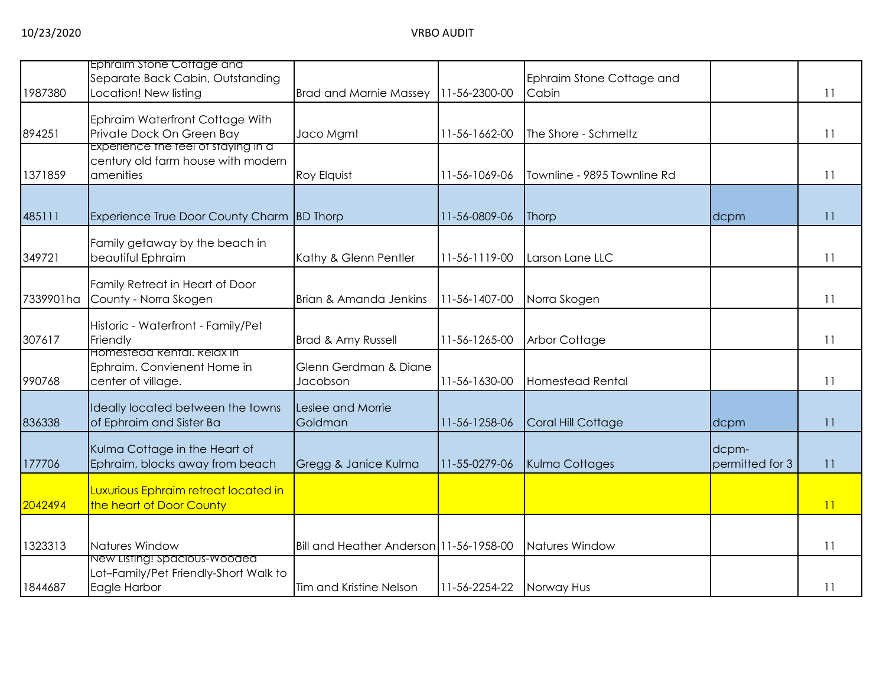| 1987380   | Ephraim stone Cottage and<br>Separate Back Cabin, Outstanding<br>Location! New listing | <b>Brad and Marnie Massey</b>           | 11-56-2300-00 | Ephraim Stone Cottage and<br>Cabin |                          | 11 |
|-----------|----------------------------------------------------------------------------------------|-----------------------------------------|---------------|------------------------------------|--------------------------|----|
| 894251    | Ephraim Waterfront Cottage With<br>Private Dock On Green Bay                           | Jaco Mgmt                               | 11-56-1662-00 | The Shore - Schmeltz               |                          | 11 |
| 1371859   | Experience the teel of staying in a<br>century old farm house with modern<br>amenities | <b>Roy Elquist</b>                      | 11-56-1069-06 | Townline - 9895 Townline Rd        |                          | 11 |
| 485111    | Experience True Door County Charm BD Thorp                                             |                                         | 11-56-0809-06 | Thorp                              | dcpm                     | 11 |
| 349721    | Family getaway by the beach in<br>beautiful Ephraim                                    | Kathy & Glenn Pentler                   | 11-56-1119-00 | Larson Lane LLC                    |                          | 11 |
| 7339901ha | Family Retreat in Heart of Door<br>County - Norra Skogen                               | Brian & Amanda Jenkins                  | 11-56-1407-00 | Norra Skogen                       |                          | 11 |
| 307617    | Historic - Waterfront - Family/Pet<br>Friendly                                         | Brad & Amy Russell                      | 11-56-1265-00 | <b>Arbor Cottage</b>               |                          | 11 |
| 990768    | Homestedd Rental, Relax in<br>Ephraim. Convienent Home in<br>center of village.        | Glenn Gerdman & Diane<br>Jacobson       | 11-56-1630-00 | <b>Homestead Rental</b>            |                          | 11 |
| 836338    | Ideally located between the towns<br>of Ephraim and Sister Ba                          | Leslee and Morrie<br>Goldman            | 11-56-1258-06 | Coral Hill Cottage                 | dcpm                     | 11 |
| 177706    | Kulma Cottage in the Heart of<br>Ephraim, blocks away from beach                       | Gregg & Janice Kulma                    | 11-55-0279-06 | Kulma Cottages                     | dcpm-<br>permitted for 3 | 11 |
| 2042494   | Luxurious Ephraim retreat located in<br>the heart of Door County                       |                                         |               |                                    |                          | 11 |
| 1323313   | Natures Window                                                                         | Bill and Heather Anderson 11-56-1958-00 |               | Natures Window                     |                          | 11 |
| 1844687   | New Listing! Spacious-Wooded<br>Lot-Family/Pet Friendly-Short Walk to<br>Eagle Harbor  | Tim and Kristine Nelson                 | 11-56-2254-22 | Norway Hus                         |                          | 11 |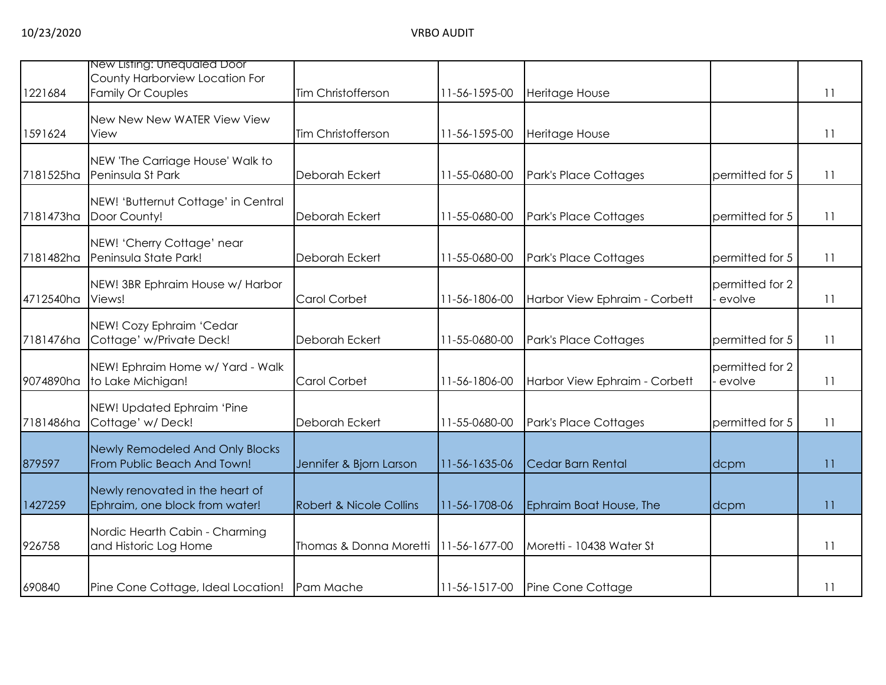| 1221684   | New Listing: Unequaled Door<br>County Harborview Location For<br><b>Family Or Couples</b> | Tim Christofferson                 | 11-56-1595-00 | Heritage House                |                           | 11              |
|-----------|-------------------------------------------------------------------------------------------|------------------------------------|---------------|-------------------------------|---------------------------|-----------------|
| 1591624   | New New New WATER View View<br>View                                                       | Tim Christofferson                 | 11-56-1595-00 | Heritage House                |                           | 11              |
| 7181525ha | NEW 'The Carriage House' Walk to<br>Peninsula St Park                                     | Deborah Eckert                     | 11-55-0680-00 | Park's Place Cottages         | permitted for 5           | 11              |
| 7181473ha | NEW! 'Butternut Cottage' in Central<br>Door County!                                       | Deborah Eckert                     | 11-55-0680-00 | Park's Place Cottages         | permitted for 5           | 11              |
| 7181482ha | NEW! 'Cherry Cottage' near<br>Peninsula State Park!                                       | Deborah Eckert                     | 11-55-0680-00 | Park's Place Cottages         | permitted for 5           | 11              |
| 4712540ha | NEW! 3BR Ephraim House w/ Harbor<br>Views!                                                | Carol Corbet                       | 11-56-1806-00 | Harbor View Ephraim - Corbett | permitted for 2<br>evolve | $\overline{11}$ |
| 7181476ha | NEW! Cozy Ephraim 'Cedar<br>Cottage' w/Private Deck!                                      | Deborah Eckert                     | 11-55-0680-00 | Park's Place Cottages         | permitted for 5           | -11             |
| 9074890ha | NEW! Ephraim Home w/ Yard - Walk<br>to Lake Michigan!                                     | Carol Corbet                       | 11-56-1806-00 | Harbor View Ephraim - Corbett | permitted for 2<br>evolve | 11              |
| 7181486ha | NEW! Updated Ephraim 'Pine<br>Cottage' w/Deck!                                            | Deborah Eckert                     | 11-55-0680-00 | Park's Place Cottages         | permitted for 5           | 11              |
| 879597    | Newly Remodeled And Only Blocks<br>From Public Beach And Town!                            | Jennifer & Bjorn Larson            | 11-56-1635-06 | Cedar Barn Rental             | dcpm                      | 11              |
| 1427259   | Newly renovated in the heart of<br>Ephraim, one block from water!                         | <b>Robert &amp; Nicole Collins</b> | 11-56-1708-06 | Ephraim Boat House, The       | dcpm                      | 11              |
| 926758    | Nordic Hearth Cabin - Charming<br>and Historic Log Home                                   | Thomas & Donna Moretti             | 11-56-1677-00 | Moretti - 10438 Water St      |                           | 11              |
| 690840    | Pine Cone Cottage, Ideal Location!                                                        | Pam Mache                          | 11-56-1517-00 | Pine Cone Cottage             |                           | 11              |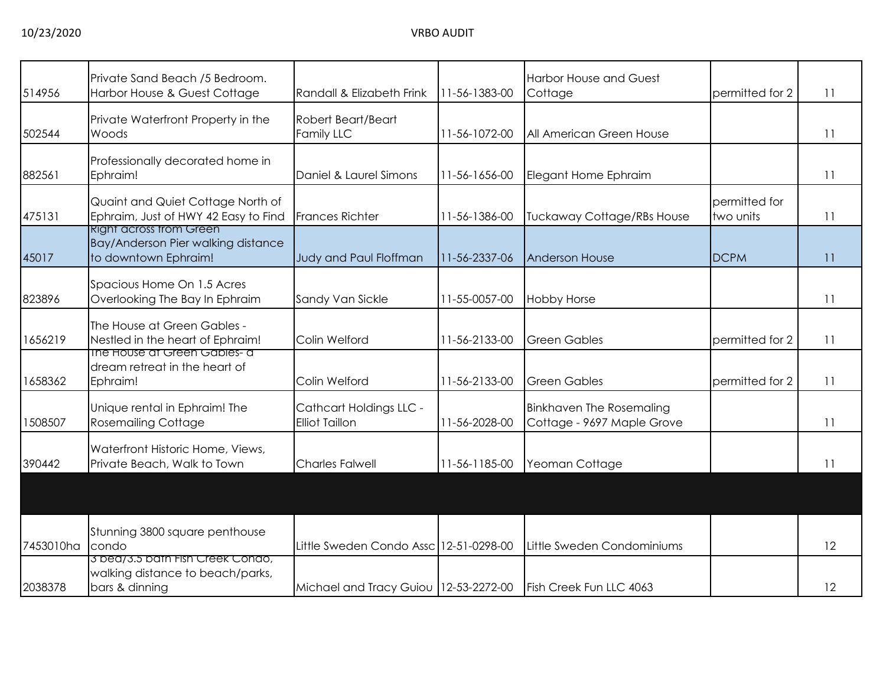|           | Private Sand Beach /5 Bedroom.                                       |                                        |               | <b>Harbor House and Guest</b>     |                 |                 |
|-----------|----------------------------------------------------------------------|----------------------------------------|---------------|-----------------------------------|-----------------|-----------------|
| 514956    | Harbor House & Guest Cottage                                         | Randall & Elizabeth Frink              | 11-56-1383-00 | Cottage                           | permitted for 2 | 11              |
|           | Private Waterfront Property in the                                   | Robert Beart/Beart                     |               |                                   |                 |                 |
| 502544    | Woods                                                                | Family LLC                             | 11-56-1072-00 | All American Green House          |                 | 11              |
|           |                                                                      |                                        |               |                                   |                 |                 |
|           | Professionally decorated home in                                     |                                        |               |                                   |                 |                 |
| 882561    | Ephraim!                                                             | Daniel & Laurel Simons                 | 11-56-1656-00 | Elegant Home Ephraim              |                 | 11              |
|           | Quaint and Quiet Cottage North of                                    |                                        |               |                                   | permitted for   |                 |
| 475131    | Ephraim, Just of HWY 42 Easy to Find                                 | <b>Frances Richter</b>                 | 11-56-1386-00 | <b>Tuckaway Cottage/RBs House</b> | two units       | 11              |
|           | <b>Right across trom Green</b><br>Bay/Anderson Pier walking distance |                                        |               |                                   |                 |                 |
| 45017     | to downtown Ephraim!                                                 | Judy and Paul Floffman                 | 11-56-2337-06 | <b>Anderson House</b>             | <b>DCPM</b>     | 11              |
|           |                                                                      |                                        |               |                                   |                 |                 |
|           | Spacious Home On 1.5 Acres                                           |                                        |               |                                   |                 |                 |
| 823896    | Overlooking The Bay In Ephraim                                       | Sandy Van Sickle                       | 11-55-0057-00 | <b>Hobby Horse</b>                |                 | 11              |
|           | The House at Green Gables -                                          |                                        |               |                                   |                 |                 |
| 1656219   | Nestled in the heart of Ephraim!                                     | Colin Welford                          | 11-56-2133-00 | <b>Green Gables</b>               | permitted for 2 | $\overline{11}$ |
|           | The House at Green Gables- a                                         |                                        |               |                                   |                 |                 |
|           | dream retreat in the heart of                                        |                                        |               |                                   |                 |                 |
| 1658362   | Ephraim!                                                             | Colin Welford                          | 11-56-2133-00 | <b>Green Gables</b>               | permitted for 2 | 11              |
|           | Unique rental in Ephraim! The                                        | Cathcart Holdings LLC -                |               | <b>Binkhaven The Rosemaling</b>   |                 |                 |
| 1508507   | <b>Rosemailing Cottage</b>                                           | <b>Elliot Taillon</b>                  | 11-56-2028-00 | Cottage - 9697 Maple Grove        |                 | 11              |
|           |                                                                      |                                        |               |                                   |                 |                 |
| 390442    | Waterfront Historic Home, Views,<br>Private Beach, Walk to Town      | <b>Charles Falwell</b>                 | 11-56-1185-00 | Yeoman Cottage                    |                 | 11              |
|           |                                                                      |                                        |               |                                   |                 |                 |
|           |                                                                      |                                        |               |                                   |                 |                 |
|           |                                                                      |                                        |               |                                   |                 |                 |
|           | Stunning 3800 square penthouse                                       |                                        |               |                                   |                 |                 |
| 7453010ha | condo                                                                | Little Sweden Condo Assc 12-51-0298-00 |               | Little Sweden Condominiums        |                 | 12              |
|           | 3 bea/3.5 bath Fish Creek Condo,                                     |                                        |               |                                   |                 |                 |
|           | walking distance to beach/parks,                                     |                                        |               |                                   |                 |                 |
| 2038378   | bars & dinning                                                       | Michael and Tracy Guiou 12-53-2272-00  |               | Fish Creek Fun LLC 4063           |                 | 12              |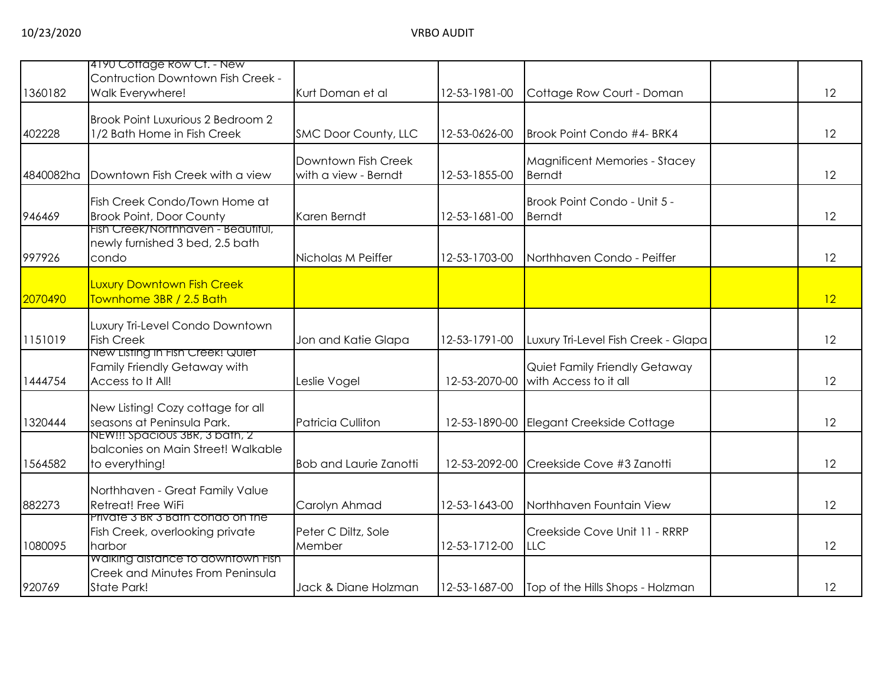| Walk Everywhere!                  | Kurt Doman et al                                                                                                                                                                                                                                                                                                                                                                                                                                                                                                                                                                                                                                               | 12-53-1981-00                                                                                                                       | Cottage Row Court - Doman                                                                          |                                                                                                                                                                                 | 12 |
|-----------------------------------|----------------------------------------------------------------------------------------------------------------------------------------------------------------------------------------------------------------------------------------------------------------------------------------------------------------------------------------------------------------------------------------------------------------------------------------------------------------------------------------------------------------------------------------------------------------------------------------------------------------------------------------------------------------|-------------------------------------------------------------------------------------------------------------------------------------|----------------------------------------------------------------------------------------------------|---------------------------------------------------------------------------------------------------------------------------------------------------------------------------------|----|
|                                   |                                                                                                                                                                                                                                                                                                                                                                                                                                                                                                                                                                                                                                                                |                                                                                                                                     |                                                                                                    |                                                                                                                                                                                 |    |
| 1/2 Bath Home in Fish Creek       |                                                                                                                                                                                                                                                                                                                                                                                                                                                                                                                                                                                                                                                                | 12-53-0626-00                                                                                                                       | Brook Point Condo #4- BRK4                                                                         |                                                                                                                                                                                 | 12 |
|                                   |                                                                                                                                                                                                                                                                                                                                                                                                                                                                                                                                                                                                                                                                |                                                                                                                                     |                                                                                                    |                                                                                                                                                                                 |    |
|                                   |                                                                                                                                                                                                                                                                                                                                                                                                                                                                                                                                                                                                                                                                |                                                                                                                                     |                                                                                                    |                                                                                                                                                                                 | 12 |
|                                   |                                                                                                                                                                                                                                                                                                                                                                                                                                                                                                                                                                                                                                                                |                                                                                                                                     |                                                                                                    |                                                                                                                                                                                 |    |
| Fish Creek Condo/Town Home at     |                                                                                                                                                                                                                                                                                                                                                                                                                                                                                                                                                                                                                                                                |                                                                                                                                     | Brook Point Condo - Unit 5 -                                                                       |                                                                                                                                                                                 |    |
|                                   | Karen Berndt                                                                                                                                                                                                                                                                                                                                                                                                                                                                                                                                                                                                                                                   |                                                                                                                                     | <b>Berndt</b>                                                                                      |                                                                                                                                                                                 | 12 |
|                                   |                                                                                                                                                                                                                                                                                                                                                                                                                                                                                                                                                                                                                                                                |                                                                                                                                     |                                                                                                    |                                                                                                                                                                                 |    |
| condo                             | Nicholas M Peiffer                                                                                                                                                                                                                                                                                                                                                                                                                                                                                                                                                                                                                                             | 12-53-1703-00                                                                                                                       | Northhaven Condo - Peiffer                                                                         |                                                                                                                                                                                 | 12 |
|                                   |                                                                                                                                                                                                                                                                                                                                                                                                                                                                                                                                                                                                                                                                |                                                                                                                                     |                                                                                                    |                                                                                                                                                                                 |    |
|                                   |                                                                                                                                                                                                                                                                                                                                                                                                                                                                                                                                                                                                                                                                |                                                                                                                                     |                                                                                                    |                                                                                                                                                                                 |    |
|                                   |                                                                                                                                                                                                                                                                                                                                                                                                                                                                                                                                                                                                                                                                |                                                                                                                                     |                                                                                                    |                                                                                                                                                                                 | 12 |
| Luxury Tri-Level Condo Downtown   |                                                                                                                                                                                                                                                                                                                                                                                                                                                                                                                                                                                                                                                                |                                                                                                                                     |                                                                                                    |                                                                                                                                                                                 |    |
| <b>Fish Creek</b>                 | Jon and Katie Glapa                                                                                                                                                                                                                                                                                                                                                                                                                                                                                                                                                                                                                                            | 12-53-1791-00                                                                                                                       | Luxury Tri-Level Fish Creek - Glapa                                                                |                                                                                                                                                                                 | 12 |
|                                   |                                                                                                                                                                                                                                                                                                                                                                                                                                                                                                                                                                                                                                                                |                                                                                                                                     |                                                                                                    |                                                                                                                                                                                 |    |
|                                   |                                                                                                                                                                                                                                                                                                                                                                                                                                                                                                                                                                                                                                                                |                                                                                                                                     |                                                                                                    |                                                                                                                                                                                 | 12 |
|                                   |                                                                                                                                                                                                                                                                                                                                                                                                                                                                                                                                                                                                                                                                |                                                                                                                                     |                                                                                                    |                                                                                                                                                                                 |    |
| New Listing! Cozy cottage for all |                                                                                                                                                                                                                                                                                                                                                                                                                                                                                                                                                                                                                                                                |                                                                                                                                     |                                                                                                    |                                                                                                                                                                                 |    |
|                                   |                                                                                                                                                                                                                                                                                                                                                                                                                                                                                                                                                                                                                                                                |                                                                                                                                     |                                                                                                    |                                                                                                                                                                                 | 12 |
|                                   |                                                                                                                                                                                                                                                                                                                                                                                                                                                                                                                                                                                                                                                                |                                                                                                                                     |                                                                                                    |                                                                                                                                                                                 |    |
| to everything!                    | <b>Bob and Laurie Zanotti</b>                                                                                                                                                                                                                                                                                                                                                                                                                                                                                                                                                                                                                                  | 12-53-2092-00                                                                                                                       | Creekside Cove #3 Zanotti                                                                          |                                                                                                                                                                                 | 12 |
|                                   |                                                                                                                                                                                                                                                                                                                                                                                                                                                                                                                                                                                                                                                                |                                                                                                                                     |                                                                                                    |                                                                                                                                                                                 |    |
|                                   |                                                                                                                                                                                                                                                                                                                                                                                                                                                                                                                                                                                                                                                                |                                                                                                                                     |                                                                                                    |                                                                                                                                                                                 | 12 |
| Private 3 BR 3 Bath condo on the  |                                                                                                                                                                                                                                                                                                                                                                                                                                                                                                                                                                                                                                                                |                                                                                                                                     |                                                                                                    |                                                                                                                                                                                 |    |
| Fish Creek, overlooking private   | Peter C Diltz, Sole                                                                                                                                                                                                                                                                                                                                                                                                                                                                                                                                                                                                                                            |                                                                                                                                     | Creekside Cove Unit 11 - RRRP                                                                      |                                                                                                                                                                                 |    |
|                                   |                                                                                                                                                                                                                                                                                                                                                                                                                                                                                                                                                                                                                                                                |                                                                                                                                     |                                                                                                    |                                                                                                                                                                                 | 12 |
|                                   |                                                                                                                                                                                                                                                                                                                                                                                                                                                                                                                                                                                                                                                                |                                                                                                                                     |                                                                                                    |                                                                                                                                                                                 |    |
| State Park!                       | Jack & Diane Holzman                                                                                                                                                                                                                                                                                                                                                                                                                                                                                                                                                                                                                                           | 12-53-1687-00                                                                                                                       | Top of the Hills Shops - Holzman                                                                   |                                                                                                                                                                                 | 12 |
|                                   | 4190 Coffage Row Cf. - New<br>Contruction Downtown Fish Creek -<br>Brook Point Luxurious 2 Bedroom 2<br>Downtown Fish Creek with a view<br><b>Brook Point, Door County</b><br>Fish Creek/Northhaven - Beautitul,<br>newly furnished 3 bed, 2.5 bath<br><b>Luxury Downtown Fish Creek</b><br>Townhome 3BR / 2.5 Bath<br>New Listing in Fish Creek! Quiet<br>Family Friendly Getaway with<br>Access to It All!<br>seasons at Peninsula Park.<br>NEW!!! Spacious 3BR, 3 bath, 2<br>balconies on Main Street! Walkable<br>Northhaven - Great Family Value<br>Retreat! Free WiFi<br>harbor<br>Walking distance to downtown Fish<br>Creek and Minutes From Peninsula | SMC Door County, LLC<br>Downtown Fish Creek<br>with a view - Berndt<br>Leslie Vogel<br>Patricia Culliton<br>Carolyn Ahmad<br>Member | 12-53-1855-00<br>12-53-1681-00<br>12-53-2070-00<br>12-53-1890-00<br>12-53-1643-00<br>12-53-1712-00 | Magnificent Memories - Stacey<br><b>Berndt</b><br>Quiet Family Friendly Getaway<br>with Access to it all<br>Elegant Creekside Cottage<br>Northhaven Fountain View<br><b>LLC</b> |    |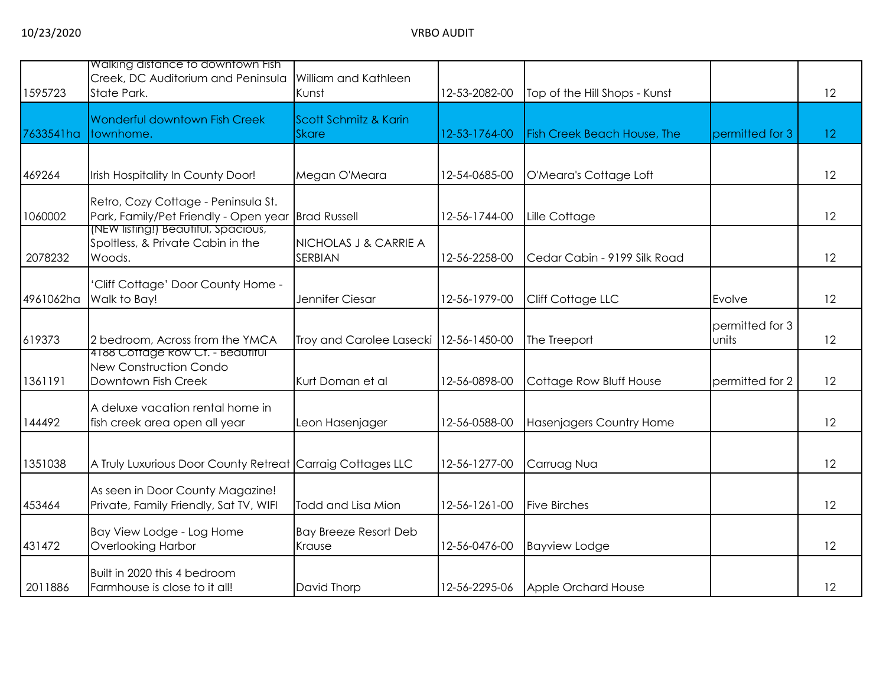| 1595723   | Walking distance to downtown Fish<br>Creek, DC Auditorium and Peninsula<br>State Park. | William and Kathleen<br>Kunst           | 12-53-2082-00 | Top of the Hill Shops - Kunst      |                          | 12              |
|-----------|----------------------------------------------------------------------------------------|-----------------------------------------|---------------|------------------------------------|--------------------------|-----------------|
| 7633541ha | Wonderful downtown Fish Creek<br>townhome.                                             | Scott Schmitz & Karin<br><b>Skare</b>   | 12-53-1764-00 | <b>Fish Creek Beach House, The</b> | permitted for 3          | 12 <sup>°</sup> |
| 469264    | Irish Hospitality In County Door!                                                      | Megan O'Meara                           | 12-54-0685-00 | O'Meara's Cottage Loft             |                          | 12              |
| 1060002   | Retro, Cozy Cottage - Peninsula St.<br>Park, Family/Pet Friendly - Open year           | <b>Brad Russell</b>                     | 12-56-1744-00 | Lille Cottage                      |                          | 12              |
| 2078232   | (NEW listing!) Beautitul, Spacious,<br>Spoltless, & Private Cabin in the<br>Woods.     | NICHOLAS J & CARRIE A<br><b>SERBIAN</b> | 12-56-2258-00 | Cedar Cabin - 9199 Silk Road       |                          | 12              |
| 4961062ha | Cliff Cottage' Door County Home -<br>Walk to Bay!                                      | Jennifer Ciesar                         | 12-56-1979-00 | Cliff Cottage LLC                  | Evolve                   | 12              |
| 619373    | 2 bedroom, Across from the YMCA                                                        | Troy and Carolee Lasecki                | 12-56-1450-00 | The Treeport                       | permitted for 3<br>units | 12              |
| 1361191   | 4188 Cottage Row Ct. - Beautiful<br>New Construction Condo<br>Downtown Fish Creek      | Kurt Doman et al                        | 12-56-0898-00 | Cottage Row Bluff House            | permitted for 2          | 12              |
| 144492    | A deluxe vacation rental home in<br>fish creek area open all year                      | Leon Hasenjager                         | 12-56-0588-00 | Hasenjagers Country Home           |                          | 12              |
| 1351038   | A Truly Luxurious Door County Retreat Carraig Cottages LLC                             |                                         | 12-56-1277-00 | Carruag Nua                        |                          | 12              |
| 453464    | As seen in Door County Magazine!<br>Private, Family Friendly, Sat TV, WIFI             | Todd and Lisa Mion                      | 12-56-1261-00 | <b>Five Birches</b>                |                          | 12              |
| 431472    | Bay View Lodge - Log Home<br><b>Overlooking Harbor</b>                                 | <b>Bay Breeze Resort Deb</b><br>Krause  | 12-56-0476-00 | <b>Bayview Lodge</b>               |                          | 12              |
| 2011886   | Built in 2020 this 4 bedroom<br>Farmhouse is close to it all!                          | David Thorp                             | 12-56-2295-06 | Apple Orchard House                |                          | 12              |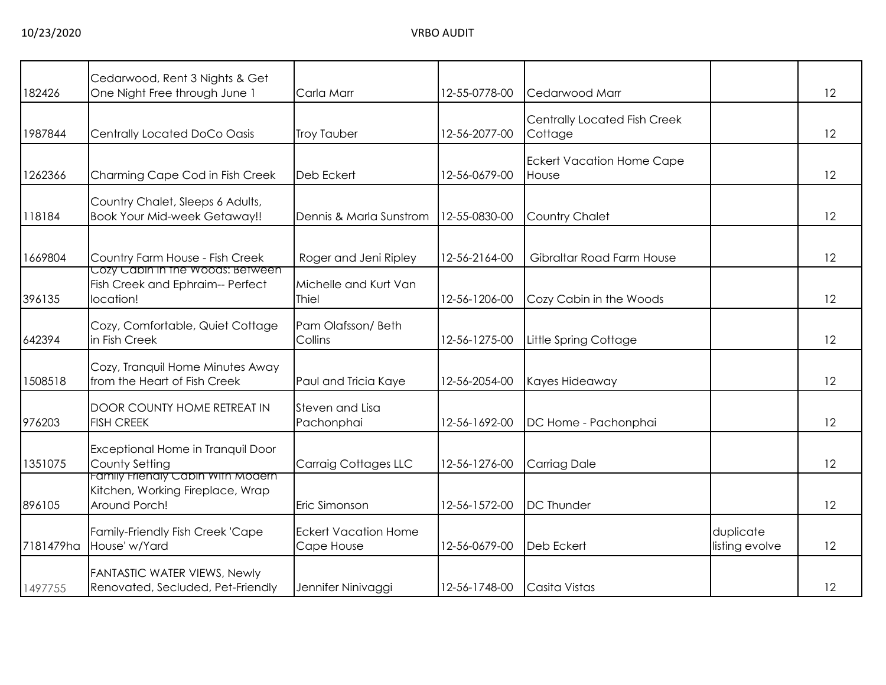| 182426    | Cedarwood, Rent 3 Nights & Get<br>One Night Free through June 1                        | Carla Marr                                | 12-55-0778-00 | Cedarwood Marr                            |                             | 12 |
|-----------|----------------------------------------------------------------------------------------|-------------------------------------------|---------------|-------------------------------------------|-----------------------------|----|
| 1987844   | Centrally Located DoCo Oasis                                                           | <b>Troy Tauber</b>                        | 12-56-2077-00 | Centrally Located Fish Creek<br>Cottage   |                             | 12 |
| 1262366   | Charming Cape Cod in Fish Creek                                                        | Deb Eckert                                | 12-56-0679-00 | <b>Eckert Vacation Home Cape</b><br>House |                             | 12 |
| 118184    | Country Chalet, Sleeps 6 Adults,<br><b>Book Your Mid-week Getaway!!</b>                | Dennis & Marla Sunstrom                   | 12-55-0830-00 | <b>Country Chalet</b>                     |                             | 12 |
| 1669804   | Country Farm House - Fish Creek<br>Cozy Cabin in the Woods: Between                    | Roger and Jeni Ripley                     | 12-56-2164-00 | Gibraltar Road Farm House                 |                             | 12 |
| 396135    | Fish Creek and Ephraim-- Perfect<br>location!                                          | Michelle and Kurt Van<br><b>Thiel</b>     | 12-56-1206-00 | Cozy Cabin in the Woods                   |                             | 12 |
| 642394    | Cozy, Comfortable, Quiet Cottage<br>in Fish Creek                                      | Pam Olafsson/Beth<br>Collins              | 12-56-1275-00 | Little Spring Cottage                     |                             | 12 |
| 1508518   | Cozy, Tranquil Home Minutes Away<br>from the Heart of Fish Creek                       | Paul and Tricia Kaye                      | 12-56-2054-00 | Kayes Hideaway                            |                             | 12 |
| 976203    | DOOR COUNTY HOME RETREAT IN<br><b>FISH CREEK</b>                                       | Steven and Lisa<br>Pachonphai             | 12-56-1692-00 | DC Home - Pachonphai                      |                             | 12 |
| 1351075   | Exceptional Home in Tranquil Door<br>County Setting                                    | <b>Carraig Cottages LLC</b>               | 12-56-1276-00 | Carriag Dale                              |                             | 12 |
| 896105    | Family Friendly Cabin With Modern<br>Kitchen, Working Fireplace, Wrap<br>Around Porch! | Eric Simonson                             | 12-56-1572-00 | <b>DC Thunder</b>                         |                             | 12 |
| 7181479ha | Family-Friendly Fish Creek 'Cape<br>House' w/Yard                                      | <b>Eckert Vacation Home</b><br>Cape House | 12-56-0679-00 | Deb Eckert                                | duplicate<br>listing evolve | 12 |
| 1497755   | FANTASTIC WATER VIEWS, Newly<br>Renovated, Secluded, Pet-Friendly                      | Jennifer Ninivaggi                        | 12-56-1748-00 | Casita Vistas                             |                             | 12 |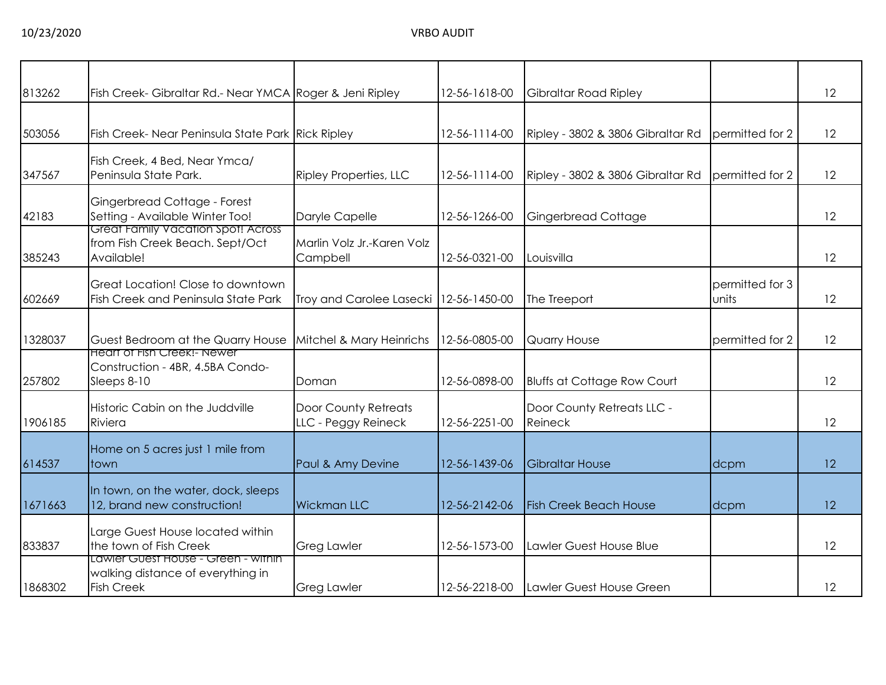| 813262  | Fish Creek- Gibraltar Rd.- Near YMCA Roger & Jeni Ripley                                      |                                                    | 12-56-1618-00 | Gibraltar Road Ripley                 |                          | 12                |
|---------|-----------------------------------------------------------------------------------------------|----------------------------------------------------|---------------|---------------------------------------|--------------------------|-------------------|
| 503056  | Fish Creek- Near Peninsula State Park Rick Ripley                                             |                                                    | 12-56-1114-00 | Ripley - 3802 & 3806 Gibraltar Rd     | permitted for 2          | $12 \overline{ }$ |
| 347567  | Fish Creek, 4 Bed, Near Ymca/<br>Peninsula State Park.                                        | <b>Ripley Properties, LLC</b>                      | 12-56-1114-00 | Ripley - 3802 & 3806 Gibraltar Rd     | permitted for 2          | 12                |
| 42183   | Gingerbread Cottage - Forest<br>Setting - Available Winter Too!                               | Daryle Capelle                                     | 12-56-1266-00 | Gingerbread Cottage                   |                          | 12                |
| 385243  | Great Family Vacation Spot! Across<br>from Fish Creek Beach. Sept/Oct<br>Available!           | Marlin Volz Jr.-Karen Volz<br>Campbell             | 12-56-0321-00 | Louisvilla                            |                          | 12                |
| 602669  | Great Location! Close to downtown<br>Fish Creek and Peninsula State Park                      | Troy and Carolee Lasecki   12-56-1450-00           |               | The Treeport                          | permitted for 3<br>units | 12                |
| 1328037 | Guest Bedroom at the Quarry House                                                             | Mitchel & Mary Heinrichs                           | 12-56-0805-00 | Quarry House                          | permitted for 2          | 12                |
| 257802  | <b>Heart of Fish Creek!- Newer</b><br>Construction - 4BR, 4.5BA Condo-<br>Sleeps 8-10         | Doman                                              | 12-56-0898-00 | <b>Bluffs at Cottage Row Court</b>    |                          | 12                |
| 1906185 | Historic Cabin on the Juddville<br>Riviera                                                    | <b>Door County Retreats</b><br>LLC - Peggy Reineck | 12-56-2251-00 | Door County Retreats LLC -<br>Reineck |                          | 12                |
| 614537  | Home on 5 acres just 1 mile from<br>town                                                      | Paul & Amy Devine                                  | 12-56-1439-06 | <b>Gibraltar House</b>                | dcpm                     | 12                |
| 1671663 | In town, on the water, dock, sleeps<br>12, brand new construction!                            | <b>Wickman LLC</b>                                 | 12-56-2142-06 | <b>Fish Creek Beach House</b>         | dcpm                     | 12                |
| 833837  | Large Guest House located within<br>the town of Fish Creek                                    | <b>Greg Lawler</b>                                 | 12-56-1573-00 | Lawler Guest House Blue               |                          | 12                |
| 1868302 | Lawler Guest House - Green - within<br>walking distance of everything in<br><b>Fish Creek</b> | <b>Greg Lawler</b>                                 | 12-56-2218-00 | Lawler Guest House Green              |                          | 12                |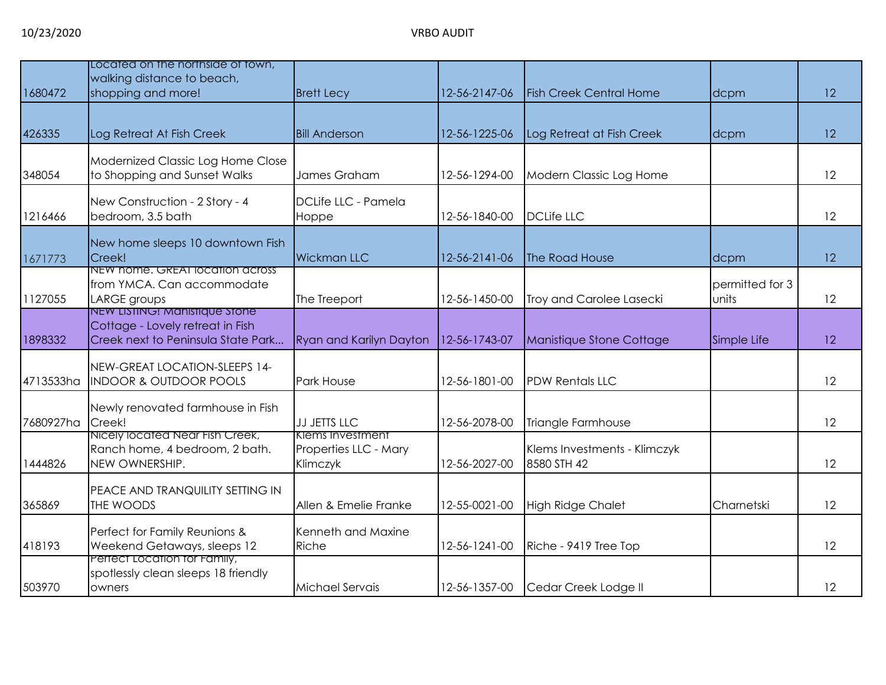|           | Located on the northside of fown,                                      |                                         |               |                                |                 |    |
|-----------|------------------------------------------------------------------------|-----------------------------------------|---------------|--------------------------------|-----------------|----|
|           | walking distance to beach,                                             |                                         |               |                                |                 |    |
| 1680472   | shopping and more!                                                     | <b>Brett Lecy</b>                       | 12-56-2147-06 | <b>Fish Creek Central Home</b> | dcpm            | 12 |
|           |                                                                        |                                         |               |                                |                 |    |
| 426335    | Log Retreat At Fish Creek                                              | <b>Bill Anderson</b>                    | 12-56-1225-06 | Log Retreat at Fish Creek      | dcpm            | 12 |
|           | Modernized Classic Log Home Close                                      |                                         |               |                                |                 |    |
| 348054    | to Shopping and Sunset Walks                                           | James Graham                            | 12-56-1294-00 | Modern Classic Log Home        |                 | 12 |
|           | New Construction - 2 Story - 4                                         | DCLife LLC - Pamela                     |               |                                |                 |    |
| 1216466   | bedroom, 3.5 bath                                                      | Hoppe                                   | 12-56-1840-00 | <b>DCLife LLC</b>              |                 | 12 |
|           | New home sleeps 10 downtown Fish                                       |                                         |               |                                |                 |    |
| 1671773   | Creek!                                                                 | <b>Wickman LLC</b>                      | 12-56-2141-06 | The Road House                 | dcpm            | 12 |
|           | NEW nome. GREAT location across<br>from YMCA. Can accommodate          |                                         |               |                                | permitted for 3 |    |
| 1127055   | LARGE groups                                                           | The Treeport                            | 12-56-1450-00 | Troy and Carolee Lasecki       | units           | 12 |
|           | NEW LISTING! Manistique Stone                                          |                                         |               |                                |                 |    |
| 1898332   | Cottage - Lovely retreat in Fish<br>Creek next to Peninsula State Park | Ryan and Karilyn Dayton                 | 12-56-1743-07 | Manistique Stone Cottage       | Simple Life     | 12 |
|           |                                                                        |                                         |               |                                |                 |    |
| 4713533ha | NEW-GREAT LOCATION-SLEEPS 14-<br><b>INDOOR &amp; OUTDOOR POOLS</b>     | Park House                              | 12-56-1801-00 | <b>PDW Rentals LLC</b>         |                 | 12 |
|           |                                                                        |                                         |               |                                |                 |    |
|           | Newly renovated farmhouse in Fish                                      |                                         |               |                                |                 |    |
| 7680927ha | Creek!<br>Nicely located Near Fish Creek,                              | <b>JJ JETTS LLC</b><br>Klems Investment | 12-56-2078-00 | Triangle Farmhouse             |                 | 12 |
|           | Ranch home, 4 bedroom, 2 bath.                                         | Properties LLC - Mary                   |               | Klems Investments - Klimczyk   |                 |    |
| 1444826   | NEW OWNERSHIP.                                                         | Klimczyk                                | 12-56-2027-00 | 8580 STH 42                    |                 | 12 |
|           | PEACE AND TRANQUILITY SETTING IN                                       |                                         |               |                                |                 |    |
| 365869    | THE WOODS                                                              | Allen & Emelie Franke                   | 12-55-0021-00 | <b>High Ridge Chalet</b>       | Charnetski      | 12 |
|           | Perfect for Family Reunions &                                          | Kenneth and Maxine                      |               |                                |                 |    |
| 418193    | Weekend Getaways, sleeps 12                                            | Riche                                   | 12-56-1241-00 | Riche - 9419 Tree Top          |                 | 12 |
|           | Perfect Location for Family,<br>spotlessly clean sleeps 18 friendly    |                                         |               |                                |                 |    |
| 503970    | owners                                                                 | Michael Servais                         | 12-56-1357-00 | Cedar Creek Lodge II           |                 | 12 |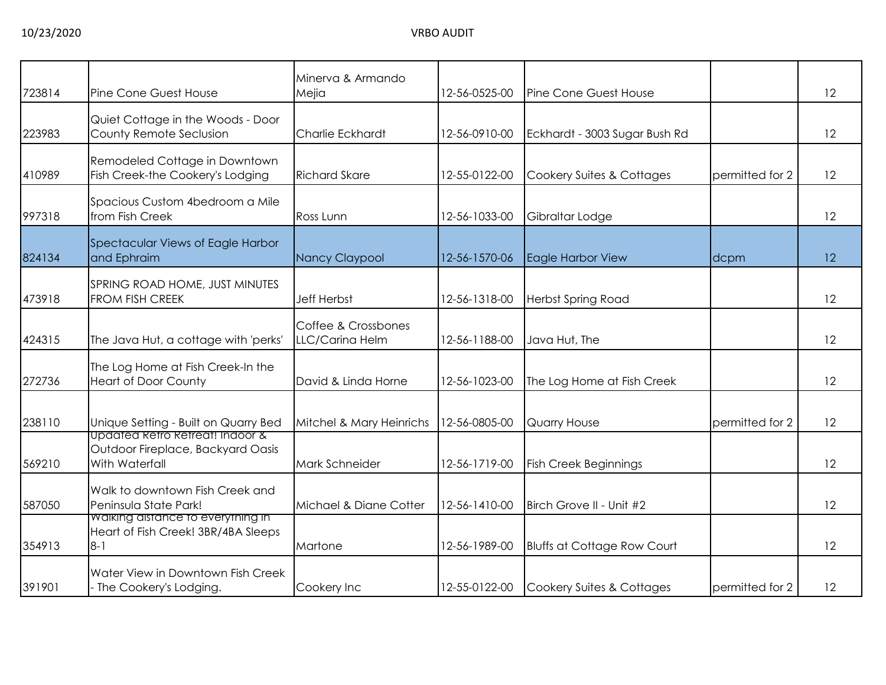|        |                                                                                                   | Minerva & Armando                      |               |                                    |                 |    |
|--------|---------------------------------------------------------------------------------------------------|----------------------------------------|---------------|------------------------------------|-----------------|----|
| 723814 | Pine Cone Guest House                                                                             | Mejia                                  | 12-56-0525-00 | Pine Cone Guest House              |                 | 12 |
| 223983 | Quiet Cottage in the Woods - Door<br>County Remote Seclusion                                      | <b>Charlie Eckhardt</b>                | 12-56-0910-00 | Eckhardt - 3003 Sugar Bush Rd      |                 | 12 |
| 410989 | Remodeled Cottage in Downtown<br>Fish Creek-the Cookery's Lodging                                 | <b>Richard Skare</b>                   | 12-55-0122-00 | Cookery Suites & Cottages          | permitted for 2 | 12 |
| 997318 | Spacious Custom 4bedroom a Mile<br>from Fish Creek                                                | Ross Lunn                              | 12-56-1033-00 | Gibraltar Lodge                    |                 | 12 |
| 824134 | Spectacular Views of Eagle Harbor<br>and Ephraim                                                  | Nancy Claypool                         | 12-56-1570-06 | Eagle Harbor View                  | dcpm            | 12 |
| 473918 | SPRING ROAD HOME, JUST MINUTES<br><b>FROM FISH CREEK</b>                                          | <b>Jeff Herbst</b>                     | 12-56-1318-00 | <b>Herbst Spring Road</b>          |                 | 12 |
| 424315 | The Java Hut, a cottage with 'perks'                                                              | Coffee & Crossbones<br>LLC/Carina Helm | 12-56-1188-00 | Java Hut, The                      |                 | 12 |
| 272736 | The Log Home at Fish Creek-In the<br><b>Heart of Door County</b>                                  | David & Linda Horne                    | 12-56-1023-00 | The Log Home at Fish Creek         |                 | 12 |
| 238110 | Unique Setting - Built on Quarry Bed                                                              | Mitchel & Mary Heinrichs               | 12-56-0805-00 | Quarry House                       | permitted for 2 | 12 |
| 569210 | <u>Updated Ketro Refreat! Indoor &amp;</u><br>Outdoor Fireplace, Backyard Oasis<br>With Waterfall | Mark Schneider                         | 12-56-1719-00 | <b>Fish Creek Beginnings</b>       |                 | 12 |
| 587050 | Walk to downtown Fish Creek and<br>Peninsula State Park!                                          | Michael & Diane Cotter                 | 12-56-1410-00 | Birch Grove II - Unit #2           |                 | 12 |
| 354913 | Walking distance to everything in<br>Heart of Fish Creek! 3BR/4BA Sleeps<br>$8 - 1$               | Martone                                | 12-56-1989-00 | <b>Bluffs at Cottage Row Court</b> |                 | 12 |
| 391901 | Water View in Downtown Fish Creek<br>- The Cookery's Lodging.                                     | Cookery Inc                            | 12-55-0122-00 | Cookery Suites & Cottages          | permitted for 2 | 12 |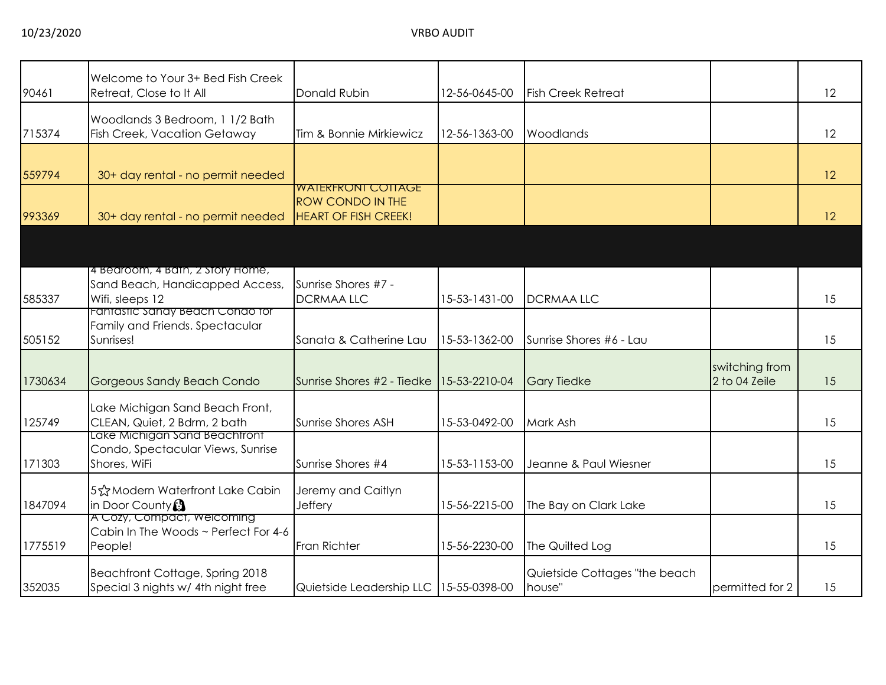| 90461   | Welcome to Your 3+ Bed Fish Creek<br>Retreat, Close to It All      | Donald Rubin                           | 12-56-0645-00 | <b>Fish Creek Retreat</b>     |                 | 12 |
|---------|--------------------------------------------------------------------|----------------------------------------|---------------|-------------------------------|-----------------|----|
|         |                                                                    |                                        |               |                               |                 |    |
|         | Woodlands 3 Bedroom, 1 1/2 Bath                                    |                                        |               |                               |                 |    |
| 715374  | <b>Fish Creek, Vacation Getaway</b>                                | Tim & Bonnie Mirkiewicz                | 12-56-1363-00 | Woodlands                     |                 | 12 |
|         |                                                                    |                                        |               |                               |                 |    |
| 559794  | 30+ day rental - no permit needed                                  |                                        |               |                               |                 | 12 |
|         |                                                                    | <u>WAIERFRONI COIIAGE</u>              |               |                               |                 |    |
|         |                                                                    | <b>ROW CONDO IN THE</b>                |               |                               |                 |    |
| 993369  | 30+ day rental - no permit needed                                  | <b>HEART OF FISH CREEK!</b>            |               |                               |                 | 12 |
|         |                                                                    |                                        |               |                               |                 |    |
|         |                                                                    |                                        |               |                               |                 |    |
|         |                                                                    |                                        |               |                               |                 |    |
|         | 4 Bedroom, 4 Bath, 2 Story Home,                                   |                                        |               |                               |                 |    |
|         | Sand Beach, Handicapped Access,                                    | Sunrise Shores #7 -                    |               |                               |                 |    |
| 585337  | Wifi, sleeps 12<br>Fantastic Sandy Beach Condo for                 | <b>DCRMAA LLC</b>                      | 15-53-1431-00 | <b>DCRMAALLC</b>              |                 | 15 |
|         | Family and Friends. Spectacular                                    |                                        |               |                               |                 |    |
| 505152  | Sunrises!                                                          | Sanata & Catherine Lau                 | 15-53-1362-00 | Sunrise Shores #6 - Lau       |                 | 15 |
|         |                                                                    |                                        |               |                               |                 |    |
|         |                                                                    |                                        |               |                               | switching from  |    |
| 1730634 | Gorgeous Sandy Beach Condo                                         | Sunrise Shores #2 - Tiedke             | 15-53-2210-04 | <b>Gary Tiedke</b>            | 2 to 04 Zeile   | 15 |
|         |                                                                    |                                        |               |                               |                 |    |
|         | Lake Michigan Sand Beach Front,                                    |                                        |               |                               |                 |    |
| 125749  | CLEAN, Quiet, 2 Bdrm, 2 bath                                       | <b>Sunrise Shores ASH</b>              | 15-53-0492-00 | Mark Ash                      |                 | 15 |
|         | Lake Michigan Sand Beachtront                                      |                                        |               |                               |                 |    |
|         | Condo, Spectacular Views, Sunrise                                  |                                        |               |                               |                 |    |
| 171303  | Shores, WiFi                                                       | Sunrise Shores #4                      | 15-53-1153-00 | Jeanne & Paul Wiesner         |                 | 15 |
|         |                                                                    |                                        |               |                               |                 |    |
|         | 5☆Modern Waterfront Lake Cabin                                     | Jeremy and Caitlyn                     |               |                               |                 |    |
| 1847094 | in Door County <sup>3</sup>                                        | Jeffery                                | 15-56-2215-00 | The Bay on Clark Lake         |                 | 15 |
|         | A Cozy, Compact, Welcoming<br>Cabin In The Woods ~ Perfect For 4-6 |                                        |               |                               |                 |    |
|         |                                                                    |                                        |               |                               |                 |    |
| 1775519 | People!                                                            | Fran Richter                           | 15-56-2230-00 | The Quilted Log               |                 | 15 |
|         | Beachfront Cottage, Spring 2018                                    |                                        |               | Quietside Cottages "the beach |                 |    |
| 352035  | Special 3 nights w/ 4th night free                                 | Quietside Leadership LLC 15-55-0398-00 |               | house"                        | permitted for 2 | 15 |
|         |                                                                    |                                        |               |                               |                 |    |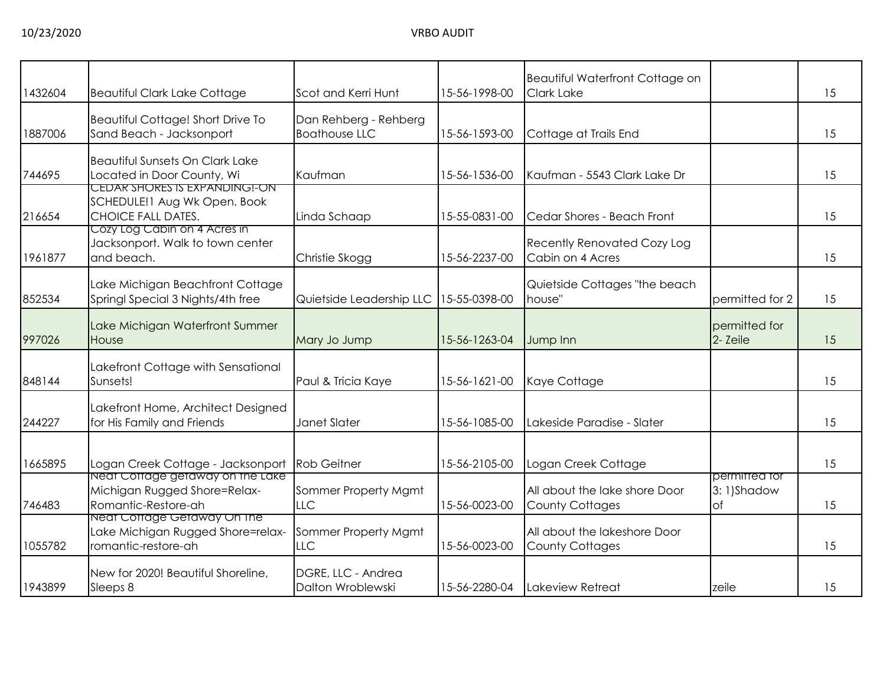| 1432604 | <b>Beautiful Clark Lake Cottage</b>                                                               | Scot and Kerri Hunt                           | 15-56-1998-00 | Beautiful Waterfront Cottage on<br><b>Clark Lake</b>    |                                   | 15 |
|---------|---------------------------------------------------------------------------------------------------|-----------------------------------------------|---------------|---------------------------------------------------------|-----------------------------------|----|
| 1887006 | Beautiful Cottage! Short Drive To<br>Sand Beach - Jacksonport                                     | Dan Rehberg - Rehberg<br><b>Boathouse LLC</b> | 15-56-1593-00 | Cottage at Trails End                                   |                                   | 15 |
| 744695  | <b>Beautiful Sunsets On Clark Lake</b><br>Located in Door County, Wi                              | Kaufman                                       | 15-56-1536-00 | Kaufman - 5543 Clark Lake Dr                            |                                   | 15 |
| 216654  | <u>CEDAR SHORES IS EXPANDING!-ON</u><br>SCHEDULE!1 Aug Wk Open. Book<br><b>CHOICE FALL DATES.</b> | Linda Schaap                                  | 15-55-0831-00 | Cedar Shores - Beach Front                              |                                   | 15 |
| 1961877 | Cozy Log Cabin on 4 Acres in<br>Jacksonport. Walk to town center<br>and beach.                    | Christie Skogg                                | 15-56-2237-00 | Recently Renovated Cozy Log<br>Cabin on 4 Acres         |                                   | 15 |
| 852534  | Lake Michigan Beachfront Cottage<br>Springl Special 3 Nights/4th free                             | Quietside Leadership LLC                      | 15-55-0398-00 | Quietside Cottages "the beach<br>house"                 | permitted for 2                   | 15 |
| 997026  | Lake Michigan Waterfront Summer<br>House                                                          | Mary Jo Jump                                  | 15-56-1263-04 | Jump Inn                                                | permitted for<br>2- Zeile         | 15 |
| 848144  | Lakefront Cottage with Sensational<br>Sunsets!                                                    | Paul & Tricia Kaye                            | 15-56-1621-00 | Kaye Cottage                                            |                                   | 15 |
| 244227  | Lakefront Home, Architect Designed<br>for His Family and Friends                                  | Janet Slater                                  | 15-56-1085-00 | Lakeside Paradise - Slater                              |                                   | 15 |
| 1665895 | Logan Creek Cottage - Jacksonport                                                                 | <b>Rob Geitner</b>                            | 15-56-2105-00 | Logan Creek Cottage                                     |                                   | 15 |
| 746483  | Neat Cottage getaway on the Lake<br>Michigan Rugged Shore=Relax-<br>Romantic-Restore-ah           | Sommer Property Mgmt<br>LLC                   | 15-56-0023-00 | All about the lake shore Door<br><b>County Cottages</b> | permitted for<br>3:1)Shadow<br>of | 15 |
| 1055782 | Neat Cottage Getaway On The<br>Lake Michigan Rugged Shore=relax-<br>romantic-restore-ah           | Sommer Property Mgmt<br>LLC                   | 15-56-0023-00 | All about the lakeshore Door<br><b>County Cottages</b>  |                                   | 15 |
| 1943899 | New for 2020! Beautiful Shoreline,<br>Sleeps 8                                                    | DGRE, LLC - Andrea<br>Dalton Wroblewski       | 15-56-2280-04 | Lakeview Retreat                                        | zeile                             | 15 |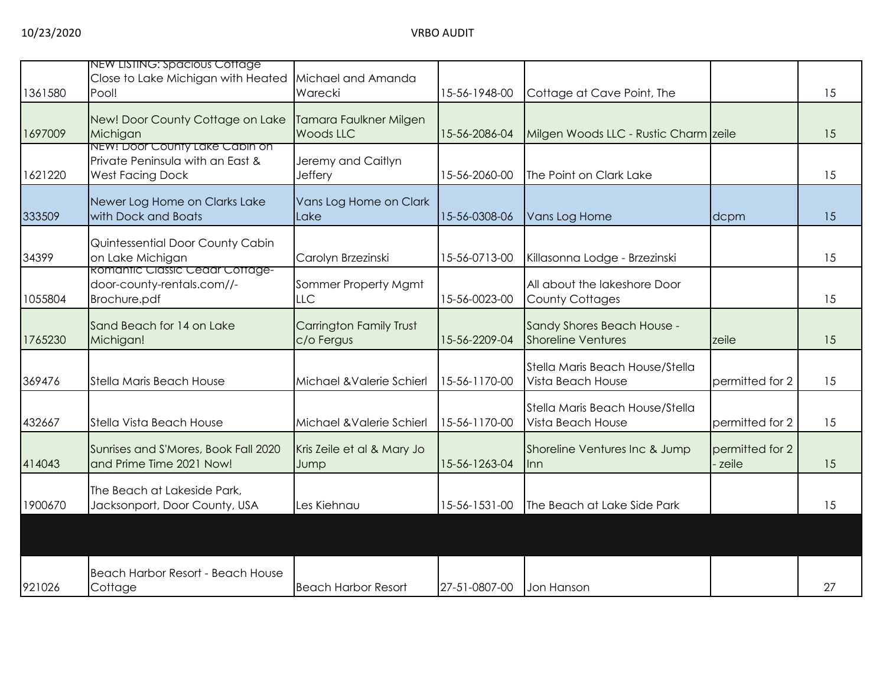| 1361580 | NEW LISTING: Spacious Cottage<br>Close to Lake Michigan with Heated<br>Pool!                  | Michael and Amanda<br>Warecki                | 15-56-1948-00 | Cottage at Cave Point, The                              |                          | 15 |
|---------|-----------------------------------------------------------------------------------------------|----------------------------------------------|---------------|---------------------------------------------------------|--------------------------|----|
| 1697009 | New! Door County Cottage on Lake<br>Michigan                                                  | Tamara Faulkner Milgen<br><b>Woods LLC</b>   | 15-56-2086-04 | Milgen Woods LLC - Rustic Charm zeile                   |                          | 15 |
| 1621220 | NEW! Door County Lake Cabin on<br>Private Peninsula with an East &<br><b>West Facing Dock</b> | Jeremy and Caitlyn<br>Jeffery                | 15-56-2060-00 | The Point on Clark Lake                                 |                          | 15 |
| 333509  | Newer Log Home on Clarks Lake<br>with Dock and Boats                                          | Vans Log Home on Clark<br>Lake               | 15-56-0308-06 | Vans Log Home                                           | dcpm                     | 15 |
| 34399   | Quintessential Door County Cabin<br>on Lake Michigan                                          | Carolyn Brzezinski                           | 15-56-0713-00 | Killasonna Lodge - Brzezinski                           |                          | 15 |
| 1055804 | <b>Romantic Classic Cedar Cottage-</b><br>door-county-rentals.com//-<br>Brochure.pdf          | Sommer Property Mgmt<br>LLC                  | 15-56-0023-00 | All about the lakeshore Door<br><b>County Cottages</b>  |                          | 15 |
| 1765230 | Sand Beach for 14 on Lake<br>Michigan!                                                        | <b>Carrington Family Trust</b><br>c/o Fergus | 15-56-2209-04 | Sandy Shores Beach House -<br><b>Shoreline Ventures</b> | zeile                    | 15 |
| 369476  | <b>Stella Maris Beach House</b>                                                               | Michael & Valerie Schierl                    | 15-56-1170-00 | Stella Maris Beach House/Stella<br>Vista Beach House    | permitted for 2          | 15 |
| 432667  | Stella Vista Beach House                                                                      | Michael & Valerie Schierl                    | 15-56-1170-00 | Stella Maris Beach House/Stella<br>Vista Beach House    | permitted for 2          | 15 |
| 414043  | Sunrises and S'Mores, Book Fall 2020<br>and Prime Time 2021 Now!                              | Kris Zeile et al & Mary Jo<br>Jump           | 15-56-1263-04 | Shoreline Ventures Inc & Jump<br>llnn.                  | permitted for 2<br>zeile | 15 |
| 1900670 | The Beach at Lakeside Park,<br>Jacksonport, Door County, USA                                  | Les Kiehnau                                  | 15-56-1531-00 | The Beach at Lake Side Park                             |                          | 15 |
|         |                                                                                               |                                              |               |                                                         |                          |    |
| 921026  | Beach Harbor Resort - Beach House<br>Cottage                                                  | <b>Beach Harbor Resort</b>                   | 27-51-0807-00 | Jon Hanson                                              |                          | 27 |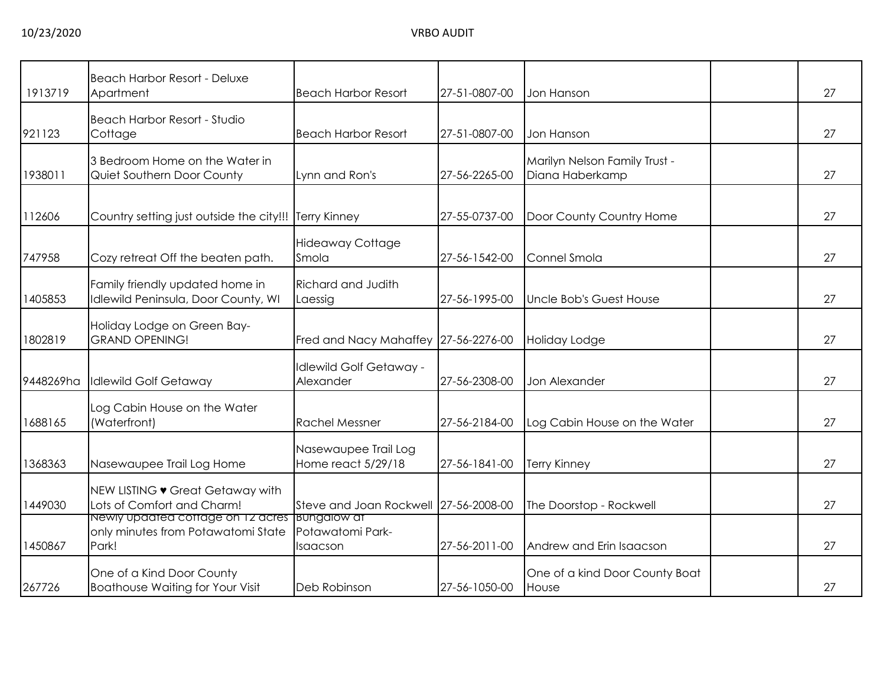| 1913719   | <b>Beach Harbor Resort - Deluxe</b><br>Apartment                                                    | <b>Beach Harbor Resort</b>                  | 27-51-0807-00 | Jon Hanson                                       | 27 |
|-----------|-----------------------------------------------------------------------------------------------------|---------------------------------------------|---------------|--------------------------------------------------|----|
| 921123    | <b>Beach Harbor Resort - Studio</b><br>Cottage                                                      | <b>Beach Harbor Resort</b>                  | 27-51-0807-00 | Jon Hanson                                       | 27 |
| 1938011   | 3 Bedroom Home on the Water in<br>Quiet Southern Door County                                        | Lynn and Ron's                              | 27-56-2265-00 | Marilyn Nelson Family Trust -<br>Diana Haberkamp | 27 |
| 112606    | Country setting just outside the city!!!                                                            | <b>Terry Kinney</b>                         | 27-55-0737-00 | Door County Country Home                         | 27 |
| 747958    | Cozy retreat Off the beaten path.                                                                   | <b>Hideaway Cottage</b><br>Smola            | 27-56-1542-00 | Connel Smola                                     | 27 |
| 1405853   | Family friendly updated home in<br>Idlewild Peninsula, Door County, WI                              | <b>Richard and Judith</b><br>Laessig        | 27-56-1995-00 | Uncle Bob's Guest House                          | 27 |
| 1802819   | Holiday Lodge on Green Bay-<br><b>GRAND OPENING!</b>                                                | Fred and Nacy Mahaffey 27-56-2276-00        |               | Holiday Lodge                                    | 27 |
| 9448269ha | <b>Idlewild Golf Getaway</b>                                                                        | <b>Idlewild Golf Getaway -</b><br>Alexander | 27-56-2308-00 | Jon Alexander                                    | 27 |
| 1688165   | Log Cabin House on the Water<br>(Waterfront)                                                        | <b>Rachel Messner</b>                       | 27-56-2184-00 | Log Cabin House on the Water                     | 27 |
| 1368363   | Nasewaupee Trail Log Home                                                                           | Nasewaupee Trail Log<br>Home react 5/29/18  | 27-56-1841-00 | <b>Terry Kinney</b>                              | 27 |
| 1449030   | NEW LISTING • Great Getaway with<br>Lots of Comfort and Charm!                                      | Steve and Joan Rockwell 27-56-2008-00       |               | The Doorstop - Rockwell                          | 27 |
| 1450867   | <u>Newly updated cottage on 12 acres Bungalow at</u><br>only minutes from Potawatomi State<br>Park! | Potawatomi Park-<br>Isaacson                | 27-56-2011-00 | Andrew and Erin Isaacson                         | 27 |
| 267726    | One of a Kind Door County<br><b>Boathouse Waiting for Your Visit</b>                                | Deb Robinson                                | 27-56-1050-00 | One of a kind Door County Boat<br>House          | 27 |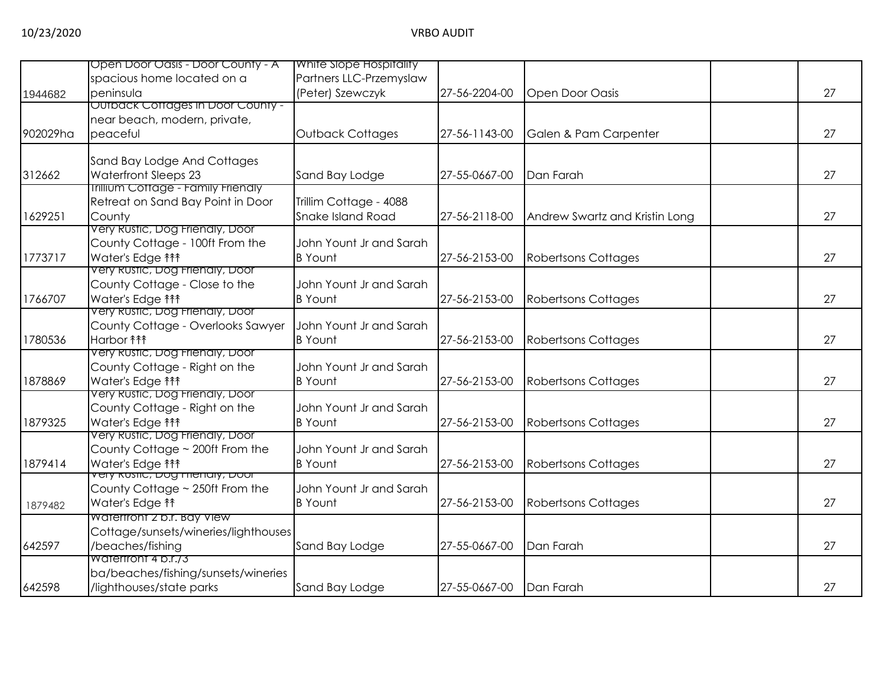|          | Open Door Oasis - Door County - A                             | White Slope Hospitality                   |               |                                |    |
|----------|---------------------------------------------------------------|-------------------------------------------|---------------|--------------------------------|----|
|          | spacious home located on a                                    | Partners LLC-Przemyslaw                   |               |                                |    |
| 1944682  | peninsula                                                     | (Peter) Szewczyk                          | 27-56-2204-00 | <b>Open Door Oasis</b>         | 27 |
|          | Outback Cottages in Door County -                             |                                           |               |                                |    |
|          | near beach, modern, private,                                  |                                           |               |                                |    |
| 902029ha | peaceful                                                      | <b>Outback Cottages</b>                   | 27-56-1143-00 | Galen & Pam Carpenter          | 27 |
|          | Sand Bay Lodge And Cottages                                   |                                           |               |                                |    |
| 312662   | Waterfront Sleeps 23                                          | Sand Bay Lodge                            | 27-55-0667-00 | Dan Farah                      | 27 |
|          | <b>Irillium Cottage - Family Frienaly</b>                     |                                           |               |                                |    |
|          | Retreat on Sand Bay Point in Door                             | Trillim Cottage - 4088                    |               |                                |    |
| 1629251  | County                                                        | Snake Island Road                         | 27-56-2118-00 | Andrew Swartz and Kristin Long | 27 |
|          | Very Rustic, Dog Frienaly, Door                               |                                           |               |                                |    |
|          | County Cottage - 100ft From the                               | John Yount Jr and Sarah                   |               |                                |    |
| 1773717  | Water's Edge <sup>11</sup>                                    | <b>B</b> Yount                            | 27-56-2153-00 | <b>Robertsons Cottages</b>     | 27 |
|          | very Rustic, Dog Frienaly, Door                               |                                           |               |                                |    |
|          | County Cottage - Close to the                                 | John Yount Jr and Sarah                   |               |                                |    |
| 1766707  | Water's Edge <sup>11</sup>                                    | <b>B</b> Yount                            | 27-56-2153-00 | <b>Robertsons Cottages</b>     | 27 |
|          | Very Rustic, Dog Friendly, Door                               |                                           |               |                                |    |
|          | County Cottage - Overlooks Sawyer                             | John Yount Jr and Sarah                   |               |                                |    |
| 1780536  | Harbor <b>fff</b>                                             | <b>B</b> Yount                            | 27-56-2153-00 | <b>Robertsons Cottages</b>     | 27 |
|          | Very Rustic, Dog Frienaly, Door                               |                                           |               |                                |    |
|          | County Cottage - Right on the                                 | John Yount Jr and Sarah                   |               |                                |    |
| 1878869  | Water's Edge <sup>11</sup><br>Very Rustic, Dog Frienaly, Door | <b>B</b> Yount                            | 27-56-2153-00 | <b>Robertsons Cottages</b>     | 27 |
|          |                                                               |                                           |               |                                |    |
|          | County Cottage - Right on the                                 | John Yount Jr and Sarah<br><b>B</b> Yount |               |                                | 27 |
| 1879325  | Water's Edge <sup>11</sup><br>Very Rustic, Dog Frienaly, Door |                                           | 27-56-2153-00 | <b>Robertsons Cottages</b>     |    |
|          | County Cottage ~ 200ft From the                               | John Yount Jr and Sarah                   |               |                                |    |
| 1879414  | Water's Edge <sup>11</sup>                                    | <b>B</b> Yount                            | 27-56-2153-00 | <b>Robertsons Cottages</b>     | 27 |
|          | <del>very Rushc, סטע רחפוזמון, סטסו</del>                     |                                           |               |                                |    |
|          | County Cottage ~ 250ft From the                               | John Yount Jr and Sarah                   |               |                                |    |
| 1879482  | Water's Edge <sup>11</sup>                                    | <b>B</b> Yount                            | 27-56-2153-00 | <b>Robertsons Cottages</b>     | 27 |
|          | Watertront 2 b.r. Bay View                                    |                                           |               |                                |    |
|          | Cottage/sunsets/wineries/lighthouses                          |                                           |               |                                |    |
| 642597   | /beaches/fishing                                              | Sand Bay Lodge                            | 27-55-0667-00 | Dan Farah                      | 27 |
|          | Watertront 4 b.r./3                                           |                                           |               |                                |    |
|          | ba/beaches/fishing/sunsets/wineries                           |                                           |               |                                |    |
| 642598   | /lighthouses/state parks                                      | Sand Bay Lodge                            | 27-55-0667-00 | Dan Farah                      | 27 |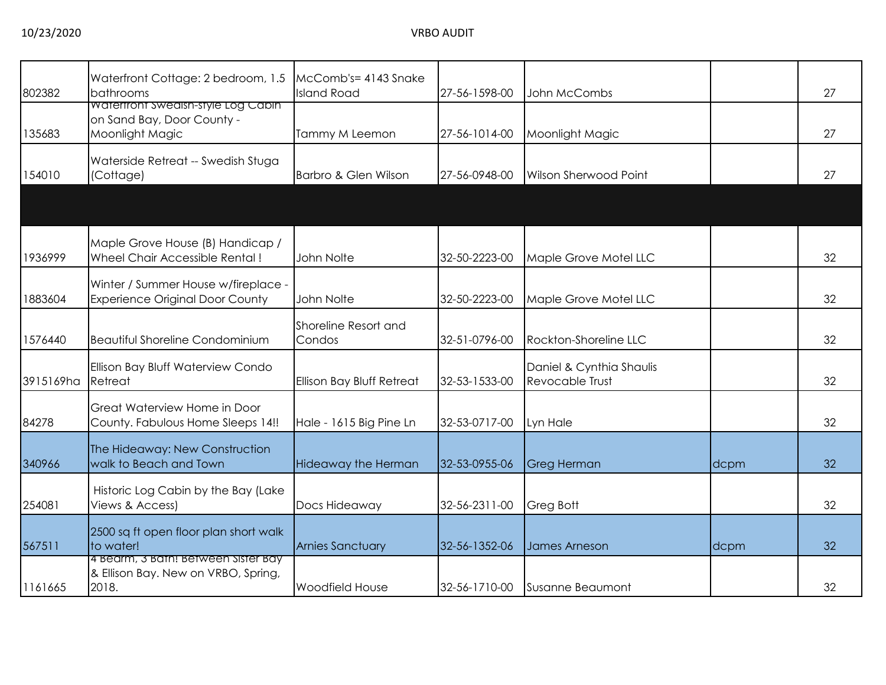| 802382    | Waterfront Cottage: 2 bedroom, 1.5<br>bathrooms                                            | McComb's= 4143 Snake<br><b>Island Road</b> | 27-56-1598-00 | John McCombs                                       |      | 27 |
|-----------|--------------------------------------------------------------------------------------------|--------------------------------------------|---------------|----------------------------------------------------|------|----|
| 135683    | <b>Watertront Swedish-style Log Cabin</b><br>on Sand Bay, Door County -<br>Moonlight Magic | Tammy M Leemon                             | 27-56-1014-00 | Moonlight Magic                                    |      | 27 |
| 154010    | Waterside Retreat -- Swedish Stuga<br>(Cottage)                                            | Barbro & Glen Wilson                       | 27-56-0948-00 | <b>Wilson Sherwood Point</b>                       |      | 27 |
|           |                                                                                            |                                            |               |                                                    |      |    |
| 1936999   | Maple Grove House (B) Handicap /<br>Wheel Chair Accessible Rental!                         | John Nolte                                 | 32-50-2223-00 | Maple Grove Motel LLC                              |      | 32 |
| 1883604   | Winter / Summer House w/fireplace -<br><b>Experience Original Door County</b>              | John Nolte                                 | 32-50-2223-00 | Maple Grove Motel LLC                              |      | 32 |
| 1576440   | <b>Beautiful Shoreline Condominium</b>                                                     | Shoreline Resort and<br>Condos             | 32-51-0796-00 | Rockton-Shoreline LLC                              |      | 32 |
| 3915169ha | Ellison Bay Bluff Waterview Condo<br>Retreat                                               | Ellison Bay Bluff Retreat                  | 32-53-1533-00 | Daniel & Cynthia Shaulis<br><b>Revocable Trust</b> |      | 32 |
| 84278     | Great Waterview Home in Door<br>County. Fabulous Home Sleeps 14!!                          | Hale - 1615 Big Pine Ln                    | 32-53-0717-00 | Lyn Hale                                           |      | 32 |
| 340966    | The Hideaway: New Construction<br>walk to Beach and Town                                   | <b>Hideaway the Herman</b>                 | 32-53-0955-06 | Greg Herman                                        | dcpm | 32 |
| 254081    | Historic Log Cabin by the Bay (Lake<br>Views & Access)                                     | Docs Hideaway                              | 32-56-2311-00 | Greg Bott                                          |      | 32 |
| 567511    | 2500 sq ft open floor plan short walk<br>to water!                                         | <b>Arnies Sanctuary</b>                    | 32-56-1352-06 | James Arneson                                      | dcpm | 32 |
| 1161665   | 4 Bearm, 3 Bath! Between Sister Bay<br>& Ellison Bay. New on VRBO, Spring,<br>2018.        | <b>Woodfield House</b>                     | 32-56-1710-00 | Susanne Beaumont                                   |      | 32 |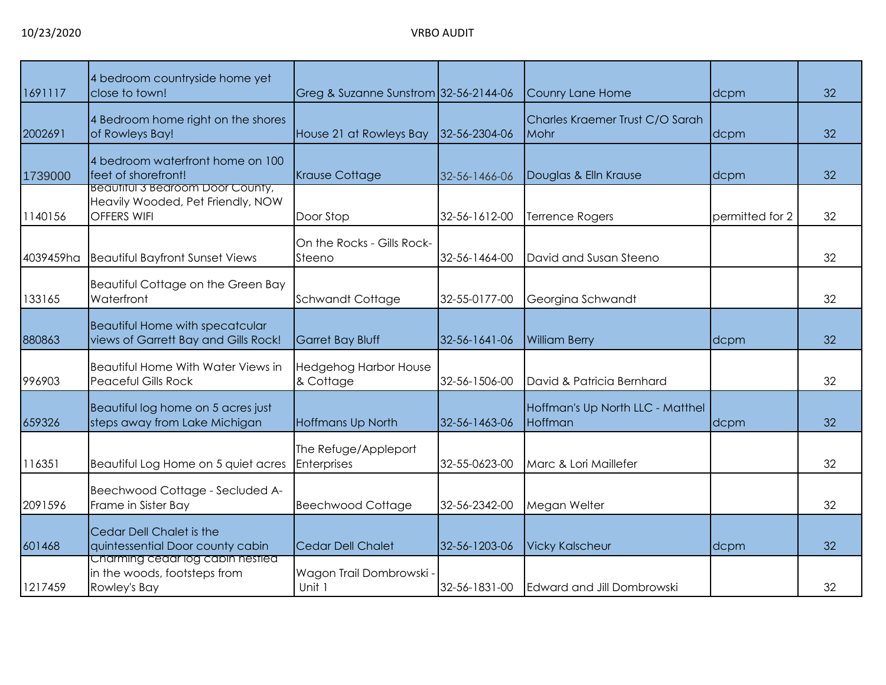| 1691117   | 4 bedroom countryside home yet<br>close to town!                                            | Greg & Suzanne Sunstrom 32-56-2144-06     |               | Counry Lane Home                            | dcpm            | 32 |
|-----------|---------------------------------------------------------------------------------------------|-------------------------------------------|---------------|---------------------------------------------|-----------------|----|
| 2002691   | 4 Bedroom home right on the shores<br>of Rowleys Bay!                                       | House 21 at Rowleys Bay                   | 32-56-2304-06 | Charles Kraemer Trust C/O Sarah<br>Mohr     | dcpm            | 32 |
| 1739000   | 4 bedroom waterfront home on 100<br>feet of shorefront!                                     | <b>Krause Cottage</b>                     | 32-56-1466-06 | Douglas & Elln Krause                       | dcpm            | 32 |
| 1140156   | Beautiful 3 Bearoom Door County,<br>Heavily Wooded, Pet Friendly, NOW<br><b>OFFERS WIFI</b> | Door Stop                                 | 32-56-1612-00 | Terrence Rogers                             | permitted for 2 | 32 |
| 4039459ha | <b>Beautiful Bayfront Sunset Views</b>                                                      | On the Rocks - Gills Rock-<br>Steeno      | 32-56-1464-00 | David and Susan Steeno                      |                 | 32 |
| 133165    | Beautiful Cottage on the Green Bay<br>Waterfront                                            | <b>Schwandt Cottage</b>                   | 32-55-0177-00 | Georgina Schwandt                           |                 | 32 |
| 880863    | <b>Beautiful Home with specatcular</b><br>views of Garrett Bay and Gills Rock!              | Garret Bay Bluff                          | 32-56-1641-06 | <b>William Berry</b>                        | dcpm            | 32 |
| 996903    | Beautiful Home With Water Views in<br><b>Peaceful Gills Rock</b>                            | <b>Hedgehog Harbor House</b><br>& Cottage | 32-56-1506-00 | David & Patricia Bernhard                   |                 | 32 |
| 659326    | Beautiful log home on 5 acres just<br>steps away from Lake Michigan                         | <b>Hoffmans Up North</b>                  | 32-56-1463-06 | Hoffman's Up North LLC - Matthel<br>Hoffman | dcpm            | 32 |
| 116351    | Beautiful Log Home on 5 quiet acres                                                         | The Refuge/Appleport<br>Enterprises       | 32-55-0623-00 | Marc & Lori Maillefer                       |                 | 32 |
| 2091596   | Beechwood Cottage - Secluded A-<br>Frame in Sister Bay                                      | <b>Beechwood Cottage</b>                  | 32-56-2342-00 | Megan Welter                                |                 | 32 |
| 601468    | Cedar Dell Chalet is the<br>quintessential Door county cabin                                | <b>Cedar Dell Chalet</b>                  | 32-56-1203-06 | <b>Vicky Kalscheur</b>                      | dcpm            | 32 |
| 1217459   | Charming cedar log cabin nestled<br>in the woods, footsteps from<br>Rowley's Bay            | Wagon Trail Dombrowski -<br>Unit 1        | 32-56-1831-00 | Edward and Jill Dombrowski                  |                 | 32 |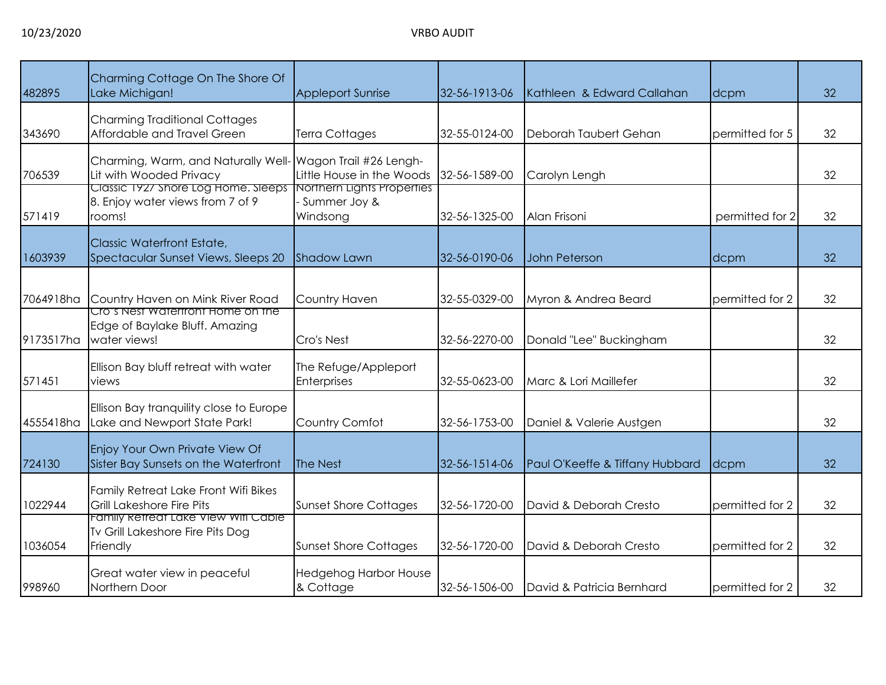| 482895    | Charming Cottage On The Shore Of<br>Lake Michigan!                                  | <b>Appleport Sunrise</b>                               | 32-56-1913-06 | Kathleen & Edward Callahan      | dcpm            | 32 |
|-----------|-------------------------------------------------------------------------------------|--------------------------------------------------------|---------------|---------------------------------|-----------------|----|
| 343690    | <b>Charming Traditional Cottages</b><br>Affordable and Travel Green                 | <b>Terra Cottages</b>                                  | 32-55-0124-00 | Deborah Taubert Gehan           | permitted for 5 | 32 |
| 706539    | Charming, Warm, and Naturally Well-<br>Lit with Wooded Privacy                      | Wagon Trail #26 Lengh-<br>Little House in the Woods    | 32-56-1589-00 | Carolyn Lengh                   |                 | 32 |
| 571419    | Classic 1927 Shore Log Home. Sleeps<br>8. Enjoy water views from 7 of 9<br>rooms!   | Northern Lights Properties<br>Summer Joy &<br>Windsong | 32-56-1325-00 | Alan Frisoni                    | permitted for 2 | 32 |
| 1603939   | Classic Waterfront Estate,<br>Spectacular Sunset Views, Sleeps 20                   | <b>Shadow Lawn</b>                                     | 32-56-0190-06 | John Peterson                   | dcpm            | 32 |
| 7064918ha | Country Haven on Mink River Road                                                    | Country Haven                                          | 32-55-0329-00 | Myron & Andrea Beard            | permitted for 2 | 32 |
| 9173517ha | Cro's Nest Watertront Home on the<br>Edge of Baylake Bluff. Amazing<br>water views! | Cro's Nest                                             | 32-56-2270-00 | Donald "Lee" Buckingham         |                 | 32 |
| 571451    | Ellison Bay bluff retreat with water<br>views                                       | The Refuge/Appleport<br>Enterprises                    | 32-55-0623-00 | Marc & Lori Maillefer           |                 | 32 |
| 4555418ha | Ellison Bay tranquility close to Europe<br>Lake and Newport State Park!             | Country Comfot                                         | 32-56-1753-00 | Daniel & Valerie Austgen        |                 | 32 |
| 724130    | Enjoy Your Own Private View Of<br>Sister Bay Sunsets on the Waterfront              | The Nest                                               | 32-56-1514-06 | Paul O'Keeffe & Tiffany Hubbard | dcpm            | 32 |
| 1022944   | Family Retreat Lake Front Wifi Bikes<br><b>Grill Lakeshore Fire Pits</b>            | <b>Sunset Shore Cottages</b>                           | 32-56-1720-00 | David & Deborah Cresto          | permitted for 2 | 32 |
| 1036054   | Family Refreat Lake View Wifi Cable<br>Tv Grill Lakeshore Fire Pits Dog<br>Friendly | <b>Sunset Shore Cottages</b>                           | 32-56-1720-00 | David & Deborah Cresto          | permitted for 2 | 32 |
| 998960    | Great water view in peaceful<br>Northern Door                                       | <b>Hedgehog Harbor House</b><br>& Cottage              | 32-56-1506-00 | David & Patricia Bernhard       | permitted for 2 | 32 |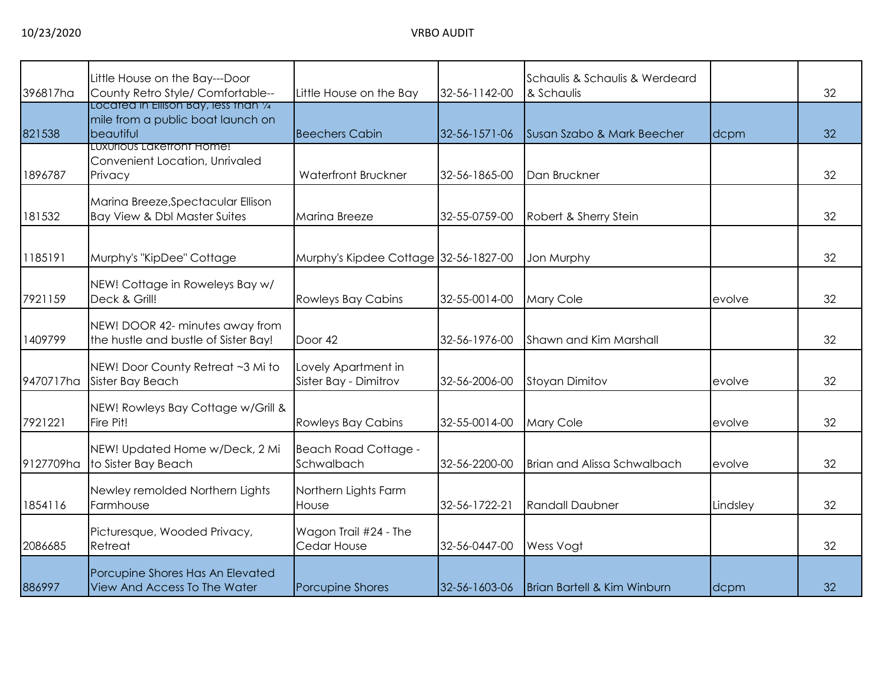| 396817ha  | Little House on the Bay---Door<br>County Retro Style/ Comfortable--                                                  | Little House on the Bay                      | 32-56-1142-00 | Schaulis & Schaulis & Werdeard<br>& Schaulis |          | 32 |
|-----------|----------------------------------------------------------------------------------------------------------------------|----------------------------------------------|---------------|----------------------------------------------|----------|----|
| 821538    | Located in Ellison Bay, less than 1/4<br>mile from a public boat launch on<br>beautiful<br>LUXUrious Laketront Home! | <b>Beechers Cabin</b>                        | 32-56-1571-06 | Susan Szabo & Mark Beecher                   | dcpm     | 32 |
| 1896787   | Convenient Location, Unrivaled<br>Privacy                                                                            | <b>Waterfront Bruckner</b>                   | 32-56-1865-00 | Dan Bruckner                                 |          | 32 |
| 181532    | Marina Breeze, Spectacular Ellison<br><b>Bay View &amp; Dbl Master Suites</b>                                        | <b>Marina Breeze</b>                         | 32-55-0759-00 | Robert & Sherry Stein                        |          | 32 |
| 1185191   | Murphy's "KipDee" Cottage                                                                                            | Murphy's Kipdee Cottage 32-56-1827-00        |               | Jon Murphy                                   |          | 32 |
| 7921159   | NEW! Cottage in Roweleys Bay w/<br>Deck & Grill!                                                                     | <b>Rowleys Bay Cabins</b>                    | 32-55-0014-00 | Mary Cole                                    | evolve   | 32 |
| 1409799   | NEW! DOOR 42- minutes away from<br>the hustle and bustle of Sister Bay!                                              | Door 42                                      | 32-56-1976-00 | <b>Shawn and Kim Marshall</b>                |          | 32 |
| 9470717ha | NEW! Door County Retreat ~3 Mi to<br>Sister Bay Beach                                                                | Lovely Apartment in<br>Sister Bay - Dimitrov | 32-56-2006-00 | <b>Stoyan Dimitov</b>                        | evolve   | 32 |
| 7921221   | NEW! Rowleys Bay Cottage w/Grill &<br>Fire Pit!                                                                      | <b>Rowleys Bay Cabins</b>                    | 32-55-0014-00 | Mary Cole                                    | evolve   | 32 |
| 9127709ha | NEW! Updated Home w/Deck, 2 Mi<br>to Sister Bay Beach                                                                | <b>Beach Road Cottage -</b><br>Schwalbach    | 32-56-2200-00 | <b>Brian and Alissa Schwalbach</b>           | evolve   | 32 |
| 1854116   | Newley remolded Northern Lights<br>Farmhouse                                                                         | Northern Lights Farm<br>House                | 32-56-1722-21 | <b>Randall Daubner</b>                       | Lindsley | 32 |
| 2086685   | Picturesque, Wooded Privacy,<br>Retreat                                                                              | Wagon Trail #24 - The<br>Cedar House         | 32-56-0447-00 | Wess Vogt                                    |          | 32 |
| 886997    | Porcupine Shores Has An Elevated<br>View And Access To The Water                                                     | <b>Porcupine Shores</b>                      | 32-56-1603-06 | Brian Bartell & Kim Winburn                  | dcpm     | 32 |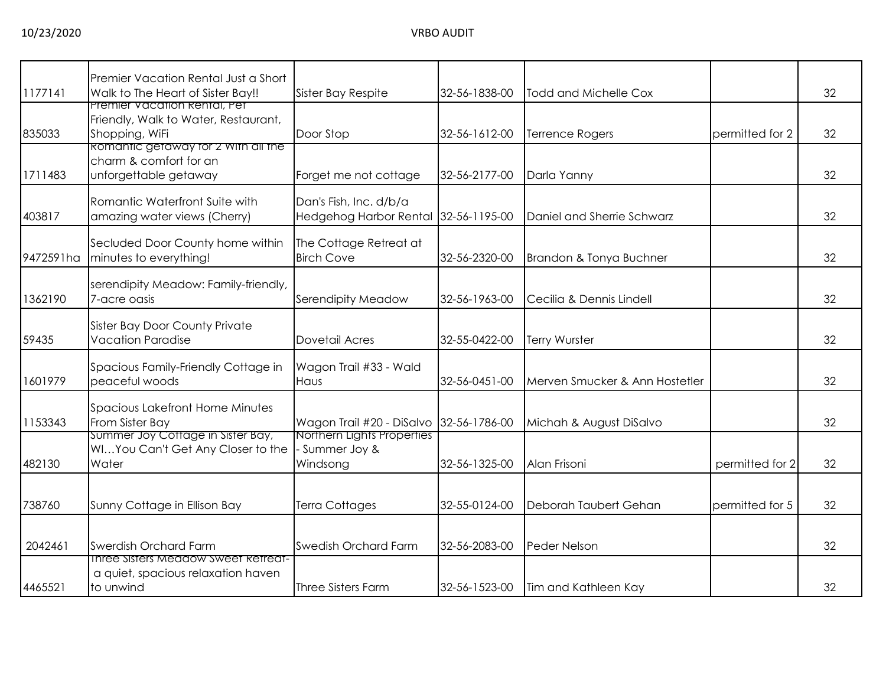|           | Premier Vacation Rental Just a Short                                                                                          |                                                        |               |                                |                 |    |
|-----------|-------------------------------------------------------------------------------------------------------------------------------|--------------------------------------------------------|---------------|--------------------------------|-----------------|----|
| 1177141   | Walk to The Heart of Sister Bay!!                                                                                             | Sister Bay Respite                                     | 32-56-1838-00 | <b>Todd and Michelle Cox</b>   |                 | 32 |
| 835033    | Premier Vacation Rental, Pet<br>Friendly, Walk to Water, Restaurant,<br>Shopping, WiFi<br>Romantic getaway for 2 With all the | Door Stop                                              | 32-56-1612-00 | <b>Terrence Rogers</b>         | permitted for 2 | 32 |
| 1711483   | charm & comfort for an<br>unforgettable getaway                                                                               | Forget me not cottage                                  | 32-56-2177-00 | Darla Yanny                    |                 | 32 |
| 403817    | Romantic Waterfront Suite with<br>amazing water views (Cherry)                                                                | Dan's Fish, Inc. d/b/a<br>Hedgehog Harbor Rental       | 32-56-1195-00 | Daniel and Sherrie Schwarz     |                 | 32 |
| 9472591ha | Secluded Door County home within<br>minutes to everything!                                                                    | The Cottage Retreat at<br><b>Birch Cove</b>            | 32-56-2320-00 | Brandon & Tonya Buchner        |                 | 32 |
| 1362190   | serendipity Meadow: Family-friendly,<br>7-acre oasis                                                                          | Serendipity Meadow                                     | 32-56-1963-00 | Cecilia & Dennis Lindell       |                 | 32 |
| 59435     | <b>Sister Bay Door County Private</b><br><b>Vacation Paradise</b>                                                             | <b>Dovetail Acres</b>                                  | 32-55-0422-00 | Terry Wurster                  |                 | 32 |
| 1601979   | Spacious Family-Friendly Cottage in<br>peaceful woods                                                                         | Wagon Trail #33 - Wald<br>Haus                         | 32-56-0451-00 | Merven Smucker & Ann Hostetler |                 | 32 |
| 1153343   | <b>Spacious Lakefront Home Minutes</b><br>From Sister Bay                                                                     | Wagon Trail #20 - DiSalvo                              | 32-56-1786-00 | Michah & August DiSalvo        |                 | 32 |
| 482130    | Summer Joy Cottage in Sister Bay,<br>WIYou Can't Get Any Closer to the<br>Water                                               | Northern Lights Properties<br>Summer Joy &<br>Windsong | 32-56-1325-00 | Alan Frisoni                   | permitted for 2 | 32 |
| 738760    | Sunny Cottage in Ellison Bay                                                                                                  | <b>Terra Cottages</b>                                  | 32-55-0124-00 | Deborah Taubert Gehan          | permitted for 5 | 32 |
| 2042461   | <b>Swerdish Orchard Farm</b>                                                                                                  | <b>Swedish Orchard Farm</b>                            | 32-56-2083-00 | Peder Nelson                   |                 | 32 |
| 4465521   | <b>Inree Sisters Meadow Sweet Retreat-</b><br>a quiet, spacious relaxation haven<br>to unwind                                 | Three Sisters Farm                                     | 32-56-1523-00 | Tim and Kathleen Kay           |                 | 32 |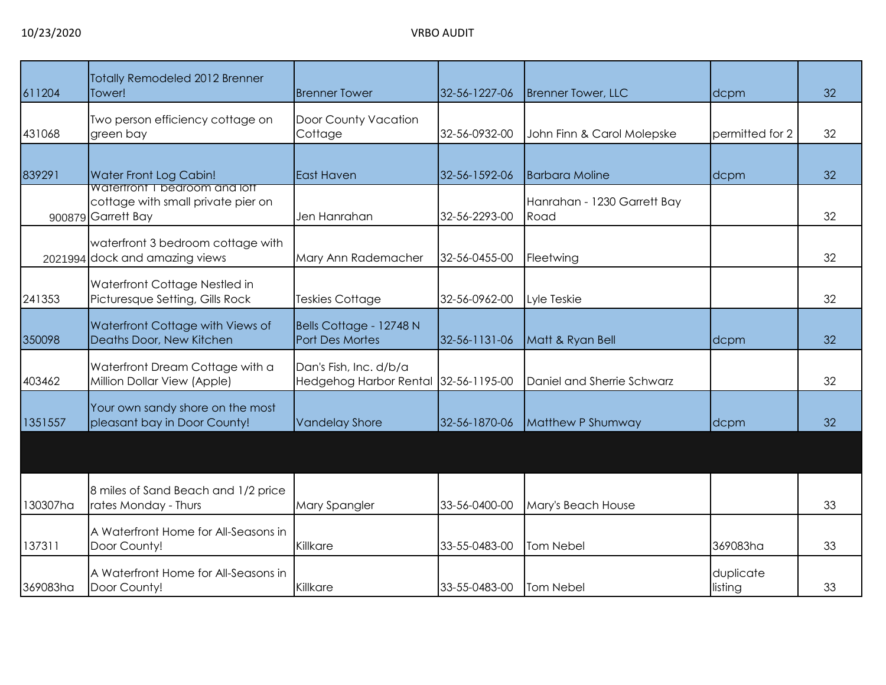| 611204   | <b>Totally Remodeled 2012 Brenner</b><br>Tower!                                                  | <b>Brenner Tower</b>                              | 32-56-1227-06 | <b>Brenner Tower, LLC</b>           | dcpm                 | 32 |
|----------|--------------------------------------------------------------------------------------------------|---------------------------------------------------|---------------|-------------------------------------|----------------------|----|
| 431068   | Two person efficiency cottage on<br>green bay                                                    | Door County Vacation<br>Cottage                   | 32-56-0932-00 | John Finn & Carol Molepske          | permitted for 2      | 32 |
| 839291   | Water Front Log Cabin!                                                                           | <b>East Haven</b>                                 | 32-56-1592-06 | <b>Barbara Moline</b>               | dcpm                 | 32 |
|          | <b>Watertront I bearcom and lott</b><br>cottage with small private pier on<br>900879 Garrett Bay | Jen Hanrahan                                      | 32-56-2293-00 | Hanrahan - 1230 Garrett Bay<br>Road |                      | 32 |
|          | waterfront 3 bedroom cottage with<br>2021994 dock and amazing views                              | Mary Ann Rademacher                               | 32-56-0455-00 | Fleetwing                           |                      | 32 |
| 241353   | Waterfront Cottage Nestled in<br>Picturesque Setting, Gills Rock                                 | Teskies Cottage                                   | 32-56-0962-00 | Lyle Teskie                         |                      | 32 |
| 350098   | Waterfront Cottage with Views of<br>Deaths Door, New Kitchen                                     | Bells Cottage - 12748 N<br><b>Port Des Mortes</b> | 32-56-1131-06 | Matt & Ryan Bell                    | dcpm                 | 32 |
| 403462   | Waterfront Dream Cottage with a<br>Million Dollar View (Apple)                                   | Dan's Fish, Inc. d/b/a<br>Hedgehog Harbor Rental  | 32-56-1195-00 | Daniel and Sherrie Schwarz          |                      | 32 |
| 1351557  | Your own sandy shore on the most<br>pleasant bay in Door County!                                 | <b>Vandelay Shore</b>                             | 32-56-1870-06 | Matthew P Shumway                   | dcpm                 | 32 |
|          |                                                                                                  |                                                   |               |                                     |                      |    |
| 130307ha | 8 miles of Sand Beach and 1/2 price<br>rates Monday - Thurs                                      | Mary Spangler                                     | 33-56-0400-00 | Mary's Beach House                  |                      | 33 |
| 137311   | A Waterfront Home for All-Seasons in<br>Door County!                                             | Killkare                                          | 33-55-0483-00 | Tom Nebel                           | 369083ha             | 33 |
| 369083ha | A Waterfront Home for All-Seasons in<br>Door County!                                             | Killkare                                          | 33-55-0483-00 | <b>Tom Nebel</b>                    | duplicate<br>listing | 33 |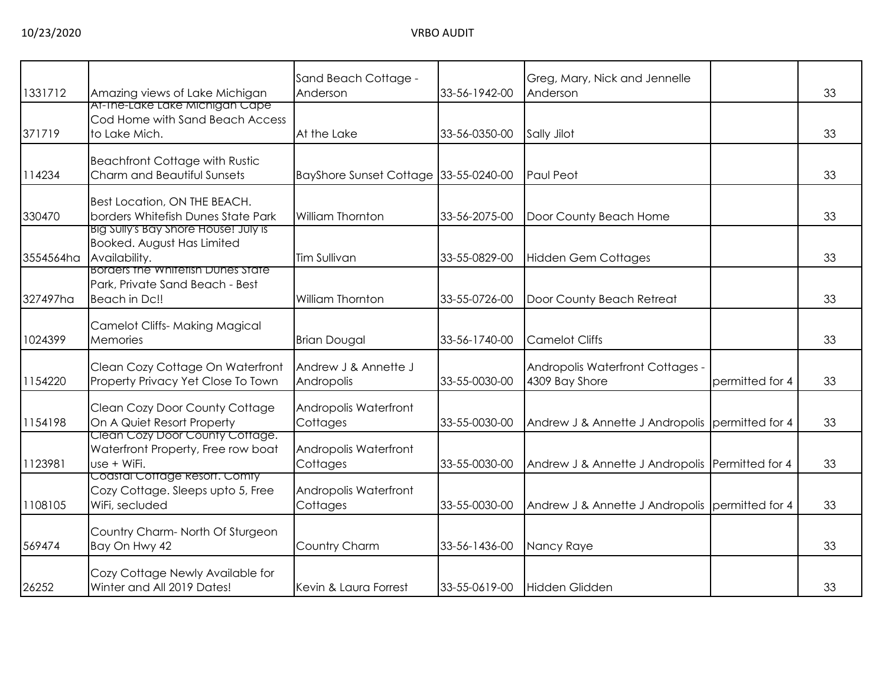| 1331712   | Amazing views of Lake Michigan                                                        | Sand Beach Cottage -<br>Anderson      | 33-56-1942-00 | Greg, Mary, Nick and Jennelle<br>Anderson          |                 | 33 |
|-----------|---------------------------------------------------------------------------------------|---------------------------------------|---------------|----------------------------------------------------|-----------------|----|
| 371719    | At-The-Lake Lake Michigan Cape<br>Cod Home with Sand Beach Access<br>to Lake Mich.    | At the Lake                           | 33-56-0350-00 | Sally Jilot                                        |                 | 33 |
| 114234    | <b>Beachfront Cottage with Rustic</b><br>Charm and Beautiful Sunsets                  | BayShore Sunset Cottage 33-55-0240-00 |               | Paul Peot                                          |                 | 33 |
| 330470    | Best Location, ON THE BEACH.<br>borders Whitefish Dunes State Park                    | William Thornton                      | 33-56-2075-00 | Door County Beach Home                             |                 | 33 |
| 3554564ha | BIG SUIIY'S BAY Shore House! JUIY IS<br>Booked. August Has Limited<br>Availability.   | <b>Tim Sullivan</b>                   | 33-55-0829-00 | <b>Hidden Gem Cottages</b>                         |                 | 33 |
| 327497ha  | Borders the Whitetish Dunes State<br>Park, Private Sand Beach - Best<br>Beach in Dc!! | William Thornton                      | 33-55-0726-00 | Door County Beach Retreat                          |                 | 33 |
| 1024399   | <b>Camelot Cliffs- Making Magical</b><br>Memories                                     | <b>Brian Dougal</b>                   | 33-56-1740-00 | <b>Camelot Cliffs</b>                              |                 | 33 |
| 1154220   | Clean Cozy Cottage On Waterfront<br>Property Privacy Yet Close To Town                | Andrew J & Annette J<br>Andropolis    | 33-55-0030-00 | Andropolis Waterfront Cottages -<br>4309 Bay Shore | permitted for 4 | 33 |
| 1154198   | Clean Cozy Door County Cottage<br>On A Quiet Resort Property                          | Andropolis Waterfront<br>Cottages     | 33-55-0030-00 | Andrew J & Annette J Andropolis permitted for 4    |                 | 33 |
| 123981    | Clean Cozy Door County Cottage.<br>Waterfront Property, Free row boat<br>use + WiFi.  | Andropolis Waterfront<br>Cottages     | 33-55-0030-00 | Andrew J & Annette J Andropolis Permitted for 4    |                 | 33 |
| 1108105   | Coastal Cottage Resort. Comty<br>Cozy Cottage. Sleeps upto 5, Free<br>WiFi, secluded  | Andropolis Waterfront<br>Cottages     | 33-55-0030-00 | Andrew J & Annette J Andropolis permitted for 4    |                 | 33 |
| 569474    | Country Charm-North Of Sturgeon<br>Bay On Hwy 42                                      | Country Charm                         | 33-56-1436-00 | Nancy Raye                                         |                 | 33 |
| 26252     | Cozy Cottage Newly Available for<br>Winter and All 2019 Dates!                        | Kevin & Laura Forrest                 | 33-55-0619-00 | Hidden Glidden                                     |                 | 33 |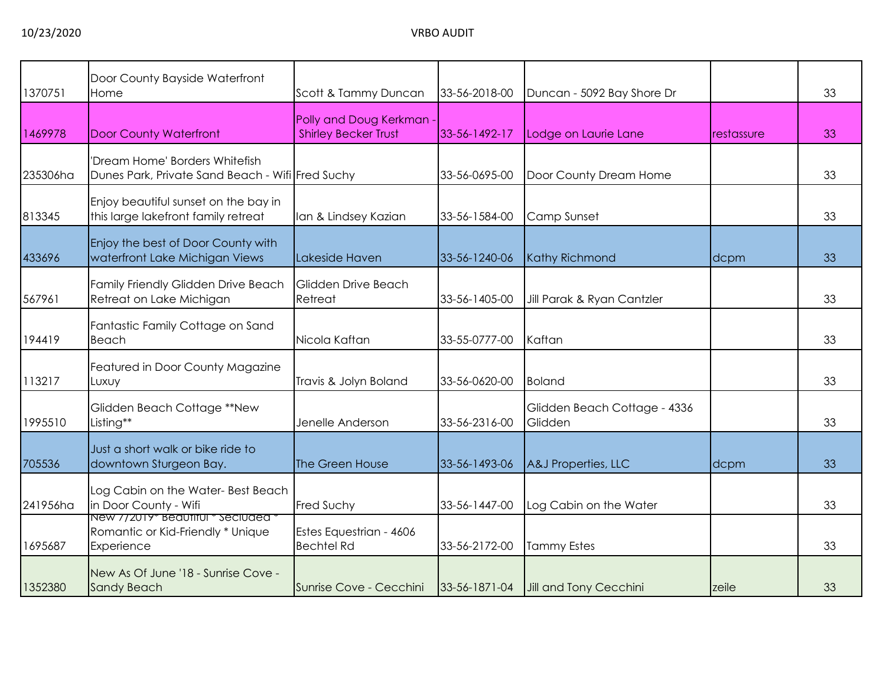| 1370751  | Door County Bayside Waterfront<br>Home                                                | Scott & Tammy Duncan                                    | 33-56-2018-00 | Duncan - 5092 Bay Shore Dr              |            | 33 |
|----------|---------------------------------------------------------------------------------------|---------------------------------------------------------|---------------|-----------------------------------------|------------|----|
| 1469978  | <b>Door County Waterfront</b>                                                         | Polly and Doug Kerkman -<br><b>Shirley Becker Trust</b> | 33-56-1492-17 | Lodge on Laurie Lane                    | restassure | 33 |
| 235306ha | 'Dream Home' Borders Whitefish<br>Dunes Park, Private Sand Beach - Wifi Fred Suchy    |                                                         | 33-56-0695-00 | Door County Dream Home                  |            | 33 |
| 813345   | Enjoy beautiful sunset on the bay in<br>this large lakefront family retreat           | Ian & Lindsey Kazian                                    | 33-56-1584-00 | Camp Sunset                             |            | 33 |
| 433696   | Enjoy the best of Door County with<br>waterfront Lake Michigan Views                  | Lakeside Haven                                          | 33-56-1240-06 | <b>Kathy Richmond</b>                   | dcpm       | 33 |
| 567961   | Family Friendly Glidden Drive Beach<br>Retreat on Lake Michigan                       | Glidden Drive Beach<br>Retreat                          | 33-56-1405-00 | Jill Parak & Ryan Cantzler              |            | 33 |
| 194419   | Fantastic Family Cottage on Sand<br>Beach                                             | Nicola Kaftan                                           | 33-55-0777-00 | Kaftan                                  |            | 33 |
| 113217   | Featured in Door County Magazine<br>Luxuy                                             | Travis & Jolyn Boland                                   | 33-56-0620-00 | <b>Boland</b>                           |            | 33 |
| 1995510  | Glidden Beach Cottage **New<br>Listing**                                              | Jenelle Anderson                                        | 33-56-2316-00 | Glidden Beach Cottage - 4336<br>Glidden |            | 33 |
| 705536   | Just a short walk or bike ride to<br>downtown Sturgeon Bay.                           | The Green House                                         | 33-56-1493-06 | A&J Properties, LLC                     | dcpm       | 33 |
| 241956ha | Log Cabin on the Water-Best Beach<br>in Door County - Wifi                            | <b>Fred Suchy</b>                                       | 33-56-1447-00 | Log Cabin on the Water                  |            | 33 |
| 1695687  | New 772019* Beautiful * Seciuded *<br>Romantic or Kid-Friendly * Unique<br>Experience | Estes Equestrian - 4606<br><b>Bechtel Rd</b>            | 33-56-2172-00 | <b>Tammy Estes</b>                      |            | 33 |
| 1352380  | New As Of June '18 - Sunrise Cove -<br><b>Sandy Beach</b>                             | Sunrise Cove - Cecchini                                 | 33-56-1871-04 | Jill and Tony Cecchini                  | zeile      | 33 |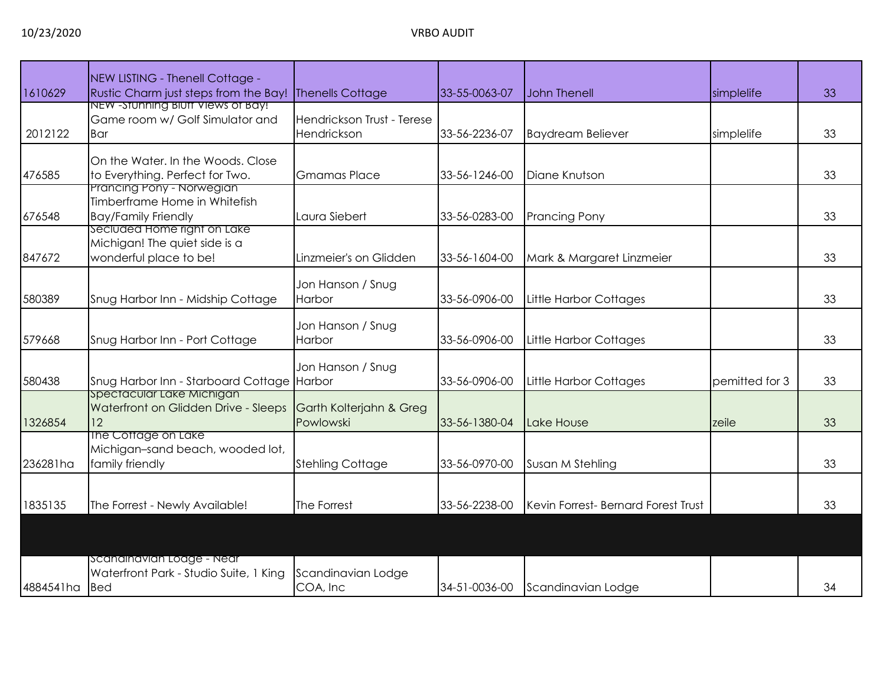| 1610629       | NEW LISTING - Thenell Cottage -<br>Rustic Charm just steps from the Bay!                          | <b>Thenells Cottage</b>                   | 33-55-0063-07 | <b>John Thenell</b>                 | simplelife     | 33 |
|---------------|---------------------------------------------------------------------------------------------------|-------------------------------------------|---------------|-------------------------------------|----------------|----|
| 2012122       | NEW -Stunning Blutt Views of Bay!<br>Game room w/ Golf Simulator and<br>Bar                       | Hendrickson Trust - Terese<br>Hendrickson | 33-56-2236-07 | <b>Baydream Believer</b>            | simplelife     | 33 |
| 476585        | On the Water. In the Woods. Close<br>to Everything. Perfect for Two.<br>Prancing Pony - Norwegian | <b>Gmamas Place</b>                       | 33-56-1246-00 | Diane Knutson                       |                | 33 |
| 676548        | Timberframe Home in Whitefish<br><b>Bay/Family Friendly</b><br>secluded Home right on Lake        | Laura Siebert                             | 33-56-0283-00 | <b>Prancing Pony</b>                |                | 33 |
| 847672        | Michigan! The quiet side is a<br>wonderful place to be!                                           | Linzmeier's on Glidden                    | 33-56-1604-00 | Mark & Margaret Linzmeier           |                | 33 |
| 580389        | Snug Harbor Inn - Midship Cottage                                                                 | Jon Hanson / Snug<br>Harbor               | 33-56-0906-00 | Little Harbor Cottages              |                | 33 |
| 579668        | Snug Harbor Inn - Port Cottage                                                                    | Jon Hanson / Snug<br>Harbor               | 33-56-0906-00 | Little Harbor Cottages              |                | 33 |
| 580438        | Snug Harbor Inn - Starboard Cottage Harbor<br>spectacular Lake Michigan                           | Jon Hanson / Snug                         | 33-56-0906-00 | Little Harbor Cottages              | pemitted for 3 | 33 |
| 1326854       | Waterfront on Glidden Drive - Sleeps<br>12                                                        | Garth Kolterjahn & Greg<br>Powlowski      | 33-56-1380-04 | Lake House                          | zeile          | 33 |
| 236281ha      | The Cottage on Lake<br>Michigan-sand beach, wooded lot,<br>family friendly                        | <b>Stehling Cottage</b>                   | 33-56-0970-00 | Susan M Stehling                    |                | 33 |
| 1835135       | The Forrest - Newly Available!                                                                    | The Forrest                               | 33-56-2238-00 | Kevin Forrest- Bernard Forest Trust |                | 33 |
|               |                                                                                                   |                                           |               |                                     |                |    |
| 4884541ha Bed | Scandinavian Lodge - Near<br>Waterfront Park - Studio Suite, 1 King                               | Scandinavian Lodge<br>COA, Inc            | 34-51-0036-00 | Scandinavian Lodge                  |                | 34 |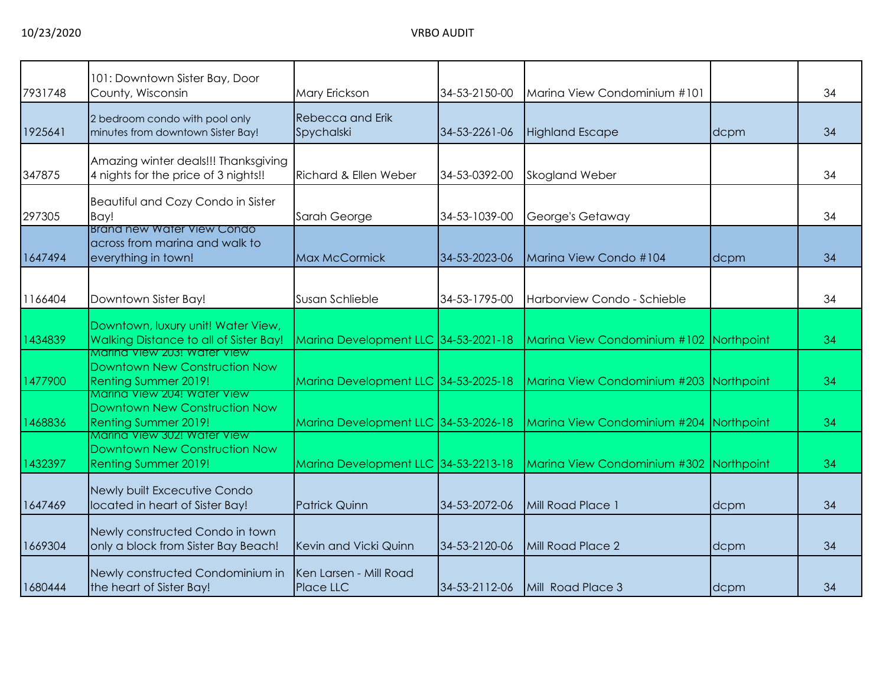| 7931748 | 101: Downtown Sister Bay, Door<br>County, Wisconsin                                         | Mary Erickson                              | 34-53-2150-00 | Marina View Condominium #101            |      | 34 |
|---------|---------------------------------------------------------------------------------------------|--------------------------------------------|---------------|-----------------------------------------|------|----|
| 1925641 | 2 bedroom condo with pool only<br>minutes from downtown Sister Bay!                         | <b>Rebecca and Erik</b><br>Spychalski      | 34-53-2261-06 | <b>Highland Escape</b>                  | dcpm | 34 |
| 347875  | Amazing winter deals!!! Thanksgiving<br>4 nights for the price of 3 nights!!                | Richard & Ellen Weber                      | 34-53-0392-00 | <b>Skogland Weber</b>                   |      | 34 |
| 297305  | Beautiful and Cozy Condo in Sister<br>Bay!                                                  | Sarah George                               | 34-53-1039-00 | George's Getaway                        |      | 34 |
| 1647494 | Brand new Water View Condo<br>across from marina and walk to<br>everything in town!         | <b>Max McCormick</b>                       | 34-53-2023-06 | Marina View Condo #104                  | dcpm | 34 |
| 1166404 | Downtown Sister Bay!                                                                        | Susan Schlieble                            | 34-53-1795-00 | Harborview Condo - Schieble             |      | 34 |
| 1434839 | Downtown, luxury unit! Water View,<br>Walking Distance to all of Sister Bay!                | Marina Development LLC 34-53-2021-18       |               | Marina View Condominium #102 Northpoint |      | 34 |
| 1477900 | Marina View 203! Water View<br>Downtown New Construction Now<br>Renting Summer 2019!        | Marina Development LLC 34-53-2025-18       |               | Marina View Condominium #203 Northpoint |      | 34 |
| 1468836 | Marina View 204! Water View<br>Downtown New Construction Now<br>Renting Summer 2019!        | Marina Development LLC 34-53-2026-18       |               | Marina View Condominium #204 Northpoint |      | 34 |
| 1432397 | Marina View 302! Water View<br>Downtown New Construction Now<br><b>Renting Summer 2019!</b> | Marina Development LLC 34-53-2213-18       |               | Marina View Condominium #302 Northpoint |      | 34 |
| 1647469 | Newly built Excecutive Condo<br>located in heart of Sister Bay!                             | <b>Patrick Quinn</b>                       | 34-53-2072-06 | Mill Road Place 1                       | dcpm | 34 |
| 1669304 | Newly constructed Condo in town<br>only a block from Sister Bay Beach!                      | Kevin and Vicki Quinn                      | 34-53-2120-06 | Mill Road Place 2                       | dcpm | 34 |
| 1680444 | Newly constructed Condominium in<br>the heart of Sister Bay!                                | Ken Larsen - Mill Road<br><b>Place LLC</b> | 34-53-2112-06 | Mill Road Place 3                       | dcpm | 34 |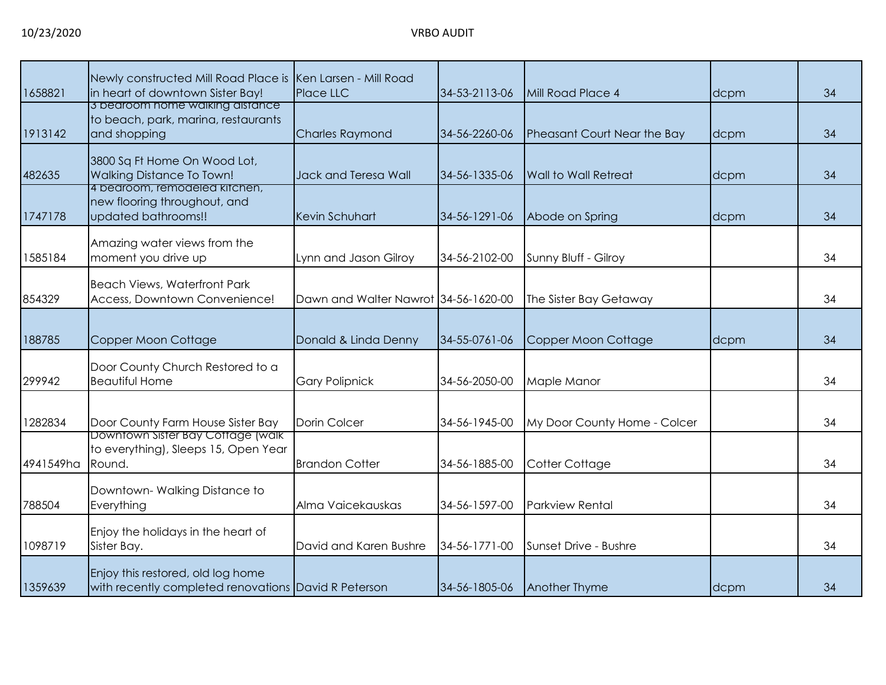| 1658821   | Newly constructed Mill Road Place is<br>in heart of downtown Sister Bay!                  | Ken Larsen - Mill Road<br>Place LLC  | 34-53-2113-06 | Mill Road Place 4            | dcpm | 34 |
|-----------|-------------------------------------------------------------------------------------------|--------------------------------------|---------------|------------------------------|------|----|
| 1913142   | 3 bearoom home walking distance<br>to beach, park, marina, restaurants<br>and shopping    | <b>Charles Raymond</b>               | 34-56-2260-06 | Pheasant Court Near the Bay  | dcpm | 34 |
| 482635    | 3800 Sq Ft Home On Wood Lot,<br><b>Walking Distance To Town!</b>                          | Jack and Teresa Wall                 | 34-56-1335-06 | Wall to Wall Retreat         | dcpm | 34 |
| 1747178   | 4 bedroom, remodeled kitchen,<br>new flooring throughout, and<br>updated bathrooms!!      | Kevin Schuhart                       | 34-56-1291-06 | Abode on Spring              | dcpm | 34 |
| 1585184   | Amazing water views from the<br>moment you drive up                                       | Lynn and Jason Gilroy                | 34-56-2102-00 | Sunny Bluff - Gilroy         |      | 34 |
| 854329    | <b>Beach Views, Waterfront Park</b><br>Access, Downtown Convenience!                      | Dawn and Walter Nawrot 34-56-1620-00 |               | The Sister Bay Getaway       |      | 34 |
| 188785    | Copper Moon Cottage                                                                       | Donald & Linda Denny                 | 34-55-0761-06 | Copper Moon Cottage          | dcpm | 34 |
| 299942    | Door County Church Restored to a<br><b>Beautiful Home</b>                                 | <b>Gary Polipnick</b>                | 34-56-2050-00 | Maple Manor                  |      | 34 |
| 1282834   | Door County Farm House Sister Bay                                                         | Dorin Colcer                         | 34-56-1945-00 | My Door County Home - Colcer |      | 34 |
| 4941549ha | Downtown Sister Bay Cottage (walk<br>to everything), Sleeps 15, Open Year<br>Round.       | <b>Brandon Cotter</b>                | 34-56-1885-00 | Cotter Cottage               |      | 34 |
| 788504    | Downtown-Walking Distance to<br>Everything                                                | Alma Vaicekauskas                    | 34-56-1597-00 | <b>Parkview Rental</b>       |      | 34 |
| 1098719   | Enjoy the holidays in the heart of<br>Sister Bay.                                         | David and Karen Bushre               | 34-56-1771-00 | Sunset Drive - Bushre        |      | 34 |
| 1359639   | Enjoy this restored, old log home<br>with recently completed renovations David R Peterson |                                      | 34-56-1805-06 | Another Thyme                | dcpm | 34 |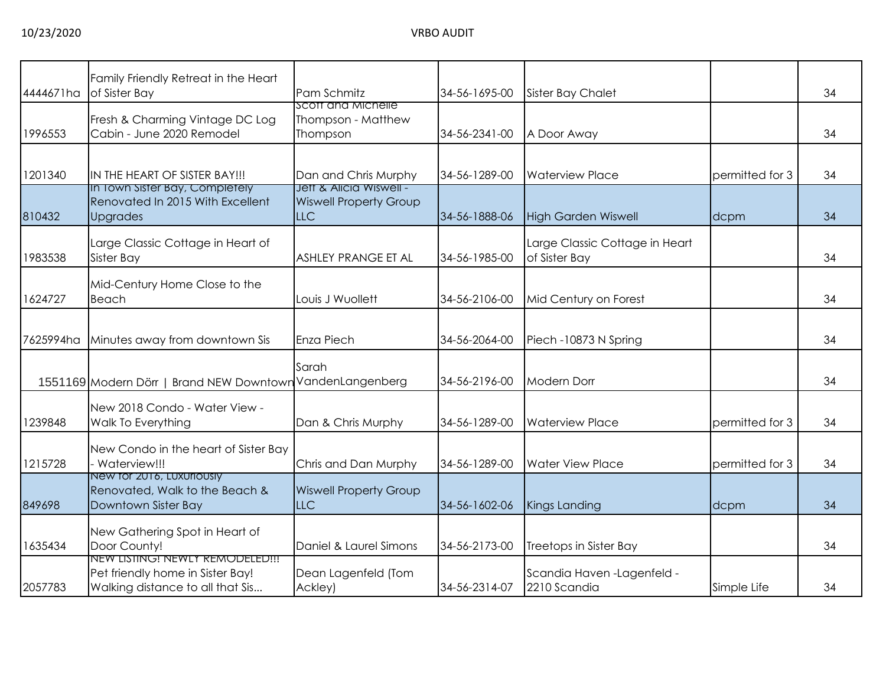| 4444671ha | Family Friendly Retreat in the Heart<br>of Sister Bay                                                          | Pam Schmitz                                                            | 34-56-1695-00 | <b>Sister Bay Chalet</b>                        |                 | 34 |
|-----------|----------------------------------------------------------------------------------------------------------------|------------------------------------------------------------------------|---------------|-------------------------------------------------|-----------------|----|
| 1996553   | Fresh & Charming Vintage DC Log<br>Cabin - June 2020 Remodel                                                   | Scott and Michelle<br>Thompson - Matthew<br>Thompson                   | 34-56-2341-00 | A Door Away                                     |                 | 34 |
| 1201340   | IN THE HEART OF SISTER BAY!!!                                                                                  | Dan and Chris Murphy                                                   | 34-56-1289-00 | <b>Waterview Place</b>                          | permitted for 3 | 34 |
| 810432    | In Town Sister Bay, Completely<br>Renovated In 2015 With Excellent<br><b>Upgrades</b>                          | Jett & Alicia Wiswell -<br><b>Wiswell Property Group</b><br><b>LLC</b> | 34-56-1888-06 | <b>High Garden Wiswell</b>                      | dcpm            | 34 |
| 1983538   | Large Classic Cottage in Heart of<br>Sister Bay                                                                | ASHLEY PRANGE ET AL                                                    | 34-56-1985-00 | Large Classic Cottage in Heart<br>of Sister Bay |                 | 34 |
| 1624727   | Mid-Century Home Close to the<br>Beach                                                                         | Louis J Wuollett                                                       | 34-56-2106-00 | Mid Century on Forest                           |                 | 34 |
| 7625994ha | Minutes away from downtown Sis                                                                                 | Enza Piech                                                             | 34-56-2064-00 | Piech -10873 N Spring                           |                 | 34 |
|           | 1551169 Modern Dörr   Brand NEW Downtown VandenLangenberg                                                      | Sarah                                                                  | 34-56-2196-00 | <b>Modern Dorr</b>                              |                 | 34 |
| 1239848   | New 2018 Condo - Water View -<br>Walk To Everything                                                            | Dan & Chris Murphy                                                     | 34-56-1289-00 | <b>Waterview Place</b>                          | permitted for 3 | 34 |
| 1215728   | New Condo in the heart of Sister Bay<br>Waterview!!!                                                           | Chris and Dan Murphy                                                   | 34-56-1289-00 | <b>Water View Place</b>                         | permitted for 3 | 34 |
| 849698    | New for 2016, Luxuriously<br>Renovated, Walk to the Beach &<br>Downtown Sister Bay                             | <b>Wiswell Property Group</b><br><b>LLC</b>                            | 34-56-1602-06 | Kings Landing                                   | dcpm            | 34 |
| 1635434   | New Gathering Spot in Heart of<br>Door County!                                                                 | Daniel & Laurel Simons                                                 | 34-56-2173-00 | Treetops in Sister Bay                          |                 | 34 |
| 2057783   | <b>NEW LISTING! NEWLY REMODELED!!!</b><br>Pet friendly home in Sister Bay!<br>Walking distance to all that Sis | Dean Lagenfeld (Tom<br>Ackley)                                         | 34-56-2314-07 | Scandia Haven - Lagenfeld -<br>2210 Scandia     | Simple Life     | 34 |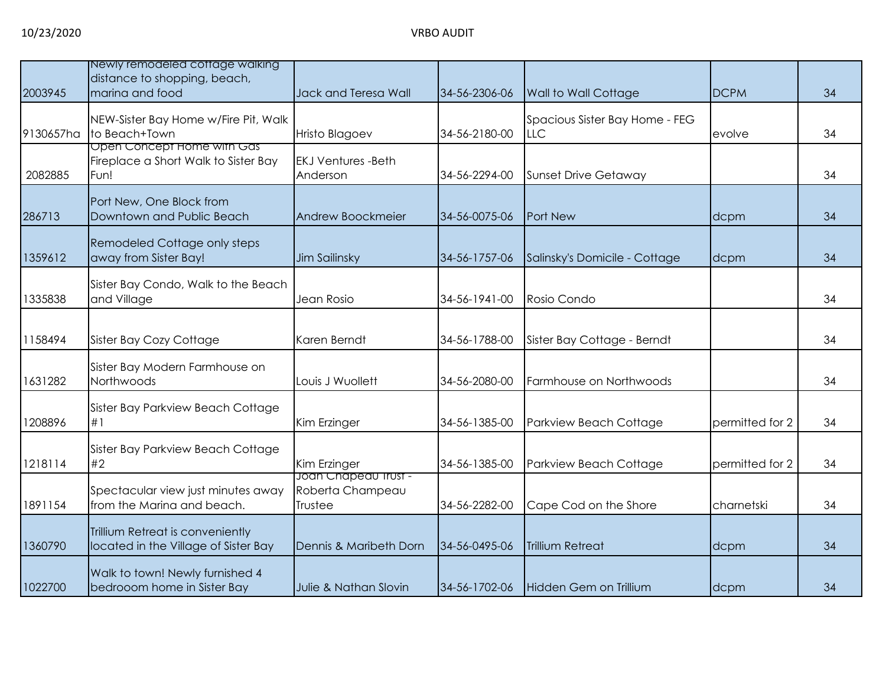| 2003945   | Newly remodeled cottage walking<br>distance to shopping, beach,<br>marina and food | Jack and Teresa Wall                                | 34-56-2306-06 | Wall to Wall Cottage                         | <b>DCPM</b>     | 34 |
|-----------|------------------------------------------------------------------------------------|-----------------------------------------------------|---------------|----------------------------------------------|-----------------|----|
| 9130657ha | NEW-Sister Bay Home w/Fire Pit, Walk<br>to Beach+Town                              | <b>Hristo Blagoev</b>                               | 34-56-2180-00 | Spacious Sister Bay Home - FEG<br><b>LLC</b> | evolve          | 34 |
| 2082885   | Open Concept Home with Gas<br>Fireplace a Short Walk to Sister Bay<br>Fun!         | <b>EKJ Ventures -Beth</b><br>Anderson               | 34-56-2294-00 | <b>Sunset Drive Getaway</b>                  |                 | 34 |
| 286713    | Port New, One Block from<br>Downtown and Public Beach                              | Andrew Boockmeier                                   | 34-56-0075-06 | Port New                                     | dcpm            | 34 |
| 1359612   | Remodeled Cottage only steps<br>away from Sister Bay!                              | Jim Sailinsky                                       | 34-56-1757-06 | Salinsky's Domicile - Cottage                | dcpm            | 34 |
| 1335838   | Sister Bay Condo, Walk to the Beach<br>and Village                                 | Jean Rosio                                          | 34-56-1941-00 | Rosio Condo                                  |                 | 34 |
| 1158494   | Sister Bay Cozy Cottage                                                            | Karen Berndt                                        | 34-56-1788-00 | Sister Bay Cottage - Berndt                  |                 | 34 |
| 1631282   | Sister Bay Modern Farmhouse on<br>Northwoods                                       | Louis J Wuollett                                    | 34-56-2080-00 | Farmhouse on Northwoods                      |                 | 34 |
| 1208896   | Sister Bay Parkview Beach Cottage<br>#1                                            | Kim Erzinger                                        | 34-56-1385-00 | Parkview Beach Cottage                       | permitted for 2 | 34 |
| 1218114   | Sister Bay Parkview Beach Cottage<br>#2                                            | Kim Erzinger                                        | 34-56-1385-00 | Parkview Beach Cottage                       | permitted for 2 | 34 |
| 1891154   | Spectacular view just minutes away<br>from the Marina and beach.                   | Joan Chapeau Irust -<br>Roberta Champeau<br>Trustee | 34-56-2282-00 | Cape Cod on the Shore                        | charnetski      | 34 |
| 1360790   | Trillium Retreat is conveniently<br>located in the Village of Sister Bay           | Dennis & Maribeth Dorn                              | 34-56-0495-06 | <b>Trillium Retreat</b>                      | dcpm            | 34 |
| 1022700   | Walk to town! Newly furnished 4<br>bedrooom home in Sister Bay                     | Julie & Nathan Slovin                               | 34-56-1702-06 | Hidden Gem on Trillium                       | dcpm            | 34 |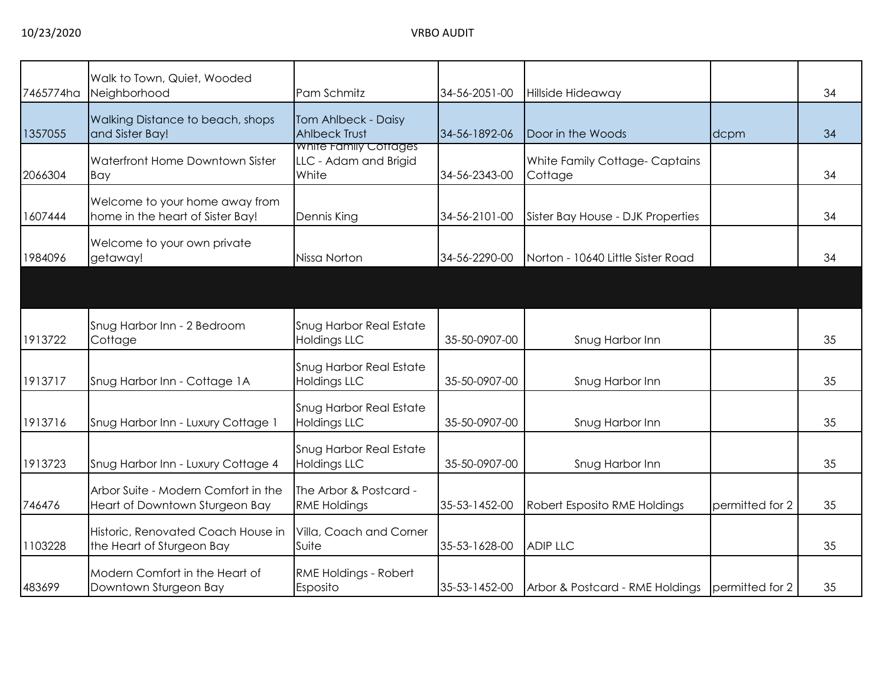| 7465774ha | Walk to Town, Quiet, Wooded<br>Neighborhood                           | Pam Schmitz                                             | 34-56-2051-00 | Hillside Hideaway                        |                 | 34 |
|-----------|-----------------------------------------------------------------------|---------------------------------------------------------|---------------|------------------------------------------|-----------------|----|
| 1357055   | Walking Distance to beach, shops<br>and Sister Bay!                   | Tom Ahlbeck - Daisy<br><b>Ahlbeck Trust</b>             | 34-56-1892-06 | Door in the Woods                        | dcpm            | 34 |
| 2066304   | Waterfront Home Downtown Sister<br>Bay                                | White Family Cottages<br>LLC - Adam and Brigid<br>White | 34-56-2343-00 | White Family Cottage-Captains<br>Cottage |                 | 34 |
| 1607444   | Welcome to your home away from<br>home in the heart of Sister Bay!    | Dennis King                                             | 34-56-2101-00 | Sister Bay House - DJK Properties        |                 | 34 |
| 1984096   | Welcome to your own private<br>getaway!                               | Nissa Norton                                            | 34-56-2290-00 | Norton - 10640 Little Sister Road        |                 | 34 |
|           |                                                                       |                                                         |               |                                          |                 |    |
| 1913722   | Snug Harbor Inn - 2 Bedroom<br>Cottage                                | Snug Harbor Real Estate<br><b>Holdings LLC</b>          | 35-50-0907-00 | Snug Harbor Inn                          |                 | 35 |
| 1913717   | Snug Harbor Inn - Cottage 1A                                          | Snug Harbor Real Estate<br><b>Holdings LLC</b>          | 35-50-0907-00 | Snug Harbor Inn                          |                 | 35 |
| 1913716   | Snug Harbor Inn - Luxury Cottage 1                                    | Snug Harbor Real Estate<br><b>Holdings LLC</b>          | 35-50-0907-00 | Snug Harbor Inn                          |                 | 35 |
| 1913723   | Snug Harbor Inn - Luxury Cottage 4                                    | Snug Harbor Real Estate<br><b>Holdings LLC</b>          | 35-50-0907-00 | Snug Harbor Inn                          |                 | 35 |
| 746476    | Arbor Suite - Modern Comfort in the<br>Heart of Downtown Sturgeon Bay | The Arbor & Postcard -<br><b>RME Holdings</b>           | 35-53-1452-00 | Robert Esposito RME Holdings             | permitted for 2 | 35 |
| 1103228   | Historic, Renovated Coach House in<br>the Heart of Sturgeon Bay       | Villa, Coach and Corner<br>Suite                        | 35-53-1628-00 | <b>ADIP LLC</b>                          |                 | 35 |
| 483699    | Modern Comfort in the Heart of<br>Downtown Sturgeon Bay               | RME Holdings - Robert<br>Esposito                       | 35-53-1452-00 | Arbor & Postcard - RME Holdings          | permitted for 2 | 35 |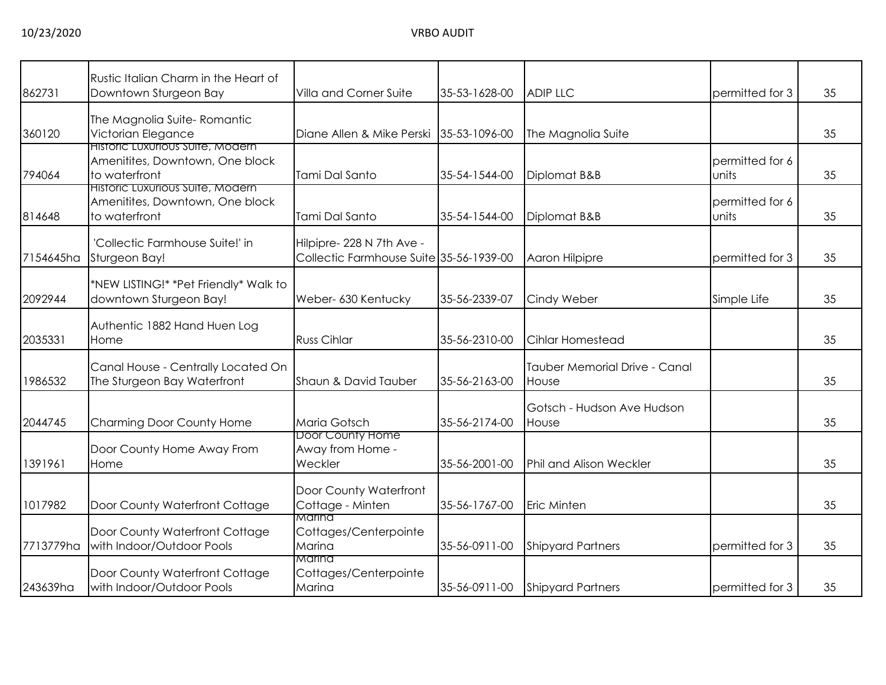|           | Rustic Italian Charm in the Heart of                                                 |                                                                      |               |                                               |                          |    |
|-----------|--------------------------------------------------------------------------------------|----------------------------------------------------------------------|---------------|-----------------------------------------------|--------------------------|----|
| 862731    | Downtown Sturgeon Bay                                                                | <b>Villa and Corner Suite</b>                                        | 35-53-1628-00 | <b>ADIP LLC</b>                               | permitted for 3          | 35 |
| 360120    | The Magnolia Suite-Romantic<br>Victorian Elegance                                    | Diane Allen & Mike Perski                                            | 35-53-1096-00 | The Magnolia Suite                            |                          | 35 |
| 794064    | Historic Luxurious Suite, Modern<br>Amenitites, Downtown, One block<br>to waterfront | Tami Dal Santo                                                       | 35-54-1544-00 | Diplomat B&B                                  | permitted for 6<br>units | 35 |
| 814648    | Historic Luxurious Suite, Modern<br>Amenitites, Downtown, One block<br>to waterfront | Tami Dal Santo                                                       | 35-54-1544-00 | Diplomat B&B                                  | permitted for 6<br>units | 35 |
| 7154645ha | 'Collectic Farmhouse Suite!' in<br>Sturgeon Bay!                                     | Hilpipre- 228 N 7th Ave -<br>Collectic Farmhouse Suite 35-56-1939-00 |               | Aaron Hilpipre                                | permitted for 3          | 35 |
| 2092944   | *NEW LISTING!* *Pet Friendly* Walk to<br>downtown Sturgeon Bay!                      | Weber- 630 Kentucky                                                  | 35-56-2339-07 | Cindy Weber                                   | Simple Life              | 35 |
| 2035331   | Authentic 1882 Hand Huen Log<br>Home                                                 | <b>Russ Cihlar</b>                                                   | 35-56-2310-00 | <b>Cihlar Homestead</b>                       |                          | 35 |
| 1986532   | Canal House - Centrally Located On<br>The Sturgeon Bay Waterfront                    | Shaun & David Tauber                                                 | 35-56-2163-00 | <b>Tauber Memorial Drive - Canal</b><br>House |                          | 35 |
| 2044745   | Charming Door County Home                                                            | Maria Gotsch                                                         | 35-56-2174-00 | Gotsch - Hudson Ave Hudson<br>House           |                          | 35 |
| 1391961   | Door County Home Away From<br>Home                                                   | Door County Home<br>Away from Home -<br>Weckler                      | 35-56-2001-00 | Phil and Alison Weckler                       |                          | 35 |
| 1017982   | Door County Waterfront Cottage                                                       | Door County Waterfront<br>Cottage - Minten                           | 35-56-1767-00 | <b>Eric Minten</b>                            |                          | 35 |
| 7713779ha | Door County Waterfront Cottage<br>with Indoor/Outdoor Pools                          | Marina<br>Cottages/Centerpointe<br>Marina                            | 35-56-0911-00 | <b>Shipyard Partners</b>                      | permitted for 3          | 35 |
| 243639ha  | Door County Waterfront Cottage<br>with Indoor/Outdoor Pools                          | Marina<br>Cottages/Centerpointe<br>Marina                            | 35-56-0911-00 | <b>Shipyard Partners</b>                      | permitted for 3          | 35 |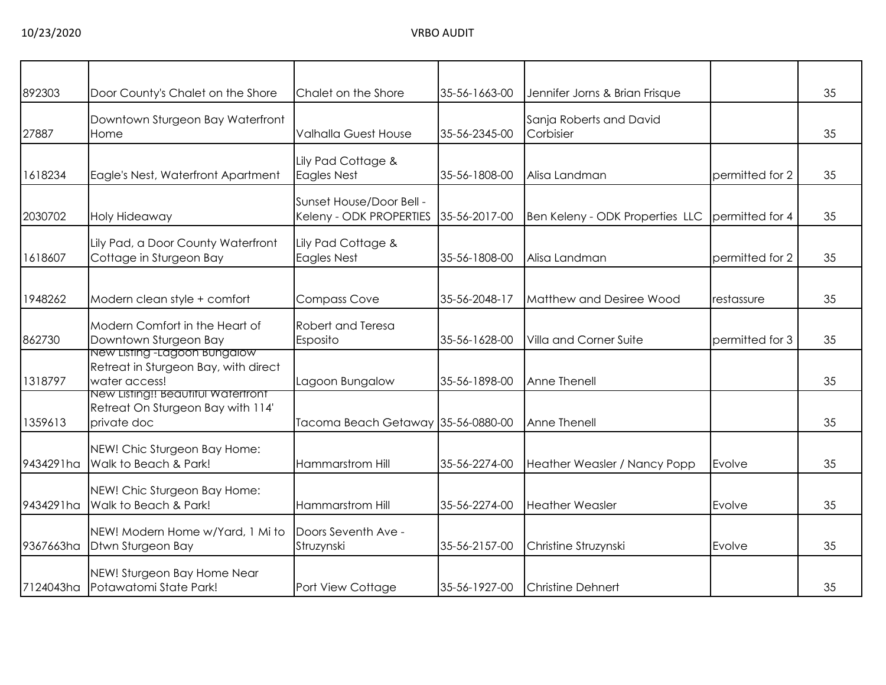| 892303    | Door County's Chalet on the Shore                                                      | Chalet on the Shore                                 | 35-56-1663-00 | Jennifer Jorns & Brian Frisque       |                 | 35 |
|-----------|----------------------------------------------------------------------------------------|-----------------------------------------------------|---------------|--------------------------------------|-----------------|----|
| 27887     | Downtown Sturgeon Bay Waterfront<br>Home                                               | <b>Valhalla Guest House</b>                         | 35-56-2345-00 | Sanja Roberts and David<br>Corbisier |                 | 35 |
| 1618234   | Eagle's Nest, Waterfront Apartment                                                     | Lily Pad Cottage &<br>Eagles Nest                   | 35-56-1808-00 | Alisa Landman                        | permitted for 2 | 35 |
| 2030702   | Holy Hideaway                                                                          | Sunset House/Door Bell -<br>Keleny - ODK PROPERTIES | 35-56-2017-00 | Ben Keleny - ODK Properties LLC      | permitted for 4 | 35 |
| 1618607   | Lily Pad, a Door County Waterfront<br>Cottage in Sturgeon Bay                          | Lily Pad Cottage &<br><b>Eagles Nest</b>            | 35-56-1808-00 | Alisa Landman                        | permitted for 2 | 35 |
| 1948262   | Modern clean style + comfort                                                           | <b>Compass Cove</b>                                 | 35-56-2048-17 | Matthew and Desiree Wood             | restassure      | 35 |
| 862730    | Modern Comfort in the Heart of<br>Downtown Sturgeon Bay                                | Robert and Teresa<br>Esposito                       | 35-56-1628-00 | Villa and Corner Suite               | permitted for 3 | 35 |
| 1318797   | New Listing -Lagoon Bungalow<br>Retreat in Sturgeon Bay, with direct<br>water access!  | Lagoon Bungalow                                     | 35-56-1898-00 | Anne Thenell                         |                 | 35 |
| 1359613   | New Listing!! Beautiful Waterfront<br>Retreat On Sturgeon Bay with 114'<br>private doc | Tacoma Beach Getaway 35-56-0880-00                  |               | Anne Thenell                         |                 | 35 |
| 9434291ha | NEW! Chic Sturgeon Bay Home:<br>Walk to Beach & Park!                                  | Hammarstrom Hill                                    | 35-56-2274-00 | Heather Weasler / Nancy Popp         | Evolve          | 35 |
| 9434291ha | NEW! Chic Sturgeon Bay Home:<br>Walk to Beach & Park!                                  | Hammarstrom Hill                                    | 35-56-2274-00 | <b>Heather Weasler</b>               | Evolve          | 35 |
| 9367663ha | NEW! Modern Home w/Yard, 1 Mi to<br>Dtwn Sturgeon Bay                                  | Doors Seventh Ave -<br>Struzynski                   | 35-56-2157-00 | Christine Struzynski                 | Evolve          | 35 |
| 7124043ha | NEW! Sturgeon Bay Home Near<br>Potawatomi State Park!                                  | Port View Cottage                                   | 35-56-1927-00 | <b>Christine Dehnert</b>             |                 | 35 |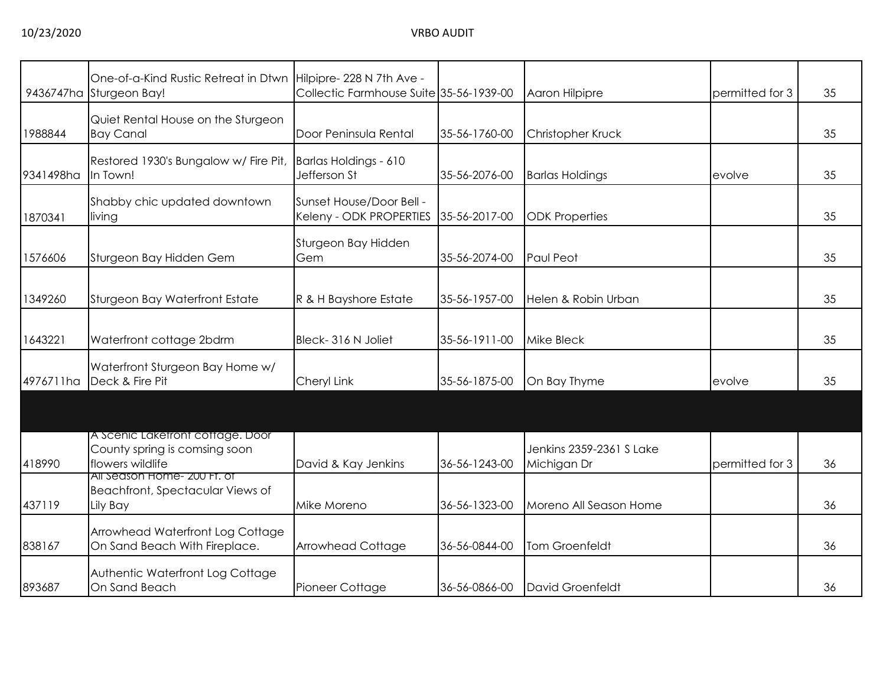|           | One-of-a-Kind Rustic Retreat in Dtwn Hilpipre-228 N 7th Ave -<br>9436747ha Sturgeon Bay! | Collectic Farmhouse Suite 35-56-1939-00             |               | Aaron Hilpipre                          | permitted for 3 | 35 |
|-----------|------------------------------------------------------------------------------------------|-----------------------------------------------------|---------------|-----------------------------------------|-----------------|----|
| 1988844   | Quiet Rental House on the Sturgeon<br><b>Bay Canal</b>                                   | Door Peninsula Rental                               | 35-56-1760-00 | Christopher Kruck                       |                 | 35 |
| 9341498ha | Restored 1930's Bungalow w/ Fire Pit,<br>In Town!                                        | Barlas Holdings - 610<br>Jefferson St               | 35-56-2076-00 | <b>Barlas Holdings</b>                  | evolve          | 35 |
| 1870341   | Shabby chic updated downtown<br>living                                                   | Sunset House/Door Bell -<br>Keleny - ODK PROPERTIES | 35-56-2017-00 | <b>ODK Properties</b>                   |                 | 35 |
| 1576606   | Sturgeon Bay Hidden Gem                                                                  | Sturgeon Bay Hidden<br>Gem                          | 35-56-2074-00 | Paul Peot                               |                 | 35 |
| 1349260   | Sturgeon Bay Waterfront Estate                                                           | R & H Bayshore Estate                               | 35-56-1957-00 | Helen & Robin Urban                     |                 | 35 |
| 1643221   | Waterfront cottage 2bdrm                                                                 | Bleck-316 N Joliet                                  | 35-56-1911-00 | <b>Mike Bleck</b>                       |                 | 35 |
| 4976711ha | Waterfront Sturgeon Bay Home w/<br>Deck & Fire Pit                                       | Cheryl Link                                         | 35-56-1875-00 | On Bay Thyme                            | evolve          | 35 |
|           |                                                                                          |                                                     |               |                                         |                 |    |
| 418990    | A Scenic Laketront cottage. Door<br>County spring is comsing soon<br>flowers wildlife    | David & Kay Jenkins                                 | 36-56-1243-00 | Jenkins 2359-2361 S Lake<br>Michigan Dr | permitted for 3 | 36 |
| 437119    | All Season Home- 200 Ft. of<br>Beachfront, Spectacular Views of<br>Lily Bay              | Mike Moreno                                         | 36-56-1323-00 | Moreno All Season Home                  |                 | 36 |
| 838167    | Arrowhead Waterfront Log Cottage<br>On Sand Beach With Fireplace.                        | Arrowhead Cottage                                   | 36-56-0844-00 | Tom Groenfeldt                          |                 | 36 |
| 893687    | Authentic Waterfront Log Cottage<br>On Sand Beach                                        | Pioneer Cottage                                     | 36-56-0866-00 | David Groenfeldt                        |                 | 36 |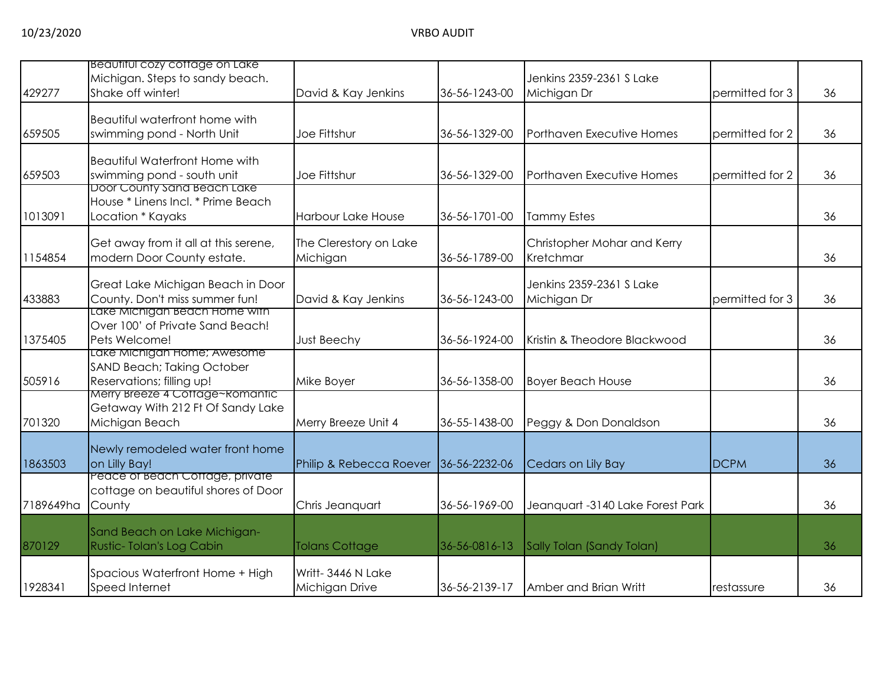| 429277    | Beautiful cozy coffage on Lake<br>Michigan. Steps to sandy beach.<br>Shake off winter!             | David & Kay Jenkins                  | 36-56-1243-00 | Jenkins 2359-2361 S Lake<br>Michigan Dr  | permitted for 3 | 36 |
|-----------|----------------------------------------------------------------------------------------------------|--------------------------------------|---------------|------------------------------------------|-----------------|----|
| 659505    | Beautiful waterfront home with<br>swimming pond - North Unit                                       | Joe Fittshur                         | 36-56-1329-00 | Porthaven Executive Homes                | permitted for 2 | 36 |
| 659503    | <b>Beautiful Waterfront Home with</b><br>swimming pond - south unit<br>Door County sand Beach Lake | Joe Fittshur                         | 36-56-1329-00 | Porthaven Executive Homes                | permitted for 2 | 36 |
| 1013091   | House * Linens Incl. * Prime Beach<br>Location * Kayaks                                            | <b>Harbour Lake House</b>            | 36-56-1701-00 | <b>Tammy Estes</b>                       |                 | 36 |
| 1154854   | Get away from it all at this serene,<br>modern Door County estate.                                 | The Clerestory on Lake<br>Michigan   | 36-56-1789-00 | Christopher Mohar and Kerry<br>Kretchmar |                 | 36 |
| 433883    | Great Lake Michigan Beach in Door<br>County. Don't miss summer fun!                                | David & Kay Jenkins                  | 36-56-1243-00 | Jenkins 2359-2361 S Lake<br>Michigan Dr  | permitted for 3 | 36 |
| 1375405   | Lake Michigan Beach Home with<br>Over 100' of Private Sand Beach!<br>Pets Welcome!                 | Just Beechy                          | 36-56-1924-00 | Kristin & Theodore Blackwood             |                 | 36 |
| 505916    | Lake Michigan Home; Awesome<br>SAND Beach; Taking October<br>Reservations; filling up!             | Mike Boyer                           | 36-56-1358-00 | <b>Boyer Beach House</b>                 |                 | 36 |
| 701320    | Merry Breeze 4 Cottage~Romantic<br>Getaway With 212 Ft Of Sandy Lake<br>Michigan Beach             | Merry Breeze Unit 4                  | 36-55-1438-00 | Peggy & Don Donaldson                    |                 | 36 |
| 1863503   | Newly remodeled water front home<br>on Lilly Bay!                                                  | Philip & Rebecca Roever              | 36-56-2232-06 | Cedars on Lily Bay                       | <b>DCPM</b>     | 36 |
| 7189649ha | Peace of Beach Coffage, private<br>cottage on beautiful shores of Door<br>County                   | Chris Jeanquart                      | 36-56-1969-00 | Jeanquart -3140 Lake Forest Park         |                 | 36 |
| 870129    | Sand Beach on Lake Michigan-<br>Rustic-Tolan's Log Cabin                                           | <b>Tolans Cottage</b>                | 36-56-0816-13 | Sally Tolan (Sandy Tolan)                |                 | 36 |
| 1928341   | Spacious Waterfront Home + High<br>Speed Internet                                                  | Writt- 3446 N Lake<br>Michigan Drive | 36-56-2139-17 | Amber and Brian Writt                    | restassure      | 36 |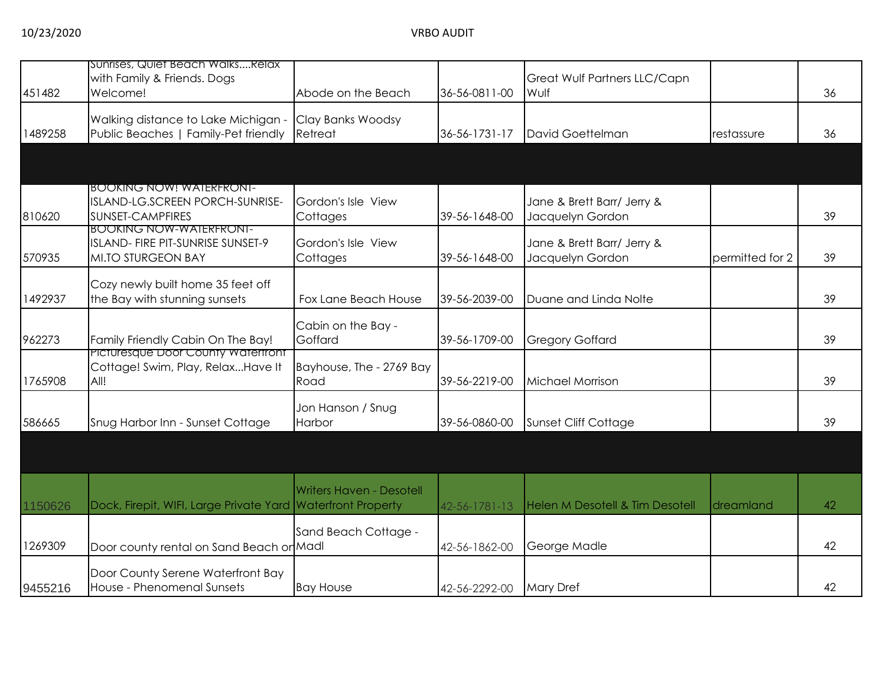| 451482  | Sunrises, Quiet Beach WalksRelax<br>with Family & Friends. Dogs<br>Welcome!                   | Abode on the Beach               | 36-56-0811-00 | Great Wulf Partners LLC/Capn<br>Wulf           |                 | 36 |
|---------|-----------------------------------------------------------------------------------------------|----------------------------------|---------------|------------------------------------------------|-----------------|----|
| 1489258 | Walking distance to Lake Michigan -<br>Public Beaches   Family-Pet friendly                   | Clay Banks Woodsy<br>Retreat     | 36-56-1731-17 | David Goettelman                               | restassure      | 36 |
|         |                                                                                               |                                  |               |                                                |                 |    |
| 810620  | <u>BOOKING NOW! WAIERFRONI-</u><br>ISLAND-LG.SCREEN PORCH-SUNRISE-<br><b>SUNSET-CAMPFIRES</b> | Gordon's Isle View<br>Cottages   | 39-56-1648-00 | Jane & Brett Barr/ Jerry &<br>Jacquelyn Gordon |                 | 39 |
| 570935  | <b>BOOKING NOW-WAIERFRONI-</b><br>ISLAND- FIRE PIT-SUNRISE SUNSET-9<br>MI.TO STURGEON BAY     | Gordon's Isle View<br>Cottages   | 39-56-1648-00 | Jane & Brett Barr/ Jerry &<br>Jacquelyn Gordon | permitted for 2 | 39 |
| 1492937 | Cozy newly built home 35 feet off<br>the Bay with stunning sunsets                            | Fox Lane Beach House             | 39-56-2039-00 | Duane and Linda Nolte                          |                 | 39 |
| 962273  | Family Friendly Cabin On The Bay!                                                             | Cabin on the Bay -<br>Goffard    | 39-56-1709-00 | <b>Gregory Goffard</b>                         |                 | 39 |
| 1765908 | Picturesque Door County Watertront<br>Cottage! Swim, Play, RelaxHave It<br>All!               | Bayhouse, The - 2769 Bay<br>Road | 39-56-2219-00 | Michael Morrison                               |                 | 39 |
| 586665  | Snug Harbor Inn - Sunset Cottage                                                              | Jon Hanson / Snug<br>Harbor      | 39-56-0860-00 | Sunset Cliff Cottage                           |                 | 39 |
|         |                                                                                               |                                  |               |                                                |                 |    |
| 1150626 | Dock, Firepit, WIFI, Large Private Yard Waterfront Property                                   | <b>Writers Haven - Desotell</b>  | 42-56-1781-13 | <b>Helen M Desotell &amp; Tim Desotell</b>     | dreamland       | 42 |
| 1269309 | Door county rental on Sand Beach or Madl                                                      | Sand Beach Cottage -             | 42-56-1862-00 | George Madle                                   |                 | 42 |
| 9455216 | Door County Serene Waterfront Bay<br>House - Phenomenal Sunsets                               | <b>Bay House</b>                 | 42-56-2292-00 | <b>Mary Dref</b>                               |                 | 42 |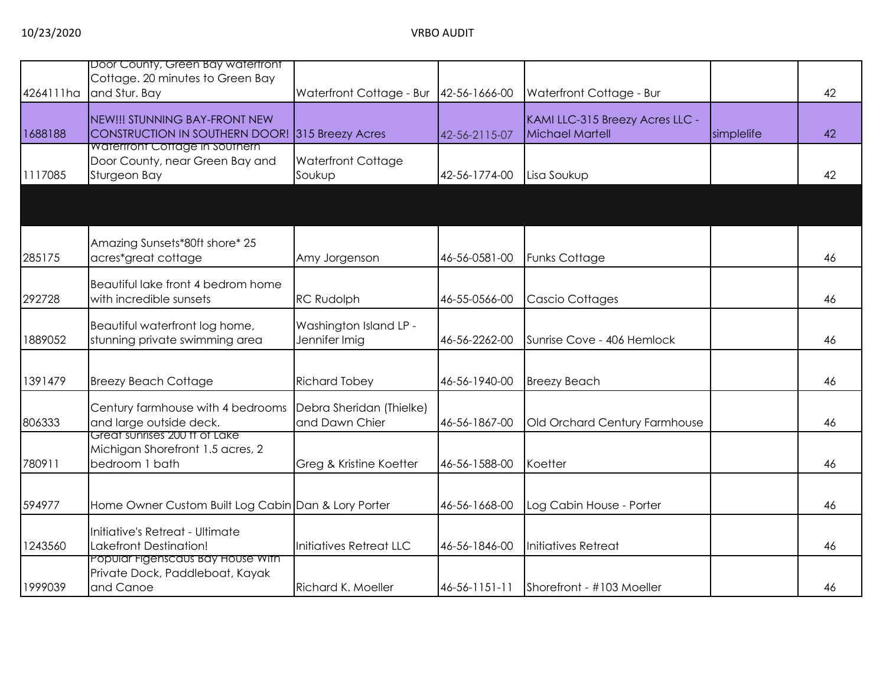| 4264111ha | Door County, Green Bay watertront<br>Cottage. 20 minutes to Green Bay<br>and Stur. Bay   | Waterfront Cottage - Bur                   | 42-56-1666-00 | Waterfront Cottage - Bur                           |            | 42 |
|-----------|------------------------------------------------------------------------------------------|--------------------------------------------|---------------|----------------------------------------------------|------------|----|
| 1688188   | NEW!!! STUNNING BAY-FRONT NEW<br>CONSTRUCTION IN SOUTHERN DOOR! 315 Breezy Acres         |                                            | 42-56-2115-07 | KAMI LLC-315 Breezy Acres LLC -<br>Michael Martell | simplelife | 42 |
| 1117085   | <b>Waterfront Cottage in Southern</b><br>Door County, near Green Bay and<br>Sturgeon Bay | <b>Waterfront Cottage</b><br>Soukup        | 42-56-1774-00 | Lisa Soukup                                        |            | 42 |
|           |                                                                                          |                                            |               |                                                    |            |    |
| 285175    | Amazing Sunsets*80ft shore* 25<br>acres*great cottage                                    | Amy Jorgenson                              | 46-56-0581-00 | <b>Funks Cottage</b>                               |            | 46 |
| 292728    | Beautiful lake front 4 bedrom home<br>with incredible sunsets                            | <b>RC Rudolph</b>                          | 46-55-0566-00 | Cascio Cottages                                    |            | 46 |
| 1889052   | Beautiful waterfront log home,<br>stunning private swimming area                         | Washington Island LP -<br>Jennifer Imig    | 46-56-2262-00 | Sunrise Cove - 406 Hemlock                         |            | 46 |
| 1391479   | <b>Breezy Beach Cottage</b>                                                              | <b>Richard Tobey</b>                       | 46-56-1940-00 | <b>Breezy Beach</b>                                |            | 46 |
| 806333    | Century farmhouse with 4 bedrooms<br>and large outside deck.                             | Debra Sheridan (Thielke)<br>and Dawn Chier | 46-56-1867-00 | Old Orchard Century Farmhouse                      |            | 46 |
| 780911    | Great sunrises 200 ff of Lake<br>Michigan Shorefront 1.5 acres, 2<br>bedroom 1 bath      | Greg & Kristine Koetter                    | 46-56-1588-00 | Koetter                                            |            | 46 |
| 594977    | Home Owner Custom Built Log Cabin Dan & Lory Porter                                      |                                            | 46-56-1668-00 | Log Cabin House - Porter                           |            | 46 |
| 1243560   | Initiative's Retreat - Ultimate<br>Lakefront Destination!                                | Initiatives Retreat LLC                    | 46-56-1846-00 | Initiatives Retreat                                |            | 46 |
| 1999039   | Popular Figenscaus Bay House With<br>Private Dock, Paddleboat, Kayak<br>and Canoe        | Richard K. Moeller                         | 46-56-1151-11 | Shorefront - #103 Moeller                          |            | 46 |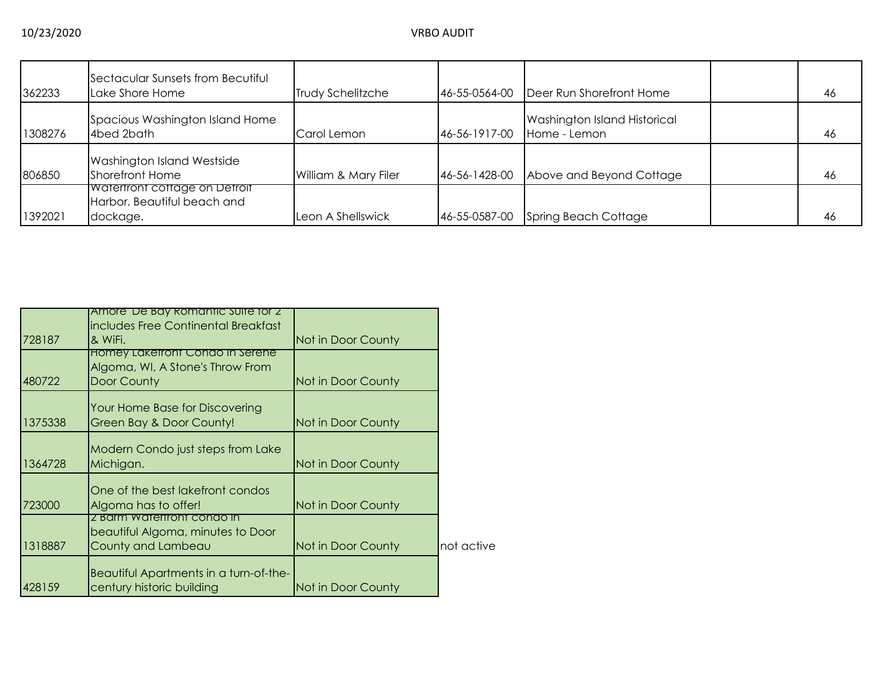| 362233  | Sectacular Sunsets from Becutiful<br>Lake Shore Home                            | <b>Trudy Schelitzche</b> | 46-55-0564-00 | Deer Run Shorefront Home                            | 46 |
|---------|---------------------------------------------------------------------------------|--------------------------|---------------|-----------------------------------------------------|----|
| 1308276 | Spacious Washington Island Home<br>4bed 2bath                                   | Carol Lemon              | 46-56-1917-00 | <b>Washington Island Historical</b><br>Home - Lemon | 46 |
| 806850  | <b>Washington Island Westside</b><br>Shorefront Home                            | William & Mary Filer     | 46-56-1428-00 | Above and Beyond Cottage                            | 46 |
| 1392021 | <b>Waterfront cottage on Detroit</b><br>Harbor. Beautiful beach and<br>dockage. | Leon A Shellswick        | 46-55-0587-00 | Spring Beach Cottage                                | 46 |

|         | Amore De Bay Romantic Suite for 2      |                    |            |
|---------|----------------------------------------|--------------------|------------|
|         | includes Free Continental Breakfast    |                    |            |
| 728187  | & WiFi.                                | Not in Door County |            |
|         | Homey Lakefront Condo in Serene        |                    |            |
|         | Algoma, WI, A Stone's Throw From       |                    |            |
| 480722  | Door County                            | Not in Door County |            |
|         |                                        |                    |            |
|         | Your Home Base for Discovering         |                    |            |
| 1375338 | Green Bay & Door County!               | Not in Door County |            |
|         | Modern Condo just steps from Lake      |                    |            |
| 1364728 | Michigan.                              | Not in Door County |            |
|         |                                        |                    |            |
|         | One of the best lakefront condos       |                    |            |
| 723000  | Algoma has to offer!                   | Not in Door County |            |
|         | 2 Barm Watertront condo in             |                    |            |
|         | beautiful Algoma, minutes to Door      |                    |            |
| 1318887 | County and Lambeau                     | Not in Door County | not active |
|         |                                        |                    |            |
|         | Beautiful Apartments in a turn-of-the- |                    |            |
| 428159  | century historic building              | Not in Door County |            |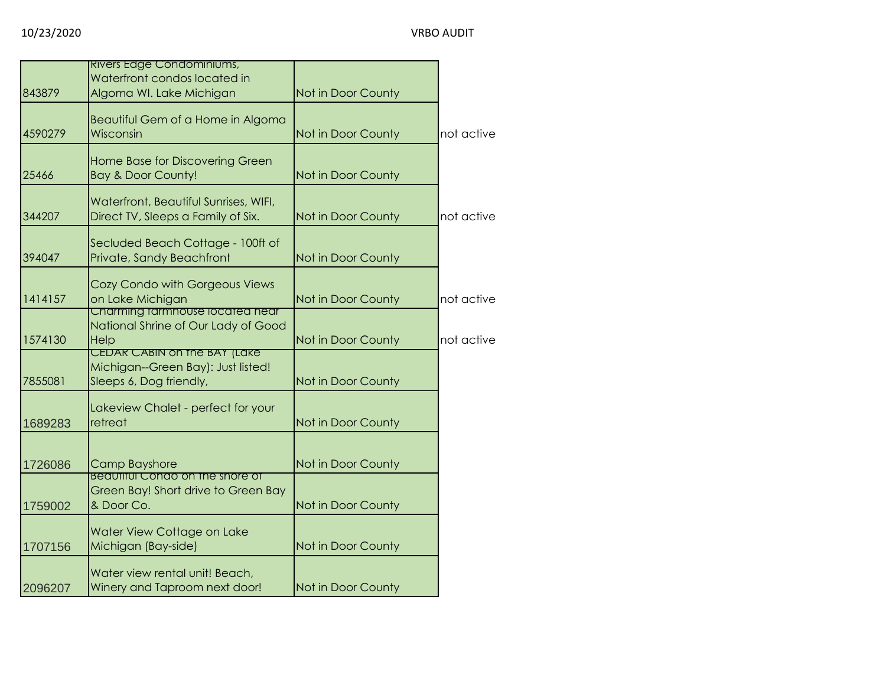|         | <b>RIVERS Edge Condominiums,</b><br>Waterfront condos located in                              |                    |            |
|---------|-----------------------------------------------------------------------------------------------|--------------------|------------|
| 843879  | Algoma WI. Lake Michigan                                                                      | Not in Door County |            |
| 4590279 | Beautiful Gem of a Home in Algoma<br>Wisconsin                                                | Not in Door County | not active |
| 25466   | <b>Home Base for Discovering Green</b><br><b>Bay &amp; Door County!</b>                       | Not in Door County |            |
| 344207  | Waterfront, Beautiful Sunrises, WIFI,<br>Direct TV, Sleeps a Family of Six.                   | Not in Door County | not active |
| 394047  | Secluded Beach Cottage - 100ft of<br>Private, Sandy Beachfront                                | Not in Door County |            |
| 1414157 | Cozy Condo with Gorgeous Views<br>on Lake Michigan                                            | Not in Door County | not active |
| 1574130 | Charming tarmhouse located near<br>National Shrine of Our Lady of Good<br>Help                | Not in Door County | not active |
| 7855081 | CEDAR CABIN on the BAY (Lake<br>Michigan--Green Bay): Just listed!<br>Sleeps 6, Dog friendly, | Not in Door County |            |
| 1689283 | Lakeview Chalet - perfect for your<br>retreat                                                 | Not in Door County |            |
| 1726086 | <b>Camp Bayshore</b>                                                                          | Not in Door County |            |
| 1759002 | <b>Beautiful Condo on the shore of</b><br>Green Bay! Short drive to Green Bay<br>& Door Co.   | Not in Door County |            |
| 1707156 | Water View Cottage on Lake<br>Michigan (Bay-side)                                             | Not in Door County |            |
| 2096207 | Water view rental unit! Beach,<br>Winery and Taproom next door!                               | Not in Door County |            |